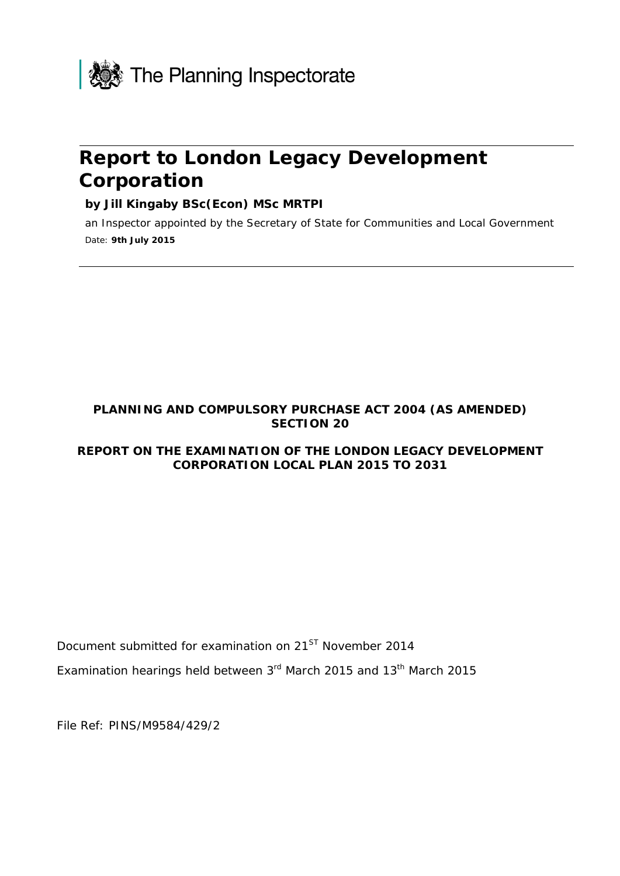

# **Report to London Legacy Development Corporation**

#### **by Jill Kingaby BSc(Econ) MSc MRTPI**

an Inspector appointed by the Secretary of State for Communities and Local Government Date: **9th July 2015**

#### **PLANNING AND COMPULSORY PURCHASE ACT 2004 (AS AMENDED) SECTION 20**

#### **REPORT ON THE EXAMINATION OF THE LONDON LEGACY DEVELOPMENT CORPORATION LOCAL PLAN 2015 TO 2031**

Document submitted for examination on 21<sup>ST</sup> November 2014

Examination hearings held between  $3<sup>rd</sup>$  March 2015 and 13<sup>th</sup> March 2015

File Ref: PINS/M9584/429/2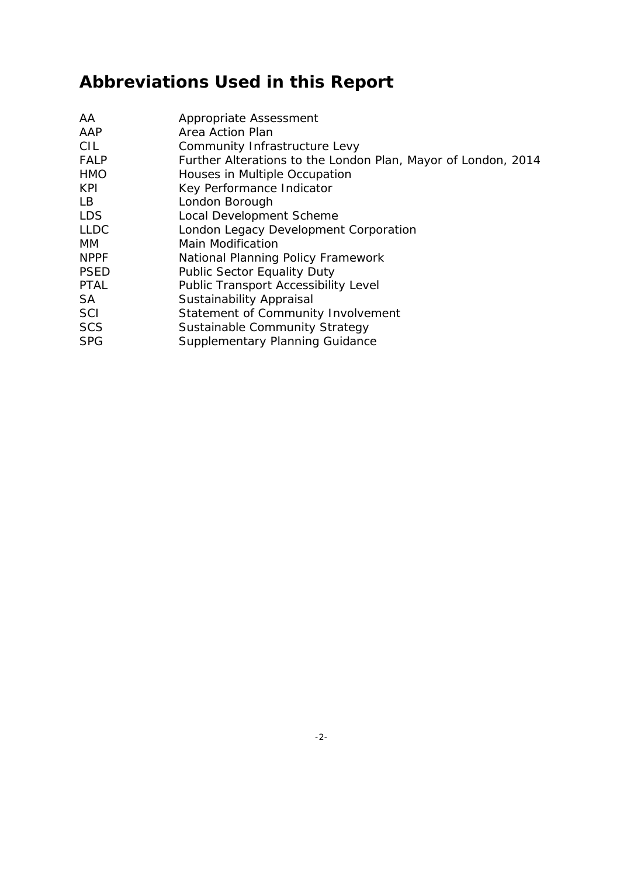# **Abbreviations Used in this Report**

| AA.         | Appropriate Assessment                                        |
|-------------|---------------------------------------------------------------|
| AAP         | Area Action Plan                                              |
| <b>CIL</b>  | Community Infrastructure Levy                                 |
| <b>FALP</b> | Further Alterations to the London Plan, Mayor of London, 2014 |
| <b>HMO</b>  | Houses in Multiple Occupation                                 |
| <b>KPI</b>  | Key Performance Indicator                                     |
| LB          | London Borough                                                |
| <b>LDS</b>  | Local Development Scheme                                      |
| <b>LLDC</b> | London Legacy Development Corporation                         |
| MM.         | Main Modification                                             |
| <b>NPPF</b> | National Planning Policy Framework                            |
| <b>PSED</b> | <b>Public Sector Equality Duty</b>                            |
| <b>PTAL</b> | <b>Public Transport Accessibility Level</b>                   |
| SA          | Sustainability Appraisal                                      |
| SCI         | Statement of Community Involvement                            |
| <b>SCS</b>  | Sustainable Community Strategy                                |
| <b>SPG</b>  | Supplementary Planning Guidance                               |
|             |                                                               |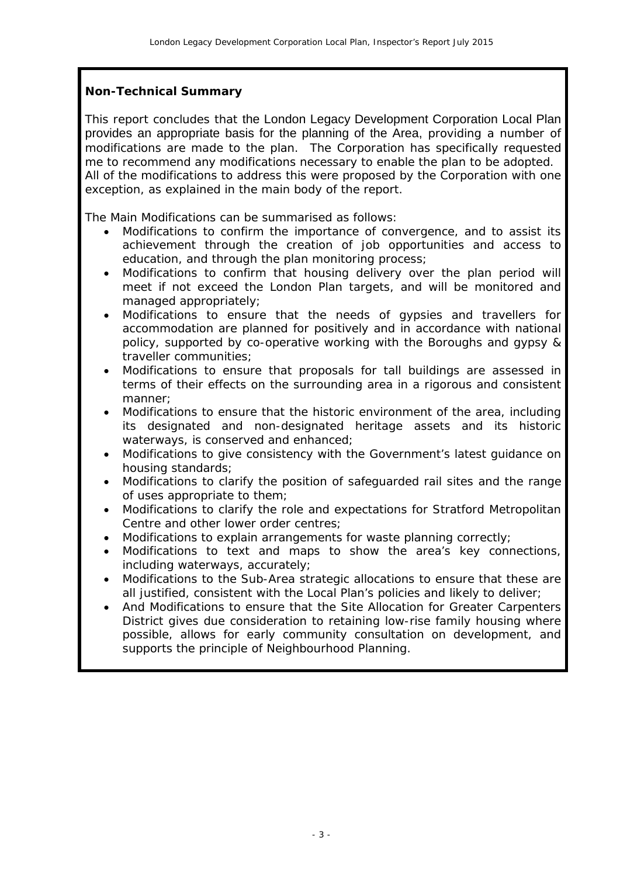#### **Non-Technical Summary**

This report concludes that the London Legacy Development Corporation Local Plan provides an appropriate basis for the planning of the Area, providing a number of modifications are made to the plan. The Corporation has specifically requested me to recommend any modifications necessary to enable the plan to be adopted. All of the modifications to address this were proposed by the Corporation with one exception, as explained in the main body of the report.

The Main Modifications can be summarised as follows:

- Modifications to confirm the importance of convergence, and to assist its achievement through the creation of job opportunities and access to education, and through the plan monitoring process;
- Modifications to confirm that housing delivery over the plan period will meet if not exceed the London Plan targets, and will be monitored and managed appropriately;
- Modifications to ensure that the needs of gypsies and travellers for accommodation are planned for positively and in accordance with national policy, supported by co-operative working with the Boroughs and gypsy & traveller communities;
- Modifications to ensure that proposals for tall buildings are assessed in terms of their effects on the surrounding area in a rigorous and consistent manner;
- Modifications to ensure that the historic environment of the area, including its designated and non-designated heritage assets and its historic waterways, is conserved and enhanced;
- Modifications to give consistency with the Government's latest guidance on housing standards;
- Modifications to clarify the position of safeguarded rail sites and the range of uses appropriate to them;
- Modifications to clarify the role and expectations for Stratford Metropolitan Centre and other lower order centres;
- Modifications to explain arrangements for waste planning correctly;
- Modifications to text and maps to show the area's key connections, including waterways, accurately;
- Modifications to the Sub-Area strategic allocations to ensure that these are all justified, consistent with the Local Plan's policies and likely to deliver;
- And Modifications to ensure that the Site Allocation for Greater Carpenters District gives due consideration to retaining low-rise family housing where possible, allows for early community consultation on development, and supports the principle of Neighbourhood Planning.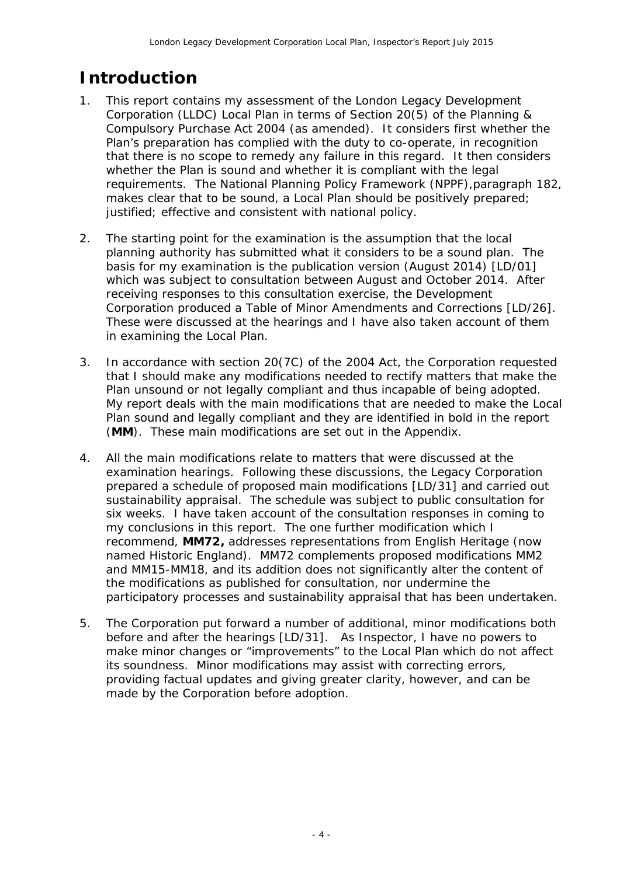# **Introduction**

- 1. This report contains my assessment of the London Legacy Development Corporation (LLDC) Local Plan in terms of Section 20(5) of the Planning & Compulsory Purchase Act 2004 (as amended). It considers first whether the Plan's preparation has complied with the duty to co-operate, in recognition that there is no scope to remedy any failure in this regard. It then considers whether the Plan is sound and whether it is compliant with the legal requirements. The National Planning Policy Framework (NPPF),paragraph 182, makes clear that to be sound, a Local Plan should be positively prepared; justified; effective and consistent with national policy.
- 2. The starting point for the examination is the assumption that the local planning authority has submitted what it considers to be a sound plan. The basis for my examination is the publication version (August 2014) [LD/01] which was subject to consultation between August and October 2014. After receiving responses to this consultation exercise, the Development Corporation produced a Table of Minor Amendments and Corrections [LD/26]. These were discussed at the hearings and I have also taken account of them in examining the Local Plan.
- 3. In accordance with section 20(7C) of the 2004 Act, the Corporation requested that I should make any modifications needed to rectify matters that make the Plan unsound or not legally compliant and thus incapable of being adopted. My report deals with the main modifications that are needed to make the Local Plan sound and legally compliant and they are identified in bold in the report (**MM**). These main modifications are set out in the Appendix.
- 4. All the main modifications relate to matters that were discussed at the examination hearings. Following these discussions, the Legacy Corporation prepared a schedule of proposed main modifications [LD/31] and carried out sustainability appraisal. The schedule was subject to public consultation for six weeks. I have taken account of the consultation responses in coming to my conclusions in this report. The one further modification which I recommend, **MM72,** addresses representations from English Heritage (now named Historic England). MM72 complements proposed modifications MM2 and MM15-MM18, and its addition does not significantly alter the content of the modifications as published for consultation, nor undermine the participatory processes and sustainability appraisal that has been undertaken.
- 5. The Corporation put forward a number of additional, minor modifications both before and after the hearings [LD/31]. As Inspector, I have no powers to make minor changes or "improvements" to the Local Plan which do not affect its soundness. Minor modifications may assist with correcting errors, providing factual updates and giving greater clarity, however, and can be made by the Corporation before adoption.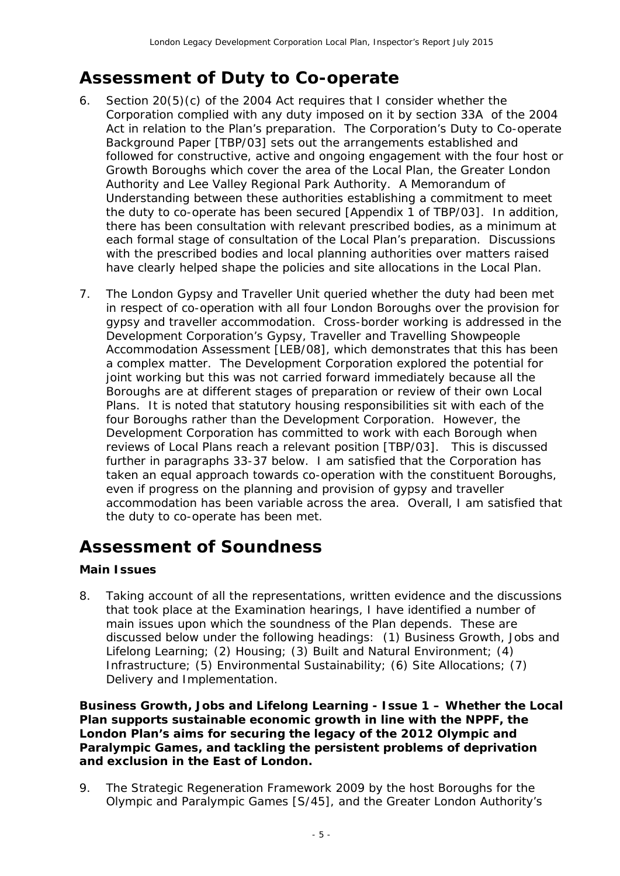# **Assessment of Duty to Co-operate**

- 6. Section 20(5)(c) of the 2004 Act requires that I consider whether the Corporation complied with any duty imposed on it by section 33A of the 2004 Act in relation to the Plan's preparation. The Corporation's Duty to Co-operate Background Paper [TBP/03] sets out the arrangements established and followed for constructive, active and ongoing engagement with the four host or Growth Boroughs which cover the area of the Local Plan, the Greater London Authority and Lee Valley Regional Park Authority. A Memorandum of Understanding between these authorities establishing a commitment to meet the duty to co-operate has been secured [Appendix 1 of TBP/03]. In addition, there has been consultation with relevant prescribed bodies, as a minimum at each formal stage of consultation of the Local Plan's preparation. Discussions with the prescribed bodies and local planning authorities over matters raised have clearly helped shape the policies and site allocations in the Local Plan.
- 7. The London Gypsy and Traveller Unit queried whether the duty had been met in respect of co-operation with all four London Boroughs over the provision for gypsy and traveller accommodation. Cross-border working is addressed in the Development Corporation's Gypsy, Traveller and Travelling Showpeople Accommodation Assessment [LEB/08], which demonstrates that this has been a complex matter. The Development Corporation explored the potential for joint working but this was not carried forward immediately because all the Boroughs are at different stages of preparation or review of their own Local Plans. It is noted that statutory housing responsibilities sit with each of the four Boroughs rather than the Development Corporation. However, the Development Corporation has committed to work with each Borough when reviews of Local Plans reach a relevant position [TBP/03]. This is discussed further in paragraphs 33-37 below. I am satisfied that the Corporation has taken an equal approach towards co-operation with the constituent Boroughs, even if progress on the planning and provision of gypsy and traveller accommodation has been variable across the area. Overall, I am satisfied that the duty to co-operate has been met.

## **Assessment of Soundness**

#### **Main Issues**

8. Taking account of all the representations, written evidence and the discussions that took place at the Examination hearings, I have identified a number of main issues upon which the soundness of the Plan depends. These are discussed below under the following headings: (1) Business Growth, Jobs and Lifelong Learning; (2) Housing; (3) Built and Natural Environment; (4) Infrastructure; (5) Environmental Sustainability; (6) Site Allocations; (7) Delivery and Implementation.

**Business Growth, Jobs and Lifelong Learning - Issue 1 – Whether the Local Plan supports sustainable economic growth in line with the NPPF, the London Plan's aims for securing the legacy of the 2012 Olympic and Paralympic Games, and tackling the persistent problems of deprivation and exclusion in the East of London.**

9. The Strategic Regeneration Framework 2009 by the host Boroughs for the Olympic and Paralympic Games [S/45], and the Greater London Authority's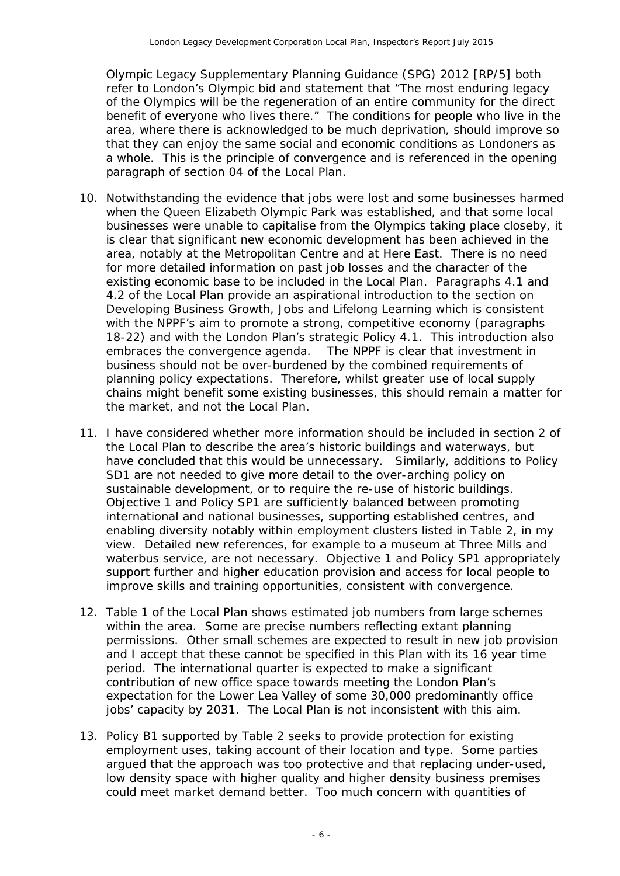Olympic Legacy Supplementary Planning Guidance (SPG) 2012 [RP/5] both refer to London's Olympic bid and statement that *"The most enduring legacy of the Olympics will be the regeneration of an entire community for the direct benefit of everyone who lives there."* The conditions for people who live in the area, where there is acknowledged to be much deprivation, should improve so that they can enjoy the same social and economic conditions as Londoners as a whole. This is the principle of convergence and is referenced in the opening paragraph of section 04 of the Local Plan.

- 10. Notwithstanding the evidence that jobs were lost and some businesses harmed when the Queen Elizabeth Olympic Park was established, and that some local businesses were unable to capitalise from the Olympics taking place closeby, it is clear that significant new economic development has been achieved in the area, notably at the Metropolitan Centre and at Here East. There is no need for more detailed information on past job losses and the character of the existing economic base to be included in the Local Plan. Paragraphs 4.1 and 4.2 of the Local Plan provide an aspirational introduction to the section on Developing Business Growth, Jobs and Lifelong Learning which is consistent with the NPPF's aim to promote a strong, competitive economy (paragraphs 18-22) and with the London Plan's strategic Policy 4.1. This introduction also embraces the convergence agenda. The NPPF is clear that investment in business should not be over-burdened by the combined requirements of planning policy expectations. Therefore, whilst greater use of local supply chains might benefit some existing businesses, this should remain a matter for the market, and not the Local Plan.
- 11. I have considered whether more information should be included in section 2 of the Local Plan to describe the area's historic buildings and waterways, but have concluded that this would be unnecessary. Similarly, additions to Policy SD1 are not needed to give more detail to the over-arching policy on sustainable development, or to require the re-use of historic buildings. Objective 1 and Policy SP1 are sufficiently balanced between promoting international and national businesses, supporting established centres, and enabling diversity notably within employment clusters listed in Table 2, in my view. Detailed new references, for example to a museum at Three Mills and waterbus service, are not necessary. Objective 1 and Policy SP1 appropriately support further and higher education provision and access for local people to improve skills and training opportunities, consistent with convergence.
- 12. Table 1 of the Local Plan shows estimated job numbers from large schemes within the area. Some are precise numbers reflecting extant planning permissions. Other small schemes are expected to result in new job provision and I accept that these cannot be specified in this Plan with its 16 year time period. The international quarter is expected to make a significant contribution of new office space towards meeting the London Plan's expectation for the Lower Lea Valley of some 30,000 predominantly office jobs' capacity by 2031. The Local Plan is not inconsistent with this aim.
- 13. Policy B1 supported by Table 2 seeks to provide protection for existing employment uses, taking account of their location and type. Some parties argued that the approach was too protective and that replacing under-used, low density space with higher quality and higher density business premises could meet market demand better. Too much concern with quantities of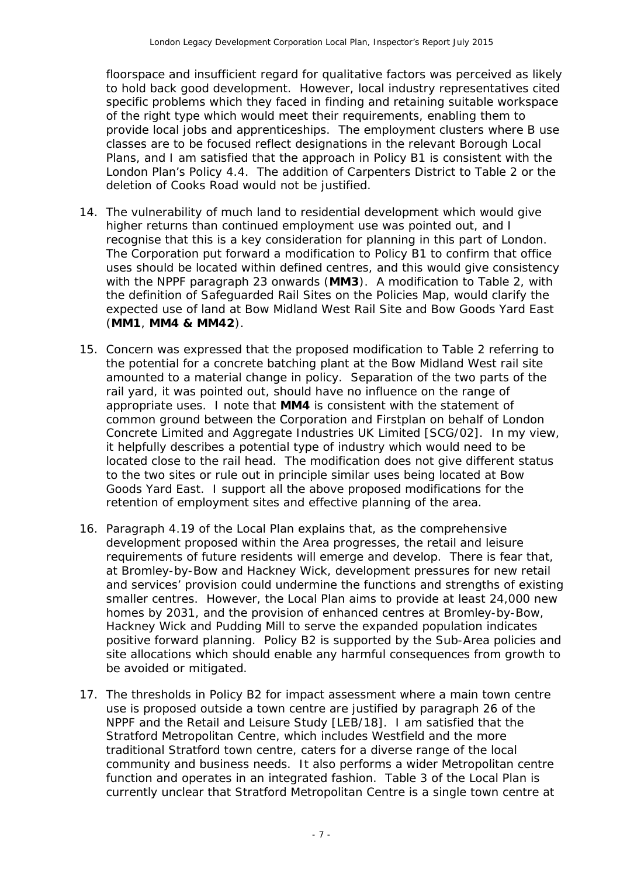floorspace and insufficient regard for qualitative factors was perceived as likely to hold back good development. However, local industry representatives cited specific problems which they faced in finding and retaining suitable workspace of the right type which would meet their requirements, enabling them to provide local jobs and apprenticeships. The employment clusters where B use classes are to be focused reflect designations in the relevant Borough Local Plans, and I am satisfied that the approach in Policy B1 is consistent with the London Plan's Policy 4.4. The addition of Carpenters District to Table 2 or the deletion of Cooks Road would not be justified.

- 14. The vulnerability of much land to residential development which would give higher returns than continued employment use was pointed out, and I recognise that this is a key consideration for planning in this part of London. The Corporation put forward a modification to Policy B1 to confirm that office uses should be located within defined centres, and this would give consistency with the NPPF paragraph 23 onwards (**MM3**). A modification to Table 2, with the definition of Safeguarded Rail Sites on the Policies Map, would clarify the expected use of land at Bow Midland West Rail Site and Bow Goods Yard East (**MM1**, **MM4 & MM42**).
- 15. Concern was expressed that the proposed modification to Table 2 referring to the potential for a concrete batching plant at the Bow Midland West rail site amounted to a material change in policy. Separation of the two parts of the rail yard, it was pointed out, should have no influence on the range of appropriate uses. I note that **MM4** is consistent with the statement of common ground between the Corporation and Firstplan on behalf of London Concrete Limited and Aggregate Industries UK Limited [SCG/02]. In my view, it helpfully describes a potential type of industry which would need to be located close to the rail head. The modification does not give different status to the two sites or rule out in principle similar uses being located at Bow Goods Yard East. I support all the above proposed modifications for the retention of employment sites and effective planning of the area.
- 16. Paragraph 4.19 of the Local Plan explains that, as the comprehensive development proposed within the Area progresses, the retail and leisure requirements of future residents will emerge and develop. There is fear that, at Bromley-by-Bow and Hackney Wick, development pressures for new retail and services' provision could undermine the functions and strengths of existing smaller centres. However, the Local Plan aims to provide at least 24,000 new homes by 2031, and the provision of enhanced centres at Bromley-by-Bow, Hackney Wick and Pudding Mill to serve the expanded population indicates positive forward planning. Policy B2 is supported by the Sub-Area policies and site allocations which should enable any harmful consequences from growth to be avoided or mitigated.
- 17. The thresholds in Policy B2 for impact assessment where a main town centre use is proposed outside a town centre are justified by paragraph 26 of the NPPF and the Retail and Leisure Study [LEB/18]. I am satisfied that the Stratford Metropolitan Centre, which includes Westfield and the more traditional Stratford town centre, caters for a diverse range of the local community and business needs. It also performs a wider Metropolitan centre function and operates in an integrated fashion. Table 3 of the Local Plan is currently unclear that Stratford Metropolitan Centre is a single town centre at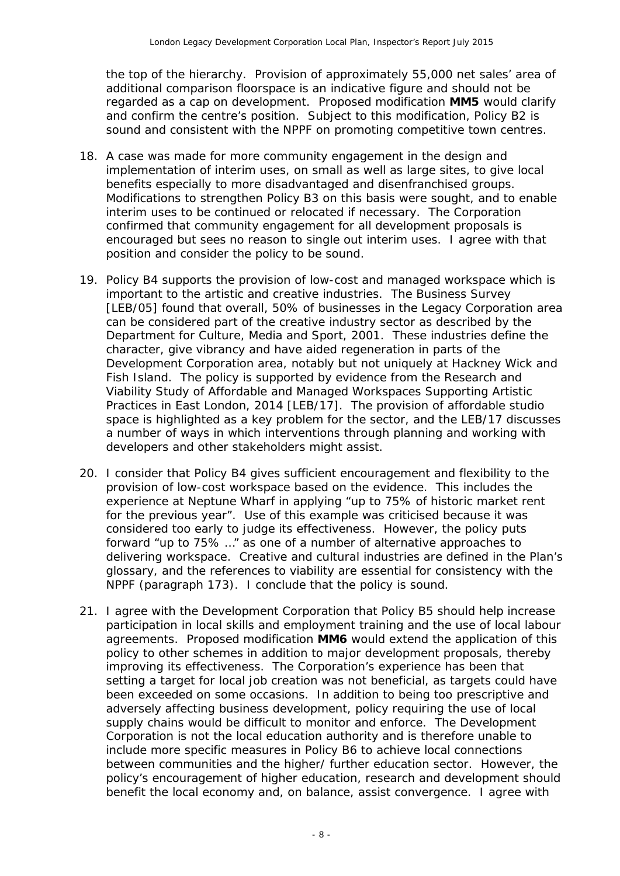the top of the hierarchy. Provision of approximately 55,000 net sales' area of additional comparison floorspace is an indicative figure and should not be regarded as a cap on development. Proposed modification **MM5** would clarify and confirm the centre's position. Subject to this modification, Policy B2 is sound and consistent with the NPPF on promoting competitive town centres.

- 18. A case was made for more community engagement in the design and implementation of interim uses, on small as well as large sites, to give local benefits especially to more disadvantaged and disenfranchised groups. Modifications to strengthen Policy B3 on this basis were sought, and to enable interim uses to be continued or relocated if necessary. The Corporation confirmed that community engagement for all development proposals is encouraged but sees no reason to single out interim uses. I agree with that position and consider the policy to be sound.
- 19. Policy B4 supports the provision of low-cost and managed workspace which is important to the artistic and creative industries. The Business Survey [LEB/05] found that overall, 50% of businesses in the Legacy Corporation area can be considered part of the creative industry sector as described by the Department for Culture, Media and Sport, 2001. These industries define the character, give vibrancy and have aided regeneration in parts of the Development Corporation area, notably but not uniquely at Hackney Wick and Fish Island. The policy is supported by evidence from the Research and Viability Study of Affordable and Managed Workspaces Supporting Artistic Practices in East London, 2014 [LEB/17]. The provision of affordable studio space is highlighted as a key problem for the sector, and the LEB/17 discusses a number of ways in which interventions through planning and working with developers and other stakeholders might assist.
- 20. I consider that Policy B4 gives sufficient encouragement and flexibility to the provision of low-cost workspace based on the evidence. This includes the experience at Neptune Wharf in applying "up to 75% of historic market rent for the previous year". Use of this example was criticised because it was considered too early to judge its effectiveness. However, the policy puts forward "up to 75% …" as one of a number of alternative approaches to delivering workspace. Creative and cultural industries are defined in the Plan's glossary, and the references to viability are essential for consistency with the NPPF (paragraph 173). I conclude that the policy is sound.
- 21. I agree with the Development Corporation that Policy B5 should help increase participation in local skills and employment training and the use of local labour agreements. Proposed modification **MM6** would extend the application of this policy to other schemes in addition to major development proposals, thereby improving its effectiveness. The Corporation's experience has been that setting a target for local job creation was not beneficial, as targets could have been exceeded on some occasions. In addition to being too prescriptive and adversely affecting business development, policy requiring the use of local supply chains would be difficult to monitor and enforce. The Development Corporation is not the local education authority and is therefore unable to include more specific measures in Policy B6 to achieve local connections between communities and the higher/ further education sector. However, the policy's encouragement of higher education, research and development should benefit the local economy and, on balance, assist convergence. I agree with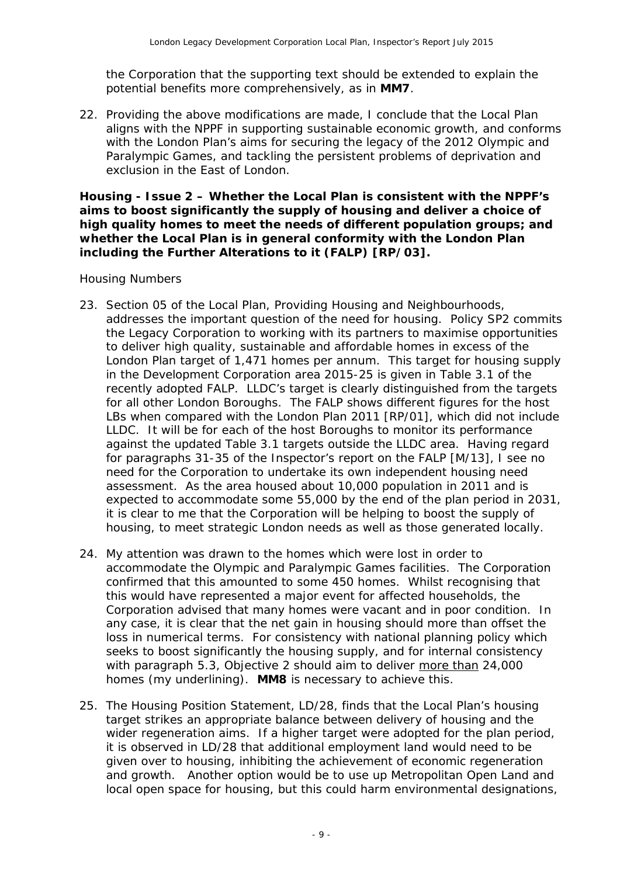the Corporation that the supporting text should be extended to explain the potential benefits more comprehensively, as in **MM7**.

22. Providing the above modifications are made, I conclude that the Local Plan aligns with the NPPF in supporting sustainable economic growth, and conforms with the London Plan's aims for securing the legacy of the 2012 Olympic and Paralympic Games, and tackling the persistent problems of deprivation and exclusion in the East of London.

**Housing - Issue 2 – Whether the Local Plan is consistent with the NPPF's aims to boost significantly the supply of housing and deliver a choice of high quality homes to meet the needs of different population groups; and whether the Local Plan is in general conformity with the London Plan including the Further Alterations to it (FALP) [RP/03].**

#### *Housing Numbers*

- 23. Section 05 of the Local Plan, Providing Housing and Neighbourhoods, addresses the important question of the need for housing. Policy SP2 commits the Legacy Corporation to working with its partners to maximise opportunities to deliver high quality, sustainable and affordable homes in excess of the London Plan target of 1,471 homes per annum. This target for housing supply in the Development Corporation area 2015-25 is given in Table 3.1 of the recently adopted FALP. LLDC's target is clearly distinguished from the targets for all other London Boroughs. The FALP shows different figures for the host LBs when compared with the London Plan 2011 [RP/01], which did not include LLDC. It will be for each of the host Boroughs to monitor its performance against the updated Table 3.1 targets outside the LLDC area. Having regard for paragraphs 31-35 of the Inspector's report on the FALP [M/13], I see no need for the Corporation to undertake its own independent housing need assessment. As the area housed about 10,000 population in 2011 and is expected to accommodate some 55,000 by the end of the plan period in 2031, it is clear to me that the Corporation will be helping to boost the supply of housing, to meet strategic London needs as well as those generated locally.
- 24. My attention was drawn to the homes which were lost in order to accommodate the Olympic and Paralympic Games facilities. The Corporation confirmed that this amounted to some 450 homes. Whilst recognising that this would have represented a major event for affected households, the Corporation advised that many homes were vacant and in poor condition. In any case, it is clear that the net gain in housing should more than offset the loss in numerical terms. For consistency with national planning policy which seeks to boost significantly the housing supply, and for internal consistency with paragraph 5.3, Objective 2 should aim to deliver more than 24,000 homes (my underlining). **MM8** is necessary to achieve this.
- 25. The Housing Position Statement, LD/28, finds that the Local Plan's housing target strikes an appropriate balance between delivery of housing and the wider regeneration aims. If a higher target were adopted for the plan period, it is observed in LD/28 that additional employment land would need to be given over to housing, inhibiting the achievement of economic regeneration and growth. Another option would be to use up Metropolitan Open Land and local open space for housing, but this could harm environmental designations,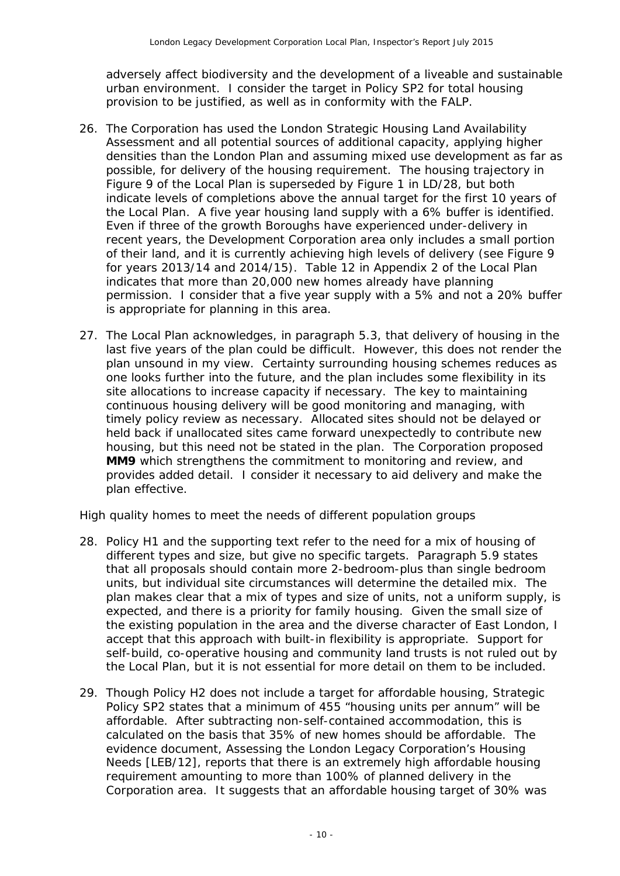adversely affect biodiversity and the development of a liveable and sustainable urban environment. I consider the target in Policy SP2 for total housing provision to be justified, as well as in conformity with the FALP.

- 26. The Corporation has used the London Strategic Housing Land Availability Assessment and all potential sources of additional capacity, applying higher densities than the London Plan and assuming mixed use development as far as possible, for delivery of the housing requirement. The housing trajectory in Figure 9 of the Local Plan is superseded by Figure 1 in LD/28, but both indicate levels of completions above the annual target for the first 10 years of the Local Plan. A five year housing land supply with a 6% buffer is identified. Even if three of the growth Boroughs have experienced under-delivery in recent years, the Development Corporation area only includes a small portion of their land, and it is currently achieving high levels of delivery (see Figure 9 for years 2013/14 and 2014/15). Table 12 in Appendix 2 of the Local Plan indicates that more than 20,000 new homes already have planning permission. I consider that a five year supply with a 5% and not a 20% buffer is appropriate for planning in this area.
- 27. The Local Plan acknowledges, in paragraph 5.3, that delivery of housing in the last five years of the plan could be difficult. However, this does not render the plan unsound in my view. Certainty surrounding housing schemes reduces as one looks further into the future, and the plan includes some flexibility in its site allocations to increase capacity if necessary. The key to maintaining continuous housing delivery will be good monitoring and managing, with timely policy review as necessary. Allocated sites should not be delayed or held back if unallocated sites came forward unexpectedly to contribute new housing, but this need not be stated in the plan. The Corporation proposed **MM9** which strengthens the commitment to monitoring and review, and provides added detail. I consider it necessary to aid delivery and make the plan effective.

#### *High quality homes to meet the needs of different population groups*

- 28. Policy H1 and the supporting text refer to the need for a mix of housing of different types and size, but give no specific targets. Paragraph 5.9 states that all proposals should contain more 2-bedroom-plus than single bedroom units, but individual site circumstances will determine the detailed mix. The plan makes clear that a mix of types and size of units, not a uniform supply, is expected, and there is a priority for family housing. Given the small size of the existing population in the area and the diverse character of East London, I accept that this approach with built-in flexibility is appropriate. Support for self-build, co-operative housing and community land trusts is not ruled out by the Local Plan, but it is not essential for more detail on them to be included.
- 29. Though Policy H2 does not include a target for affordable housing, Strategic Policy SP2 states that a minimum of 455 "housing units per annum" will be affordable. After subtracting non-self-contained accommodation, this is calculated on the basis that 35% of new homes should be affordable. The evidence document, Assessing the London Legacy Corporation's Housing Needs [LEB/12], reports that there is an extremely high affordable housing requirement amounting to more than 100% of planned delivery in the Corporation area. It suggests that an affordable housing target of 30% was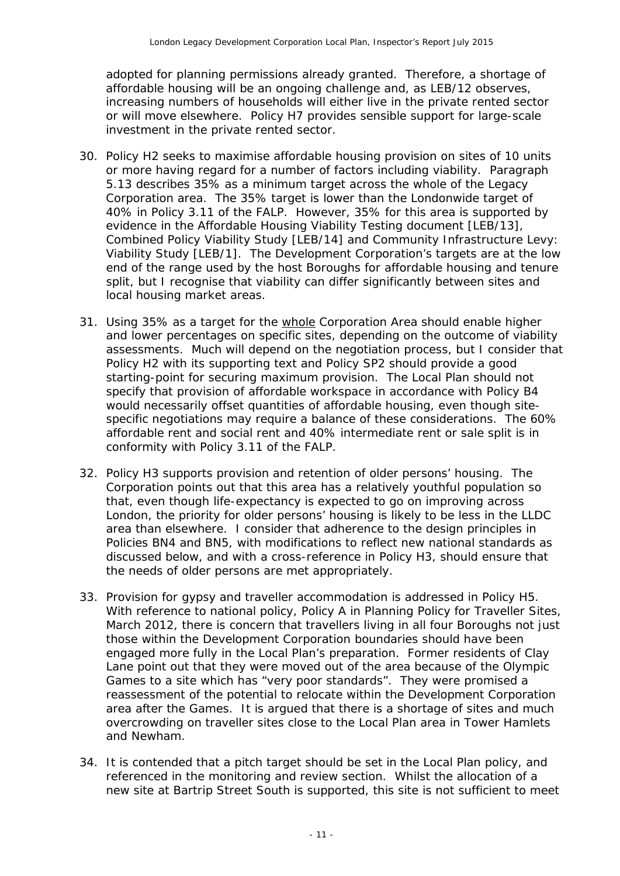adopted for planning permissions already granted. Therefore, a shortage of affordable housing will be an ongoing challenge and, as LEB/12 observes, increasing numbers of households will either live in the private rented sector or will move elsewhere. Policy H7 provides sensible support for large-scale investment in the private rented sector.

- 30. Policy H2 seeks to maximise affordable housing provision on sites of 10 units or more having regard for a number of factors including viability. Paragraph 5.13 describes 35% as a minimum target across the whole of the Legacy Corporation area. The 35% target is lower than the Londonwide target of 40% in Policy 3.11 of the FALP. However, 35% for this area is supported by evidence in the Affordable Housing Viability Testing document [LEB/13], Combined Policy Viability Study [LEB/14] and Community Infrastructure Levy: Viability Study [LEB/1]. The Development Corporation's targets are at the low end of the range used by the host Boroughs for affordable housing and tenure split, but I recognise that viability can differ significantly between sites and local housing market areas.
- 31. Using 35% as a target for the whole Corporation Area should enable higher and lower percentages on specific sites, depending on the outcome of viability assessments. Much will depend on the negotiation process, but I consider that Policy H2 with its supporting text and Policy SP2 should provide a good starting-point for securing maximum provision. The Local Plan should not specify that provision of affordable workspace in accordance with Policy B4 would necessarily offset quantities of affordable housing, even though sitespecific negotiations may require a balance of these considerations. The 60% affordable rent and social rent and 40% intermediate rent or sale split is in conformity with Policy 3.11 of the FALP.
- 32. Policy H3 supports provision and retention of older persons' housing. The Corporation points out that this area has a relatively youthful population so that, even though life-expectancy is expected to go on improving across London, the priority for older persons' housing is likely to be less in the LLDC area than elsewhere. I consider that adherence to the design principles in Policies BN4 and BN5, with modifications to reflect new national standards as discussed below, and with a cross-reference in Policy H3, should ensure that the needs of older persons are met appropriately.
- 33. Provision for gypsy and traveller accommodation is addressed in Policy H5. With reference to national policy, Policy A in Planning Policy for Traveller Sites, March 2012, there is concern that travellers living in all four Boroughs not just those within the Development Corporation boundaries should have been engaged more fully in the Local Plan's preparation. Former residents of Clay Lane point out that they were moved out of the area because of the Olympic Games to a site which has "*very poor standards*". They were promised a reassessment of the potential to relocate within the Development Corporation area after the Games. It is argued that there is a shortage of sites and much overcrowding on traveller sites close to the Local Plan area in Tower Hamlets and Newham.
- 34. It is contended that a pitch target should be set in the Local Plan policy, and referenced in the monitoring and review section. Whilst the allocation of a new site at Bartrip Street South is supported, this site is not sufficient to meet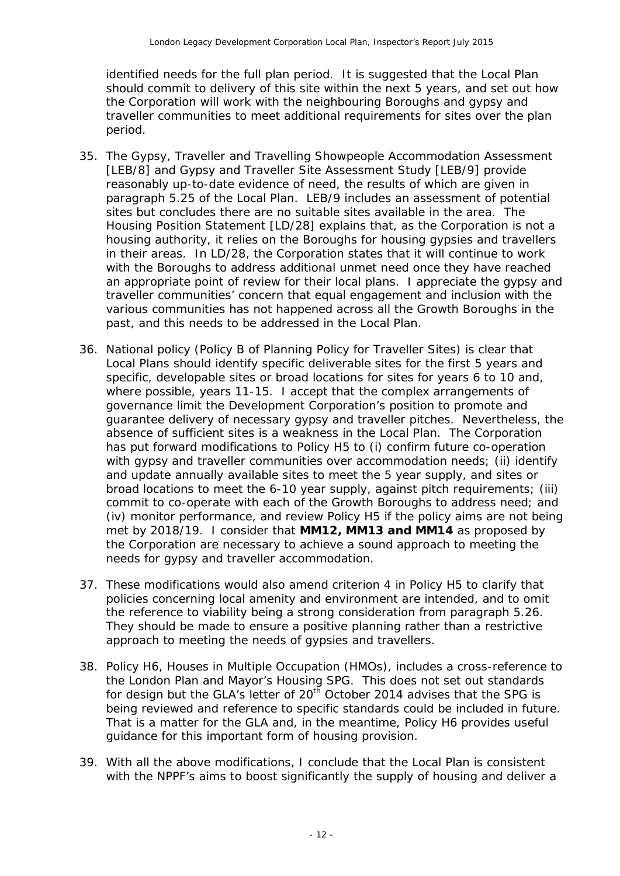identified needs for the full plan period. It is suggested that the Local Plan should commit to delivery of this site within the next 5 years, and set out how the Corporation will work with the neighbouring Boroughs and gypsy and traveller communities to meet additional requirements for sites over the plan period.

- 35. The Gypsy, Traveller and Travelling Showpeople Accommodation Assessment [LEB/8] and Gypsy and Traveller Site Assessment Study [LEB/9] provide reasonably up-to-date evidence of need, the results of which are given in paragraph 5.25 of the Local Plan. LEB/9 includes an assessment of potential sites but concludes there are no suitable sites available in the area. The Housing Position Statement [LD/28] explains that, as the Corporation is not a housing authority, it relies on the Boroughs for housing gypsies and travellers in their areas. In LD/28, the Corporation states that it will continue to work with the Boroughs to address additional unmet need once they have reached an appropriate point of review for their local plans. I appreciate the gypsy and traveller communities' concern that equal engagement and inclusion with the various communities has not happened across all the Growth Boroughs in the past, and this needs to be addressed in the Local Plan.
- 36. National policy (Policy B of Planning Policy for Traveller Sites) is clear that Local Plans should identify specific deliverable sites for the first 5 years and specific, developable sites or broad locations for sites for years 6 to 10 and, where possible, years 11-15. I accept that the complex arrangements of governance limit the Development Corporation's position to promote and guarantee delivery of necessary gypsy and traveller pitches. Nevertheless, the absence of sufficient sites is a weakness in the Local Plan. The Corporation has put forward modifications to Policy H5 to (i) confirm future co-operation with gypsy and traveller communities over accommodation needs; (ii) identify and update annually available sites to meet the 5 year supply, and sites or broad locations to meet the 6-10 year supply, against pitch requirements; (iii) commit to co-operate with each of the Growth Boroughs to address need; and (iv) monitor performance, and review Policy H5 if the policy aims are not being met by 2018/19. I consider that **MM12, MM13 and MM14** as proposed by the Corporation are necessary to achieve a sound approach to meeting the needs for gypsy and traveller accommodation.
- 37. These modifications would also amend criterion 4 in Policy H5 to clarify that policies concerning local amenity and environment are intended, and to omit the reference to viability being a strong consideration from paragraph 5.26. They should be made to ensure a positive planning rather than a restrictive approach to meeting the needs of gypsies and travellers.
- 38. Policy H6, Houses in Multiple Occupation (HMOs), includes a cross-reference to the London Plan and Mayor's Housing SPG. This does not set out standards for design but the GLA's letter of 20<sup>th</sup> October 2014 advises that the SPG is being reviewed and reference to specific standards could be included in future. That is a matter for the GLA and, in the meantime, Policy H6 provides useful guidance for this important form of housing provision.
- 39. With all the above modifications, I conclude that the Local Plan is consistent with the NPPF's aims to boost significantly the supply of housing and deliver a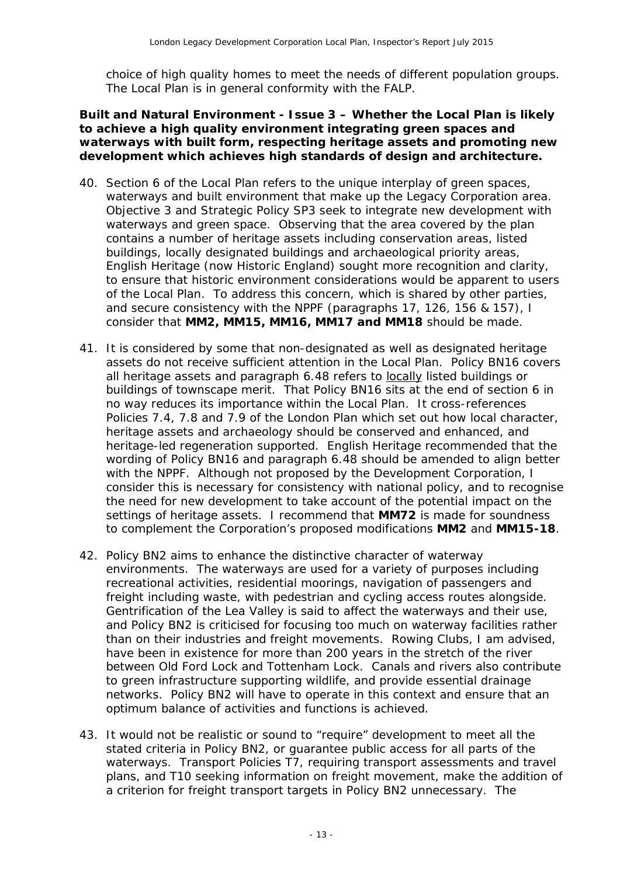choice of high quality homes to meet the needs of different population groups. The Local Plan is in general conformity with the FALP.

#### **Built and Natural Environment - Issue 3 – Whether the Local Plan is likely to achieve a high quality environment integrating green spaces and waterways with built form, respecting heritage assets and promoting new development which achieves high standards of design and architecture.**

- 40. Section 6 of the Local Plan refers to the unique interplay of green spaces, waterways and built environment that make up the Legacy Corporation area. Objective 3 and Strategic Policy SP3 seek to integrate new development with waterways and green space. Observing that the area covered by the plan contains a number of heritage assets including conservation areas, listed buildings, locally designated buildings and archaeological priority areas, English Heritage (now Historic England) sought more recognition and clarity, to ensure that historic environment considerations would be apparent to users of the Local Plan. To address this concern, which is shared by other parties, and secure consistency with the NPPF (paragraphs 17, 126, 156 & 157), I consider that **MM2, MM15, MM16, MM17 and MM18** should be made.
- 41. It is considered by some that non-designated as well as designated heritage assets do not receive sufficient attention in the Local Plan. Policy BN16 covers all heritage assets and paragraph 6.48 refers to locally listed buildings or buildings of townscape merit. That Policy BN16 sits at the end of section 6 in no way reduces its importance within the Local Plan. It cross-references Policies 7.4, 7.8 and 7.9 of the London Plan which set out how local character, heritage assets and archaeology should be conserved and enhanced, and heritage-led regeneration supported. English Heritage recommended that the wording of Policy BN16 and paragraph 6.48 should be amended to align better with the NPPF. Although not proposed by the Development Corporation, I consider this is necessary for consistency with national policy, and to recognise the need for new development to take account of the potential impact on the settings of heritage assets. I recommend that **MM72** is made for soundness to complement the Corporation's proposed modifications **MM2** and **MM15-18**.
- 42. Policy BN2 aims to enhance the distinctive character of waterway environments. The waterways are used for a variety of purposes including recreational activities, residential moorings, navigation of passengers and freight including waste, with pedestrian and cycling access routes alongside. Gentrification of the Lea Valley is said to affect the waterways and their use, and Policy BN2 is criticised for focusing too much on waterway facilities rather than on their industries and freight movements. Rowing Clubs, I am advised, have been in existence for more than 200 years in the stretch of the river between Old Ford Lock and Tottenham Lock. Canals and rivers also contribute to green infrastructure supporting wildlife, and provide essential drainage networks. Policy BN2 will have to operate in this context and ensure that an optimum balance of activities and functions is achieved.
- 43. It would not be realistic or sound to "require" development to meet all the stated criteria in Policy BN2, or guarantee public access for all parts of the waterways. Transport Policies T7, requiring transport assessments and travel plans, and T10 seeking information on freight movement, make the addition of a criterion for freight transport targets in Policy BN2 unnecessary. The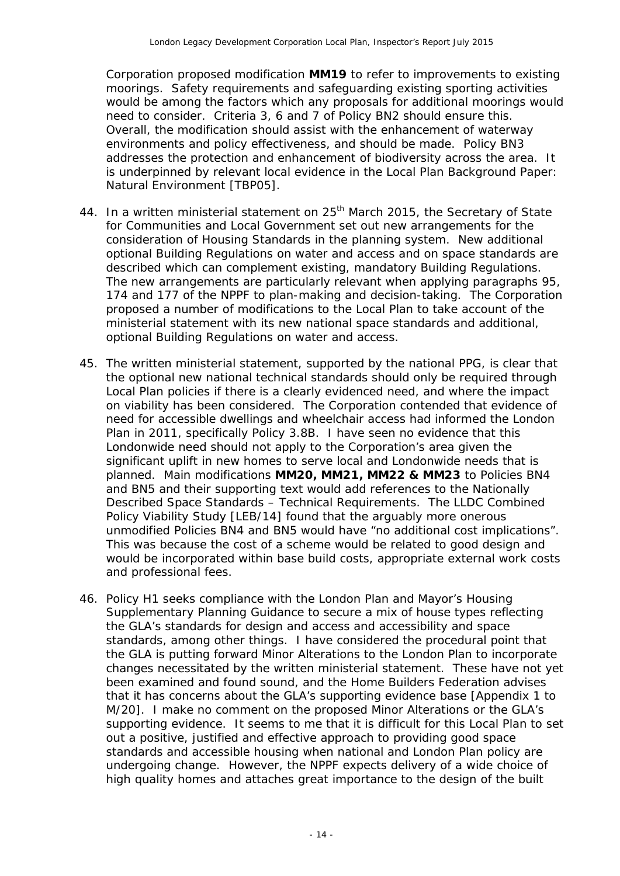Corporation proposed modification **MM19** to refer to improvements to existing moorings. Safety requirements and safeguarding existing sporting activities would be among the factors which any proposals for additional moorings would need to consider. Criteria 3, 6 and 7 of Policy BN2 should ensure this. Overall, the modification should assist with the enhancement of waterway environments and policy effectiveness, and should be made. Policy BN3 addresses the protection and enhancement of biodiversity across the area. It is underpinned by relevant local evidence in the Local Plan Background Paper: Natural Environment [TBP05].

- 44. In a written ministerial statement on 25<sup>th</sup> March 2015, the Secretary of State for Communities and Local Government set out new arrangements for the consideration of Housing Standards in the planning system. New additional optional Building Regulations on water and access and on space standards are described which can complement existing, mandatory Building Regulations. The new arrangements are particularly relevant when applying paragraphs 95, 174 and 177 of the NPPF to plan-making and decision-taking. The Corporation proposed a number of modifications to the Local Plan to take account of the ministerial statement with its new national space standards and additional, optional Building Regulations on water and access.
- 45. The written ministerial statement, supported by the national PPG, is clear that the optional new national technical standards should only be required through Local Plan policies if there is a clearly evidenced need, and where the impact on viability has been considered. The Corporation contended that evidence of need for accessible dwellings and wheelchair access had informed the London Plan in 2011, specifically Policy 3.8B. I have seen no evidence that this Londonwide need should not apply to the Corporation's area given the significant uplift in new homes to serve local and Londonwide needs that is planned. Main modifications **MM20, MM21, MM22 & MM23** to Policies BN4 and BN5 and their supporting text would add references to the Nationally Described Space Standards – Technical Requirements.The LLDC Combined Policy Viability Study [LEB/14] found that the arguably more onerous unmodified Policies BN4 and BN5 would have "*no additional cost implications*". This was because the cost of a scheme would be related to good design and would be incorporated within base build costs, appropriate external work costs and professional fees.
- 46. Policy H1 seeks compliance with the London Plan and Mayor's Housing Supplementary Planning Guidance to secure a mix of house types reflecting the GLA's standards for design and access and accessibility and space standards, among other things. I have considered the procedural point that the GLA is putting forward Minor Alterations to the London Plan to incorporate changes necessitated by the written ministerial statement. These have not yet been examined and found sound, and the Home Builders Federation advises that it has concerns about the GLA's supporting evidence base [Appendix 1 to M/20]. I make no comment on the proposed Minor Alterations or the GLA's supporting evidence. It seems to me that it is difficult for this Local Plan to set out a positive, justified and effective approach to providing good space standards and accessible housing when national and London Plan policy are undergoing change. However, the NPPF expects delivery of a wide choice of high quality homes and attaches great importance to the design of the built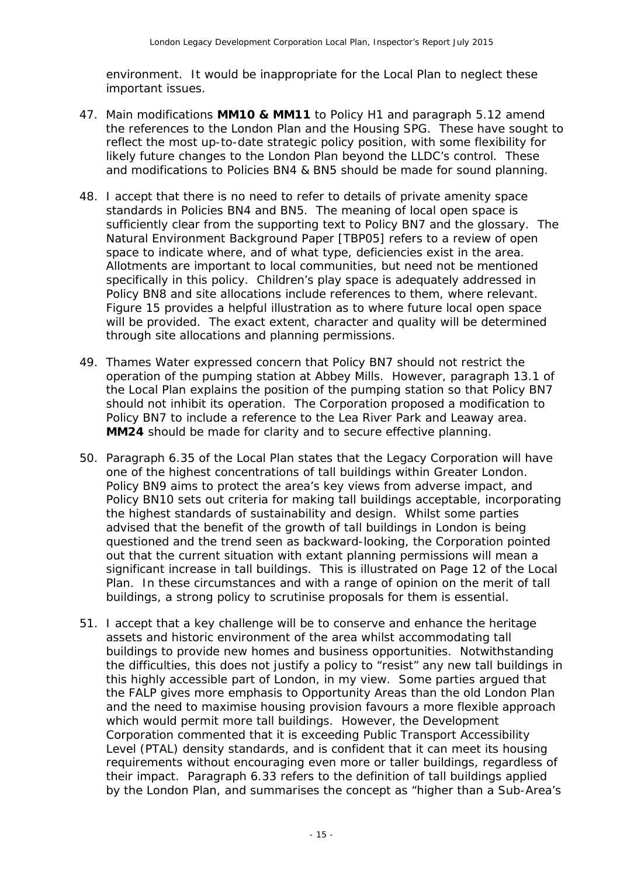environment. It would be inappropriate for the Local Plan to neglect these important issues.

- 47. Main modifications **MM10 & MM11** to Policy H1 and paragraph 5.12 amend the references to the London Plan and the Housing SPG. These have sought to reflect the most up-to-date strategic policy position, with some flexibility for likely future changes to the London Plan beyond the LLDC's control. These and modifications to Policies BN4 & BN5 should be made for sound planning.
- 48. I accept that there is no need to refer to details of private amenity space standards in Policies BN4 and BN5. The meaning of local open space is sufficiently clear from the supporting text to Policy BN7 and the glossary. The Natural Environment Background Paper [TBP05] refers to a review of open space to indicate where, and of what type, deficiencies exist in the area. Allotments are important to local communities, but need not be mentioned specifically in this policy. Children's play space is adequately addressed in Policy BN8 and site allocations include references to them, where relevant. Figure 15 provides a helpful illustration as to where future local open space will be provided. The exact extent, character and quality will be determined through site allocations and planning permissions.
- 49. Thames Water expressed concern that Policy BN7 should not restrict the operation of the pumping station at Abbey Mills. However, paragraph 13.1 of the Local Plan explains the position of the pumping station so that Policy BN7 should not inhibit its operation. The Corporation proposed a modification to Policy BN7 to include a reference to the Lea River Park and Leaway area. **MM24** should be made for clarity and to secure effective planning.
- 50. Paragraph 6.35 of the Local Plan states that the Legacy Corporation will have one of the highest concentrations of tall buildings within Greater London. Policy BN9 aims to protect the area's key views from adverse impact, and Policy BN10 sets out criteria for making tall buildings acceptable, incorporating the highest standards of sustainability and design. Whilst some parties advised that the benefit of the growth of tall buildings in London is being questioned and the trend seen as backward-looking, the Corporation pointed out that the current situation with extant planning permissions will mean a significant increase in tall buildings. This is illustrated on Page 12 of the Local Plan. In these circumstances and with a range of opinion on the merit of tall buildings, a strong policy to scrutinise proposals for them is essential.
- 51. I accept that a key challenge will be to conserve and enhance the heritage assets and historic environment of the area whilst accommodating tall buildings to provide new homes and business opportunities. Notwithstanding the difficulties, this does not justify a policy to "resist" any new tall buildings in this highly accessible part of London, in my view. Some parties argued that the FALP gives more emphasis to Opportunity Areas than the old London Plan and the need to maximise housing provision favours a more flexible approach which would permit more tall buildings. However, the Development Corporation commented that it is exceeding Public Transport Accessibility Level (PTAL) density standards, and is confident that it can meet its housing requirements without encouraging even more or taller buildings, regardless of their impact. Paragraph 6.33 refers to the definition of tall buildings applied by the London Plan, and summarises the concept as "higher than a Sub-Area's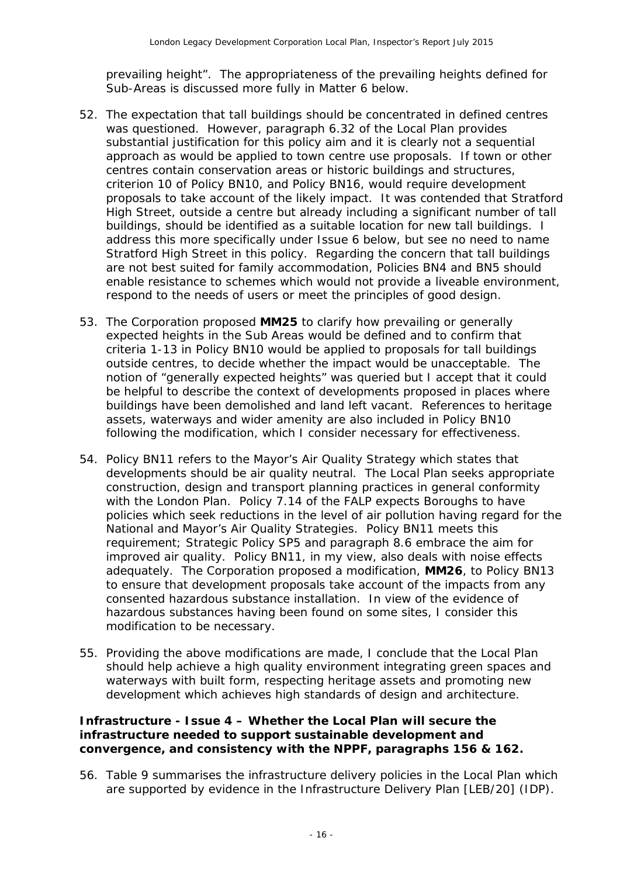prevailing height". The appropriateness of the prevailing heights defined for Sub-Areas is discussed more fully in Matter 6 below.

- 52. The expectation that tall buildings should be concentrated in defined centres was questioned. However, paragraph 6.32 of the Local Plan provides substantial justification for this policy aim and it is clearly not a sequential approach as would be applied to town centre use proposals. If town or other centres contain conservation areas or historic buildings and structures, criterion 10 of Policy BN10, and Policy BN16, would require development proposals to take account of the likely impact. It was contended that Stratford High Street, outside a centre but already including a significant number of tall buildings, should be identified as a suitable location for new tall buildings. I address this more specifically under Issue 6 below, but see no need to name Stratford High Street in this policy. Regarding the concern that tall buildings are not best suited for family accommodation, Policies BN4 and BN5 should enable resistance to schemes which would not provide a liveable environment, respond to the needs of users or meet the principles of good design.
- 53. The Corporation proposed **MM25** to clarify how prevailing or generally expected heights in the Sub Areas would be defined and to confirm that criteria 1-13 in Policy BN10 would be applied to proposals for tall buildings outside centres, to decide whether the impact would be unacceptable. The notion of "generally expected heights" was queried but I accept that it could be helpful to describe the context of developments proposed in places where buildings have been demolished and land left vacant. References to heritage assets, waterways and wider amenity are also included in Policy BN10 following the modification, which I consider necessary for effectiveness.
- 54. Policy BN11 refers to the Mayor's Air Quality Strategy which states that developments should be air quality neutral. The Local Plan seeks appropriate construction, design and transport planning practices in general conformity with the London Plan. Policy 7.14 of the FALP expects Boroughs to have policies which seek reductions in the level of air pollution having regard for the National and Mayor's Air Quality Strategies. Policy BN11 meets this requirement; Strategic Policy SP5 and paragraph 8.6 embrace the aim for improved air quality. Policy BN11, in my view, also deals with noise effects adequately. The Corporation proposed a modification, **MM26**, to Policy BN13 to ensure that development proposals take account of the impacts from any consented hazardous substance installation. In view of the evidence of hazardous substances having been found on some sites, I consider this modification to be necessary.
- 55. Providing the above modifications are made, I conclude that the Local Plan should help achieve a high quality environment integrating green spaces and waterways with built form, respecting heritage assets and promoting new development which achieves high standards of design and architecture.

#### **Infrastructure - Issue 4 – Whether the Local Plan will secure the infrastructure needed to support sustainable development and convergence, and consistency with the NPPF, paragraphs 156 & 162.**

56. Table 9 summarises the infrastructure delivery policies in the Local Plan which are supported by evidence in the Infrastructure Delivery Plan [LEB/20] (IDP).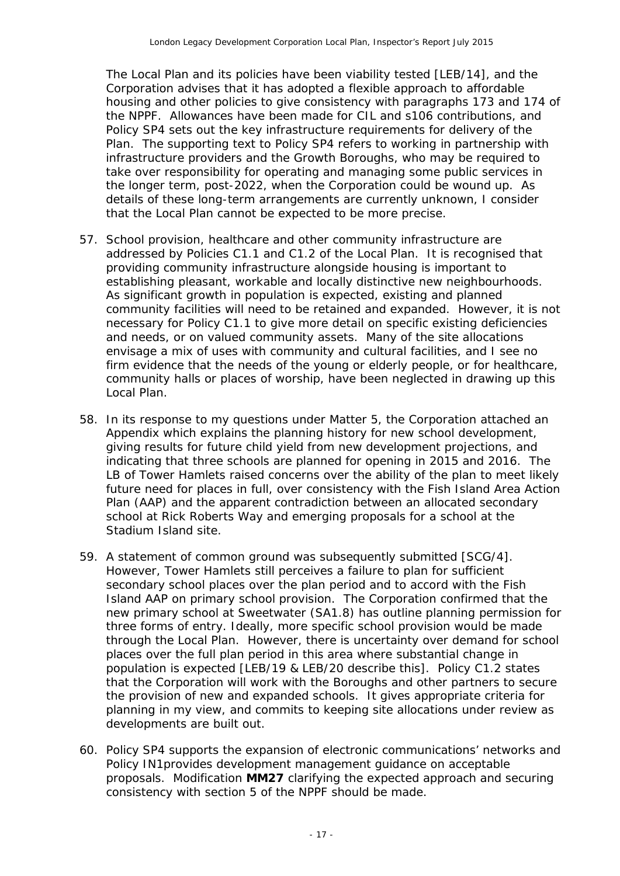The Local Plan and its policies have been viability tested [LEB/14], and the Corporation advises that it has adopted a flexible approach to affordable housing and other policies to give consistency with paragraphs 173 and 174 of the NPPF. Allowances have been made for CIL and s106 contributions, and Policy SP4 sets out the key infrastructure requirements for delivery of the Plan. The supporting text to Policy SP4 refers to working in partnership with infrastructure providers and the Growth Boroughs, who may be required to take over responsibility for operating and managing some public services in the longer term, post-2022, when the Corporation could be wound up. As details of these long-term arrangements are currently unknown, I consider that the Local Plan cannot be expected to be more precise.

- 57. School provision, healthcare and other community infrastructure are addressed by Policies C1.1 and C1.2 of the Local Plan. It is recognised that providing community infrastructure alongside housing is important to establishing pleasant, workable and locally distinctive new neighbourhoods. As significant growth in population is expected, existing and planned community facilities will need to be retained and expanded. However, it is not necessary for Policy C1.1 to give more detail on specific existing deficiencies and needs, or on valued community assets. Many of the site allocations envisage a mix of uses with community and cultural facilities, and I see no firm evidence that the needs of the young or elderly people, or for healthcare, community halls or places of worship, have been neglected in drawing up this Local Plan.
- 58. In its response to my questions under Matter 5, the Corporation attached an Appendix which explains the planning history for new school development, giving results for future child yield from new development projections, and indicating that three schools are planned for opening in 2015 and 2016. The LB of Tower Hamlets raised concerns over the ability of the plan to meet likely future need for places in full, over consistency with the Fish Island Area Action Plan (AAP) and the apparent contradiction between an allocated secondary school at Rick Roberts Way and emerging proposals for a school at the Stadium Island site.
- 59. A statement of common ground was subsequently submitted [SCG/4]. However, Tower Hamlets still perceives a failure to plan for sufficient secondary school places over the plan period and to accord with the Fish Island AAP on primary school provision. The Corporation confirmed that the new primary school at Sweetwater (SA1.8) has outline planning permission for three forms of entry. Ideally, more specific school provision would be made through the Local Plan. However, there is uncertainty over demand for school places over the full plan period in this area where substantial change in population is expected [LEB/19 & LEB/20 describe this]. Policy C1.2 states that the Corporation will work with the Boroughs and other partners to secure the provision of new and expanded schools. It gives appropriate criteria for planning in my view, and commits to keeping site allocations under review as developments are built out.
- 60. Policy SP4 supports the expansion of electronic communications' networks and Policy IN1provides development management guidance on acceptable proposals. Modification **MM27** clarifying the expected approach and securing consistency with section 5 of the NPPF should be made.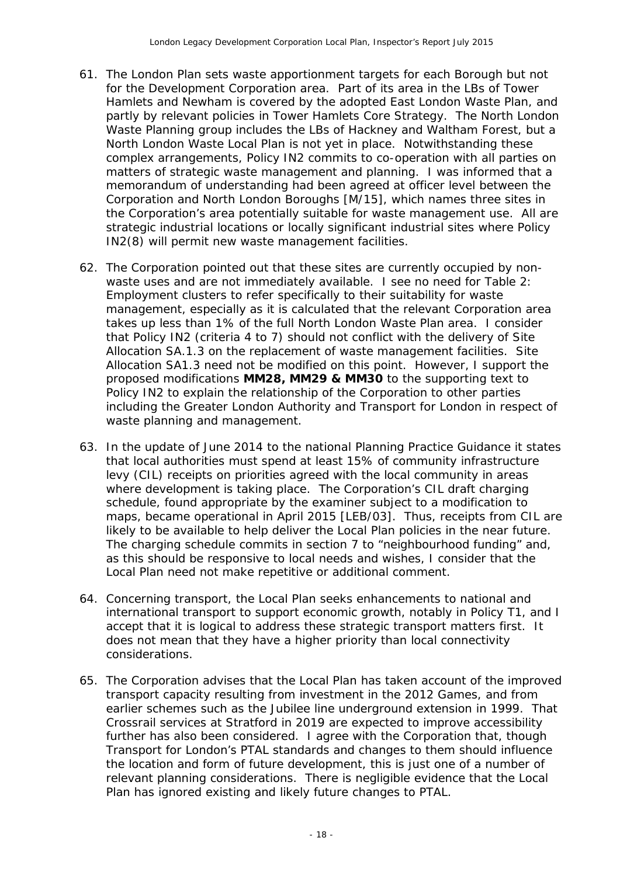- 61. The London Plan sets waste apportionment targets for each Borough but not for the Development Corporation area. Part of its area in the LBs of Tower Hamlets and Newham is covered by the adopted East London Waste Plan, and partly by relevant policies in Tower Hamlets Core Strategy. The North London Waste Planning group includes the LBs of Hackney and Waltham Forest, but a North London Waste Local Plan is not yet in place. Notwithstanding these complex arrangements, Policy IN2 commits to co-operation with all parties on matters of strategic waste management and planning. I was informed that a memorandum of understanding had been agreed at officer level between the Corporation and North London Boroughs [M/15], which names three sites in the Corporation's area potentially suitable for waste management use. All are strategic industrial locations or locally significant industrial sites where Policy IN2(8) will permit new waste management facilities.
- 62. The Corporation pointed out that these sites are currently occupied by nonwaste uses and are not immediately available. I see no need for Table 2: Employment clusters to refer specifically to their suitability for waste management, especially as it is calculated that the relevant Corporation area takes up less than 1% of the full North London Waste Plan area. I consider that Policy IN2 (criteria 4 to 7) should not conflict with the delivery of Site Allocation SA.1.3 on the replacement of waste management facilities. Site Allocation SA1.3 need not be modified on this point. However, I support the proposed modifications **MM28, MM29 & MM30** to the supporting text to Policy IN2 to explain the relationship of the Corporation to other parties including the Greater London Authority and Transport for London in respect of waste planning and management.
- 63. In the update of June 2014 to the national Planning Practice Guidance it states that local authorities must spend at least 15% of community infrastructure levy (CIL) receipts on priorities agreed with the local community in areas where development is taking place. The Corporation's CIL draft charging schedule, found appropriate by the examiner subject to a modification to maps, became operational in April 2015 [LEB/03]. Thus, receipts from CIL are likely to be available to help deliver the Local Plan policies in the near future. The charging schedule commits in section 7 to "neighbourhood funding" and, as this should be responsive to local needs and wishes, I consider that the Local Plan need not make repetitive or additional comment.
- 64. Concerning transport, the Local Plan seeks enhancements to national and international transport to support economic growth, notably in Policy T1, and I accept that it is logical to address these strategic transport matters first. It does not mean that they have a higher priority than local connectivity considerations.
- 65. The Corporation advises that the Local Plan has taken account of the improved transport capacity resulting from investment in the 2012 Games, and from earlier schemes such as the Jubilee line underground extension in 1999. That Crossrail services at Stratford in 2019 are expected to improve accessibility further has also been considered. I agree with the Corporation that, though Transport for London's PTAL standards and changes to them should influence the location and form of future development, this is just one of a number of relevant planning considerations. There is negligible evidence that the Local Plan has ignored existing and likely future changes to PTAL.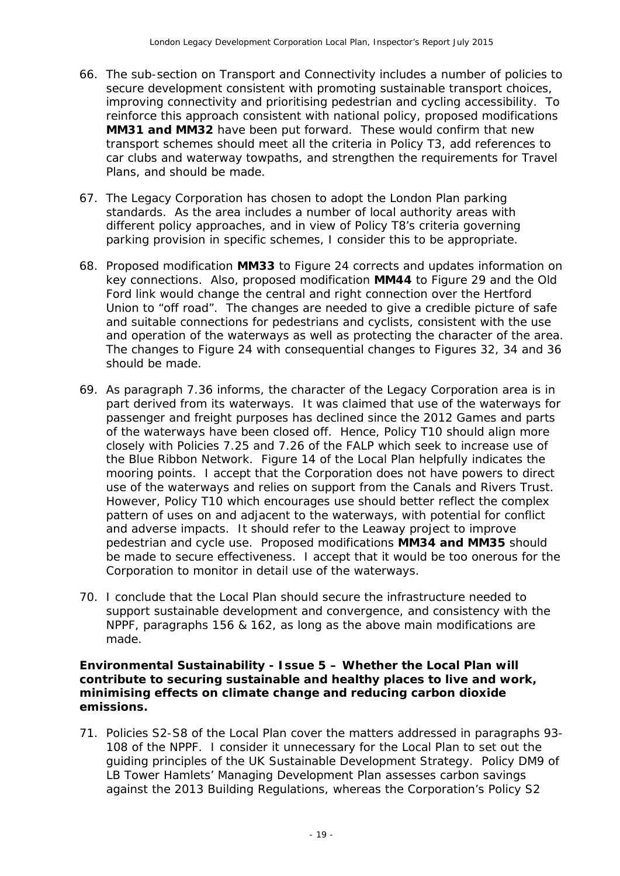- 66. The sub-section on Transport and Connectivity includes a number of policies to secure development consistent with promoting sustainable transport choices, improving connectivity and prioritising pedestrian and cycling accessibility. To reinforce this approach consistent with national policy, proposed modifications **MM31 and MM32** have been put forward. These would confirm that new transport schemes should meet all the criteria in Policy T3, add references to car clubs and waterway towpaths, and strengthen the requirements for Travel Plans, and should be made.
- 67. The Legacy Corporation has chosen to adopt the London Plan parking standards. As the area includes a number of local authority areas with different policy approaches, and in view of Policy T8's criteria governing parking provision in specific schemes, I consider this to be appropriate.
- 68. Proposed modification **MM33** to Figure 24 corrects and updates information on key connections. Also, proposed modification **MM44** to Figure 29 and the Old Ford link would change the central and right connection over the Hertford Union to "off road". The changes are needed to give a credible picture of safe and suitable connections for pedestrians and cyclists, consistent with the use and operation of the waterways as well as protecting the character of the area. The changes to Figure 24 with consequential changes to Figures 32, 34 and 36 should be made.
- 69. As paragraph 7.36 informs, the character of the Legacy Corporation area is in part derived from its waterways. It was claimed that use of the waterways for passenger and freight purposes has declined since the 2012 Games and parts of the waterways have been closed off. Hence, Policy T10 should align more closely with Policies 7.25 and 7.26 of the FALP which seek to increase use of the Blue Ribbon Network. Figure 14 of the Local Plan helpfully indicates the mooring points. I accept that the Corporation does not have powers to direct use of the waterways and relies on support from the Canals and Rivers Trust. However, Policy T10 which encourages use should better reflect the complex pattern of uses on and adjacent to the waterways, with potential for conflict and adverse impacts. It should refer to the Leaway project to improve pedestrian and cycle use. Proposed modifications **MM34 and MM35** should be made to secure effectiveness. I accept that it would be too onerous for the Corporation to monitor in detail use of the waterways.
- 70. I conclude that the Local Plan should secure the infrastructure needed to support sustainable development and convergence, and consistency with the NPPF, paragraphs 156 & 162, as long as the above main modifications are made.

#### **Environmental Sustainability - Issue 5 – Whether the Local Plan will contribute to securing sustainable and healthy places to live and work, minimising effects on climate change and reducing carbon dioxide emissions.**

71. Policies S2-S8 of the Local Plan cover the matters addressed in paragraphs 93- 108 of the NPPF. I consider it unnecessary for the Local Plan to set out the guiding principles of the UK Sustainable Development Strategy. Policy DM9 of LB Tower Hamlets' Managing Development Plan assesses carbon savings against the 2013 Building Regulations, whereas the Corporation's Policy S2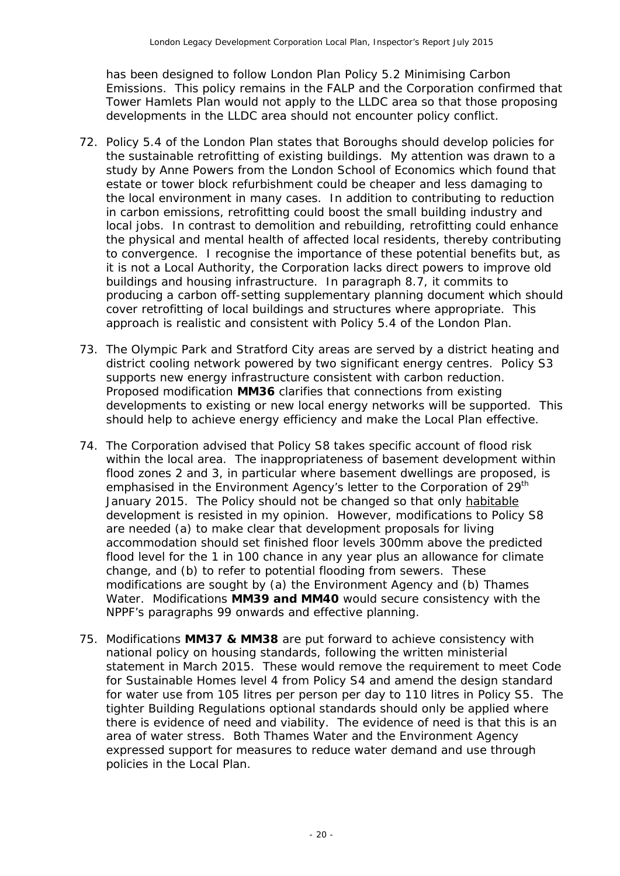has been designed to follow London Plan Policy 5.2 Minimising Carbon Emissions. This policy remains in the FALP and the Corporation confirmed that Tower Hamlets Plan would not apply to the LLDC area so that those proposing developments in the LLDC area should not encounter policy conflict.

- 72. Policy 5.4 of the London Plan states that Boroughs should develop policies for the sustainable retrofitting of existing buildings. My attention was drawn to a study by Anne Powers from the London School of Economics which found that estate or tower block refurbishment could be cheaper and less damaging to the local environment in many cases. In addition to contributing to reduction in carbon emissions, retrofitting could boost the small building industry and local jobs. In contrast to demolition and rebuilding, retrofitting could enhance the physical and mental health of affected local residents, thereby contributing to convergence. I recognise the importance of these potential benefits but, as it is not a Local Authority, the Corporation lacks direct powers to improve old buildings and housing infrastructure. In paragraph 8.7, it commits to producing a carbon off-setting supplementary planning document which should cover retrofitting of local buildings and structures where appropriate. This approach is realistic and consistent with Policy 5.4 of the London Plan.
- 73. The Olympic Park and Stratford City areas are served by a district heating and district cooling network powered by two significant energy centres. Policy S3 supports new energy infrastructure consistent with carbon reduction. Proposed modification **MM36** clarifies that connections from existing developments to existing or new local energy networks will be supported. This should help to achieve energy efficiency and make the Local Plan effective.
- 74. The Corporation advised that Policy S8 takes specific account of flood risk within the local area. The inappropriateness of basement development within flood zones 2 and 3, in particular where basement dwellings are proposed, is emphasised in the Environment Agency's letter to the Corporation of 29<sup>th</sup> January 2015. The Policy should not be changed so that only habitable development is resisted in my opinion. However, modifications to Policy S8 are needed (a) to make clear that development proposals for living accommodation should set finished floor levels 300mm above the predicted flood level for the 1 in 100 chance in any year plus an allowance for climate change, and (b) to refer to potential flooding from sewers. These modifications are sought by (a) the Environment Agency and (b) Thames Water. Modifications **MM39 and MM40** would secure consistency with the NPPF's paragraphs 99 onwards and effective planning.
- 75. Modifications **MM37 & MM38** are put forward to achieve consistency with national policy on housing standards, following the written ministerial statement in March 2015. These would remove the requirement to meet Code for Sustainable Homes level 4 from Policy S4 and amend the design standard for water use from 105 litres per person per day to 110 litres in Policy S5. The tighter Building Regulations optional standards should only be applied where there is evidence of need and viability. The evidence of need is that this is an area of water stress. Both Thames Water and the Environment Agency expressed support for measures to reduce water demand and use through policies in the Local Plan.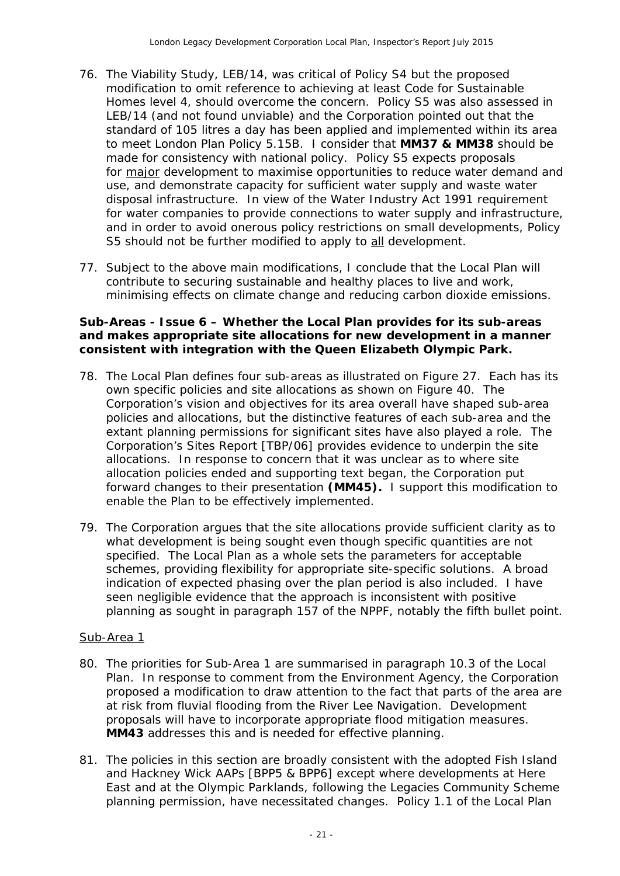- 76. The Viability Study, LEB/14, was critical of Policy S4 but the proposed modification to omit reference to achieving at least Code for Sustainable Homes level 4, should overcome the concern. Policy S5 was also assessed in LEB/14 (and not found unviable) and the Corporation pointed out that the standard of 105 litres a day has been applied and implemented within its area to meet London Plan Policy 5.15B. I consider that **MM37 & MM38** should be made for consistency with national policy. Policy S5 expects proposals for major development to maximise opportunities to reduce water demand and use, and demonstrate capacity for sufficient water supply and waste water disposal infrastructure. In view of the Water Industry Act 1991 requirement for water companies to provide connections to water supply and infrastructure, and in order to avoid onerous policy restrictions on small developments, Policy S5 should not be further modified to apply to all development.
- 77. Subject to the above main modifications, I conclude that the Local Plan will contribute to securing sustainable and healthy places to live and work, minimising effects on climate change and reducing carbon dioxide emissions.

#### **Sub-Areas - Issue 6 – Whether the Local Plan provides for its sub-areas and makes appropriate site allocations for new development in a manner consistent with integration with the Queen Elizabeth Olympic Park.**

- 78. The Local Plan defines four sub-areas as illustrated on Figure 27. Each has its own specific policies and site allocations as shown on Figure 40. The Corporation's vision and objectives for its area overall have shaped sub-area policies and allocations, but the distinctive features of each sub-area and the extant planning permissions for significant sites have also played a role. The Corporation's Sites Report [TBP/06] provides evidence to underpin the site allocations. In response to concern that it was unclear as to where site allocation policies ended and supporting text began, the Corporation put forward changes to their presentation **(MM45).** I support this modification to enable the Plan to be effectively implemented.
- 79. The Corporation argues that the site allocations provide sufficient clarity as to what development is being sought even though specific quantities are not specified. The Local Plan as a whole sets the parameters for acceptable schemes, providing flexibility for appropriate site-specific solutions. A broad indication of expected phasing over the plan period is also included. I have seen negligible evidence that the approach is inconsistent with positive planning as sought in paragraph 157 of the NPPF, notably the fifth bullet point.

#### Sub-Area 1

- 80. The priorities for Sub-Area 1 are summarised in paragraph 10.3 of the Local Plan. In response to comment from the Environment Agency, the Corporation proposed a modification to draw attention to the fact that parts of the area are at risk from fluvial flooding from the River Lee Navigation. Development proposals will have to incorporate appropriate flood mitigation measures. **MM43** addresses this and is needed for effective planning.
- 81. The policies in this section are broadly consistent with the adopted Fish Island and Hackney Wick AAPs [BPP5 & BPP6] except where developments at Here East and at the Olympic Parklands, following the Legacies Community Scheme planning permission, have necessitated changes. Policy 1.1 of the Local Plan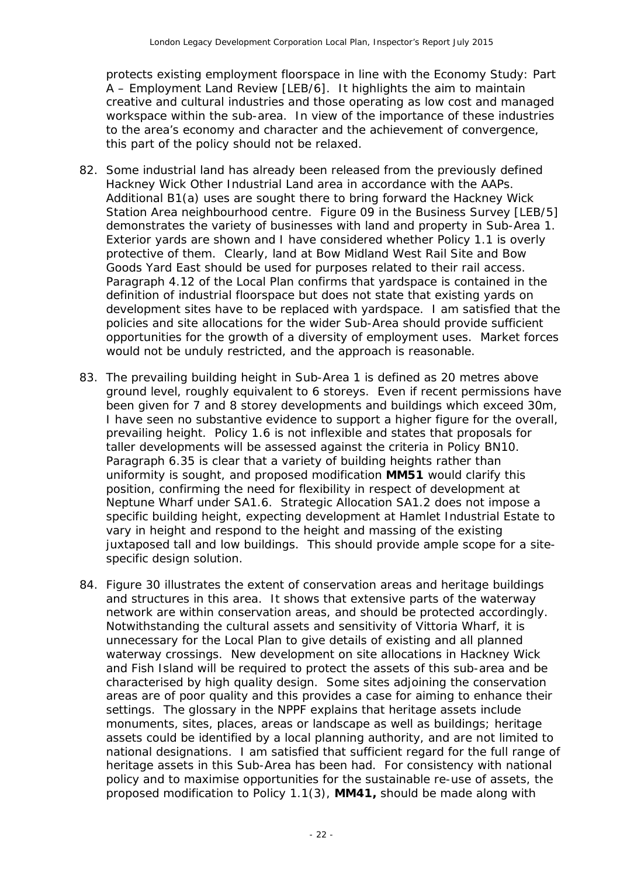protects existing employment floorspace in line with the Economy Study: Part A – Employment Land Review [LEB/6]. It highlights the aim to maintain creative and cultural industries and those operating as low cost and managed workspace within the sub-area. In view of the importance of these industries to the area's economy and character and the achievement of convergence, this part of the policy should not be relaxed.

- 82. Some industrial land has already been released from the previously defined Hackney Wick Other Industrial Land area in accordance with the AAPs. Additional B1(a) uses are sought there to bring forward the Hackney Wick Station Area neighbourhood centre. Figure 09 in the Business Survey [LEB/5] demonstrates the variety of businesses with land and property in Sub-Area 1. Exterior yards are shown and I have considered whether Policy 1.1 is overly protective of them. Clearly, land at Bow Midland West Rail Site and Bow Goods Yard East should be used for purposes related to their rail access. Paragraph 4.12 of the Local Plan confirms that yardspace is contained in the definition of industrial floorspace but does not state that existing yards on development sites have to be replaced with yardspace. I am satisfied that the policies and site allocations for the wider Sub-Area should provide sufficient opportunities for the growth of a diversity of employment uses. Market forces would not be unduly restricted, and the approach is reasonable.
- 83. The prevailing building height in Sub-Area 1 is defined as 20 metres above ground level, roughly equivalent to 6 storeys. Even if recent permissions have been given for 7 and 8 storey developments and buildings which exceed 30m, I have seen no substantive evidence to support a higher figure for the overall, prevailing height. Policy 1.6 is not inflexible and states that proposals for taller developments will be assessed against the criteria in Policy BN10. Paragraph 6.35 is clear that a variety of building heights rather than uniformity is sought, and proposed modification **MM51** would clarify this position, confirming the need for flexibility in respect of development at Neptune Wharf under SA1.6. Strategic Allocation SA1.2 does not impose a specific building height, expecting development at Hamlet Industrial Estate to vary in height and respond to the height and massing of the existing juxtaposed tall and low buildings. This should provide ample scope for a sitespecific design solution.
- 84. Figure 30 illustrates the extent of conservation areas and heritage buildings and structures in this area. It shows that extensive parts of the waterway network are within conservation areas, and should be protected accordingly. Notwithstanding the cultural assets and sensitivity of Vittoria Wharf, it is unnecessary for the Local Plan to give details of existing and all planned waterway crossings. New development on site allocations in Hackney Wick and Fish Island will be required to protect the assets of this sub-area and be characterised by high quality design. Some sites adjoining the conservation areas are of poor quality and this provides a case for aiming to enhance their settings. The glossary in the NPPF explains that heritage assets include monuments, sites, places, areas or landscape as well as buildings; heritage assets could be identified by a local planning authority, and are not limited to national designations. I am satisfied that sufficient regard for the full range of heritage assets in this Sub-Area has been had. For consistency with national policy and to maximise opportunities for the sustainable re-use of assets, the proposed modification to Policy 1.1(3), **MM41,** should be made along with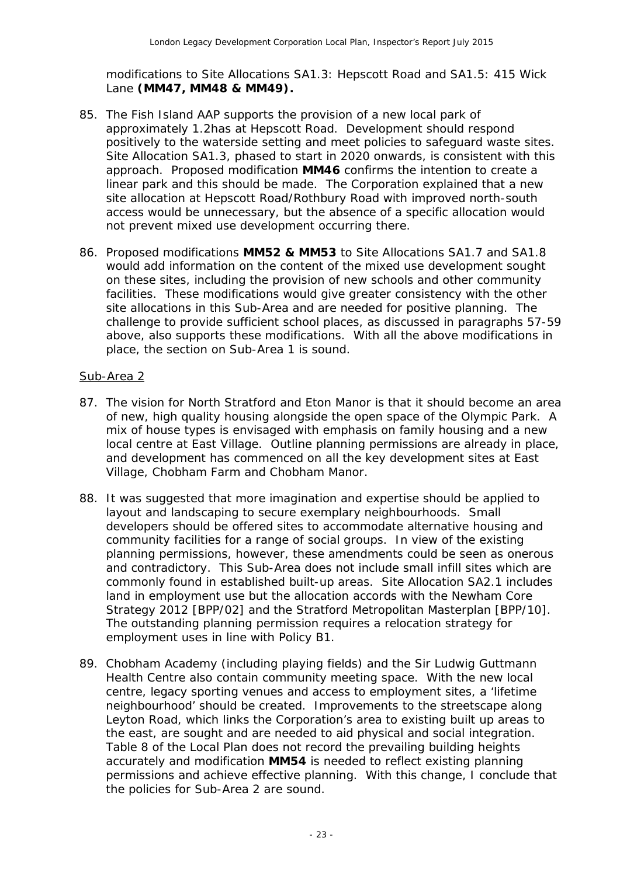modifications to Site Allocations SA1.3: Hepscott Road and SA1.5: 415 Wick Lane **(MM47, MM48 & MM49).**

- 85. The Fish Island AAP supports the provision of a new local park of approximately 1.2has at Hepscott Road. Development should respond positively to the waterside setting and meet policies to safeguard waste sites. Site Allocation SA1.3, phased to start in 2020 onwards, is consistent with this approach. Proposed modification **MM46** confirms the intention to create a linear park and this should be made. The Corporation explained that a new site allocation at Hepscott Road/Rothbury Road with improved north-south access would be unnecessary, but the absence of a specific allocation would not prevent mixed use development occurring there.
- 86. Proposed modifications **MM52 & MM53** to Site Allocations SA1.7 and SA1.8 would add information on the content of the mixed use development sought on these sites, including the provision of new schools and other community facilities. These modifications would give greater consistency with the other site allocations in this Sub-Area and are needed for positive planning. The challenge to provide sufficient school places, as discussed in paragraphs 57-59 above, also supports these modifications. With all the above modifications in place, the section on Sub-Area 1 is sound.

#### Sub-Area 2

- 87. The vision for North Stratford and Eton Manor is that it should become an area of new, high quality housing alongside the open space of the Olympic Park. A mix of house types is envisaged with emphasis on family housing and a new local centre at East Village. Outline planning permissions are already in place, and development has commenced on all the key development sites at East Village, Chobham Farm and Chobham Manor.
- 88. It was suggested that more imagination and expertise should be applied to layout and landscaping to secure exemplary neighbourhoods. Small developers should be offered sites to accommodate alternative housing and community facilities for a range of social groups. In view of the existing planning permissions, however, these amendments could be seen as onerous and contradictory. This Sub-Area does not include small infill sites which are commonly found in established built-up areas. Site Allocation SA2.1 includes land in employment use but the allocation accords with the Newham Core Strategy 2012 [BPP/02] and the Stratford Metropolitan Masterplan [BPP/10]. The outstanding planning permission requires a relocation strategy for employment uses in line with Policy B1.
- 89. Chobham Academy (including playing fields) and the Sir Ludwig Guttmann Health Centre also contain community meeting space. With the new local centre, legacy sporting venues and access to employment sites, a 'lifetime neighbourhood' should be created. Improvements to the streetscape along Leyton Road, which links the Corporation's area to existing built up areas to the east, are sought and are needed to aid physical and social integration. Table 8 of the Local Plan does not record the prevailing building heights accurately and modification **MM54** is needed to reflect existing planning permissions and achieve effective planning. With this change, I conclude that the policies for Sub-Area 2 are sound.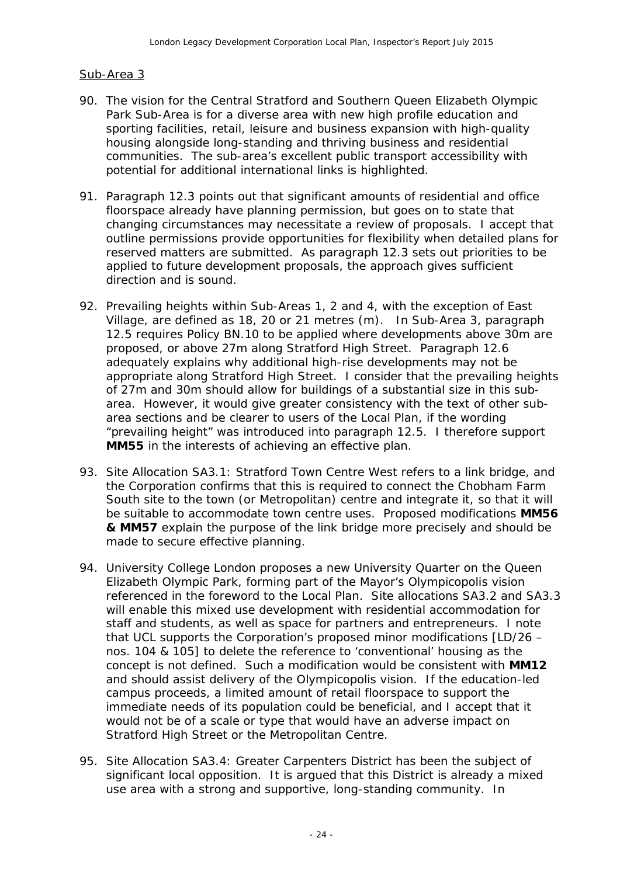#### Sub-Area 3

- 90. The vision for the Central Stratford and Southern Queen Elizabeth Olympic Park Sub-Area is for a diverse area with new high profile education and sporting facilities, retail, leisure and business expansion with high-quality housing alongside long-standing and thriving business and residential communities. The sub-area's excellent public transport accessibility with potential for additional international links is highlighted.
- 91. Paragraph 12.3 points out that significant amounts of residential and office floorspace already have planning permission, but goes on to state that changing circumstances may necessitate a review of proposals. I accept that outline permissions provide opportunities for flexibility when detailed plans for reserved matters are submitted. As paragraph 12.3 sets out priorities to be applied to future development proposals, the approach gives sufficient direction and is sound.
- 92. Prevailing heights within Sub-Areas 1, 2 and 4, with the exception of East Village, are defined as 18, 20 or 21 metres (m). In Sub-Area 3, paragraph 12.5 requires Policy BN.10 to be applied where developments above 30m are proposed, or above 27m along Stratford High Street. Paragraph 12.6 adequately explains why additional high-rise developments may not be appropriate along Stratford High Street. I consider that the prevailing heights of 27m and 30m should allow for buildings of a substantial size in this subarea. However, it would give greater consistency with the text of other subarea sections and be clearer to users of the Local Plan, if the wording "prevailing height" was introduced into paragraph 12.5. I therefore support **MM55** in the interests of achieving an effective plan.
- 93. Site Allocation SA3.1: Stratford Town Centre West refers to a link bridge, and the Corporation confirms that this is required to connect the Chobham Farm South site to the town (or Metropolitan) centre and integrate it, so that it will be suitable to accommodate town centre uses. Proposed modifications **MM56 & MM57** explain the purpose of the link bridge more precisely and should be made to secure effective planning.
- 94. University College London proposes a new University Quarter on the Queen Elizabeth Olympic Park, forming part of the Mayor's Olympicopolis vision referenced in the foreword to the Local Plan. Site allocations SA3.2 and SA3.3 will enable this mixed use development with residential accommodation for staff and students, as well as space for partners and entrepreneurs. I note that UCL supports the Corporation's proposed minor modifications [LD/26 – nos. 104 & 105] to delete the reference to 'conventional' housing as the concept is not defined. Such a modification would be consistent with **MM12** and should assist delivery of the Olympicopolis vision. If the education-led campus proceeds, a limited amount of retail floorspace to support the immediate needs of its population could be beneficial, and I accept that it would not be of a scale or type that would have an adverse impact on Stratford High Street or the Metropolitan Centre.
- 95. Site Allocation SA3.4: Greater Carpenters District has been the subject of significant local opposition. It is argued that this District is already a mixed use area with a strong and supportive, long-standing community. In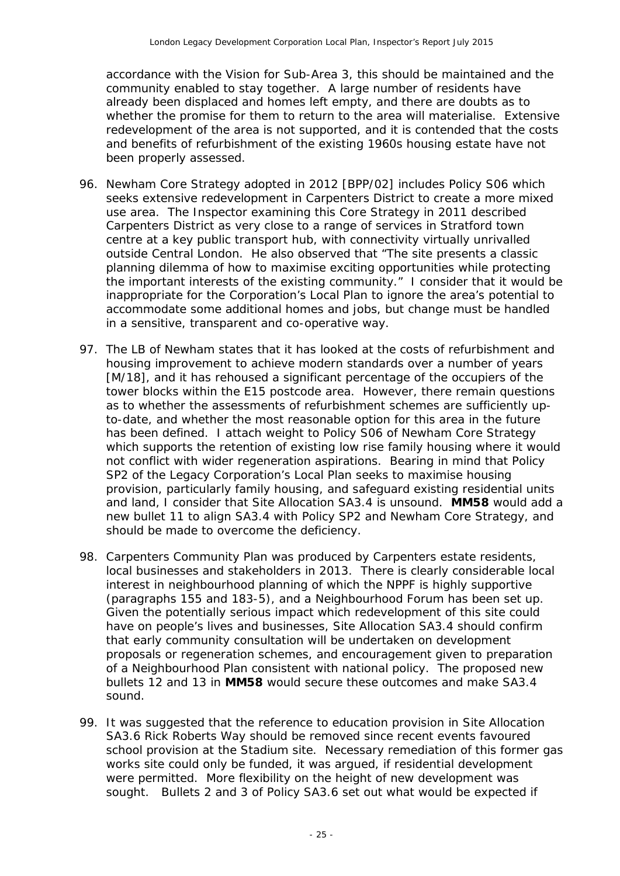accordance with the Vision for Sub-Area 3, this should be maintained and the community enabled to stay together. A large number of residents have already been displaced and homes left empty, and there are doubts as to whether the promise for them to return to the area will materialise. Extensive redevelopment of the area is not supported, and it is contended that the costs and benefits of refurbishment of the existing 1960s housing estate have not been properly assessed.

- 96. Newham Core Strategy adopted in 2012 [BPP/02] includes Policy S06 which seeks extensive redevelopment in Carpenters District to create a more mixed use area. The Inspector examining this Core Strategy in 2011 described Carpenters District as very close to a range of services in Stratford town centre at a key public transport hub, with connectivity virtually unrivalled outside Central London. He also observed that *"The site presents a classic planning dilemma of how to maximise exciting opportunities while protecting the important interests of the existing community*." I consider that it would be inappropriate for the Corporation's Local Plan to ignore the area's potential to accommodate some additional homes and jobs, but change must be handled in a sensitive, transparent and co-operative way.
- 97. The LB of Newham states that it has looked at the costs of refurbishment and housing improvement to achieve modern standards over a number of years [M/18], and it has rehoused a significant percentage of the occupiers of the tower blocks within the E15 postcode area. However, there remain questions as to whether the assessments of refurbishment schemes are sufficiently upto-date, and whether the most reasonable option for this area in the future has been defined. I attach weight to Policy S06 of Newham Core Strategy which supports the retention of existing low rise family housing where it would not conflict with wider regeneration aspirations. Bearing in mind that Policy SP2 of the Legacy Corporation's Local Plan seeks to maximise housing provision, particularly family housing, and safeguard existing residential units and land, I consider that Site Allocation SA3.4 is unsound. **MM58** would add a new bullet 11 to align SA3.4 with Policy SP2 and Newham Core Strategy, and should be made to overcome the deficiency.
- 98. Carpenters Community Plan was produced by Carpenters estate residents, local businesses and stakeholders in 2013. There is clearly considerable local interest in neighbourhood planning of which the NPPF is highly supportive (paragraphs 155 and 183-5), and a Neighbourhood Forum has been set up. Given the potentially serious impact which redevelopment of this site could have on people's lives and businesses, Site Allocation SA3.4 should confirm that early community consultation will be undertaken on development proposals or regeneration schemes, and encouragement given to preparation of a Neighbourhood Plan consistent with national policy. The proposed new bullets 12 and 13 in **MM58** would secure these outcomes and make SA3.4 sound.
- 99. It was suggested that the reference to education provision in Site Allocation SA3.6 Rick Roberts Way should be removed since recent events favoured school provision at the Stadium site. Necessary remediation of this former gas works site could only be funded, it was argued, if residential development were permitted. More flexibility on the height of new development was sought. Bullets 2 and 3 of Policy SA3.6 set out what would be expected if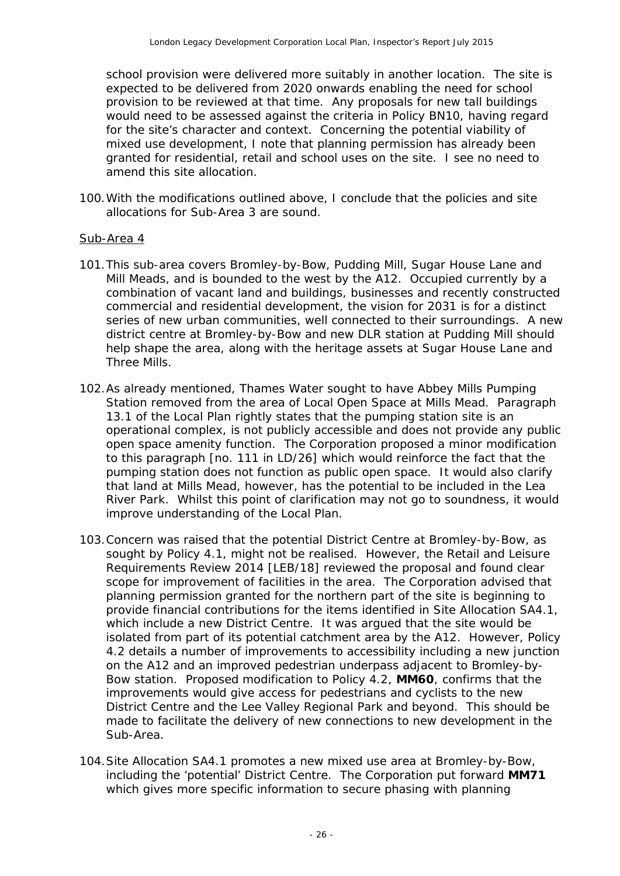school provision were delivered more suitably in another location. The site is expected to be delivered from 2020 onwards enabling the need for school provision to be reviewed at that time. Any proposals for new tall buildings would need to be assessed against the criteria in Policy BN10, having regard for the site's character and context. Concerning the potential viability of mixed use development, I note that planning permission has already been granted for residential, retail and school uses on the site. I see no need to amend this site allocation.

100.With the modifications outlined above, I conclude that the policies and site allocations for Sub-Area 3 are sound.

#### Sub-Area 4

- 101.This sub-area covers Bromley-by-Bow, Pudding Mill, Sugar House Lane and Mill Meads, and is bounded to the west by the A12. Occupied currently by a combination of vacant land and buildings, businesses and recently constructed commercial and residential development, the vision for 2031 is for a distinct series of new urban communities, well connected to their surroundings. A new district centre at Bromley-by-Bow and new DLR station at Pudding Mill should help shape the area, along with the heritage assets at Sugar House Lane and Three Mills.
- 102.As already mentioned, Thames Water sought to have Abbey Mills Pumping Station removed from the area of Local Open Space at Mills Mead. Paragraph 13.1 of the Local Plan rightly states that the pumping station site is an operational complex, is not publicly accessible and does not provide any public open space amenity function. The Corporation proposed a minor modification to this paragraph [no. 111 in LD/26] which would reinforce the fact that the pumping station does not function as public open space. It would also clarify that land at Mills Mead, however, has the potential to be included in the Lea River Park. Whilst this point of clarification may not go to soundness, it would improve understanding of the Local Plan.
- 103.Concern was raised that the potential District Centre at Bromley-by-Bow, as sought by Policy 4.1, might not be realised. However, the Retail and Leisure Requirements Review 2014 [LEB/18] reviewed the proposal and found clear scope for improvement of facilities in the area. The Corporation advised that planning permission granted for the northern part of the site is beginning to provide financial contributions for the items identified in Site Allocation SA4.1, which include a new District Centre. It was argued that the site would be isolated from part of its potential catchment area by the A12. However, Policy 4.2 details a number of improvements to accessibility including a new junction on the A12 and an improved pedestrian underpass adjacent to Bromley-by-Bow station. Proposed modification to Policy 4.2, **MM60**, confirms that the improvements would give access for pedestrians and cyclists to the new District Centre and the Lee Valley Regional Park and beyond. This should be made to facilitate the delivery of new connections to new development in the Sub-Area.
- 104.Site Allocation SA4.1 promotes a new mixed use area at Bromley-by-Bow, including the 'potential' District Centre. The Corporation put forward **MM71** which gives more specific information to secure phasing with planning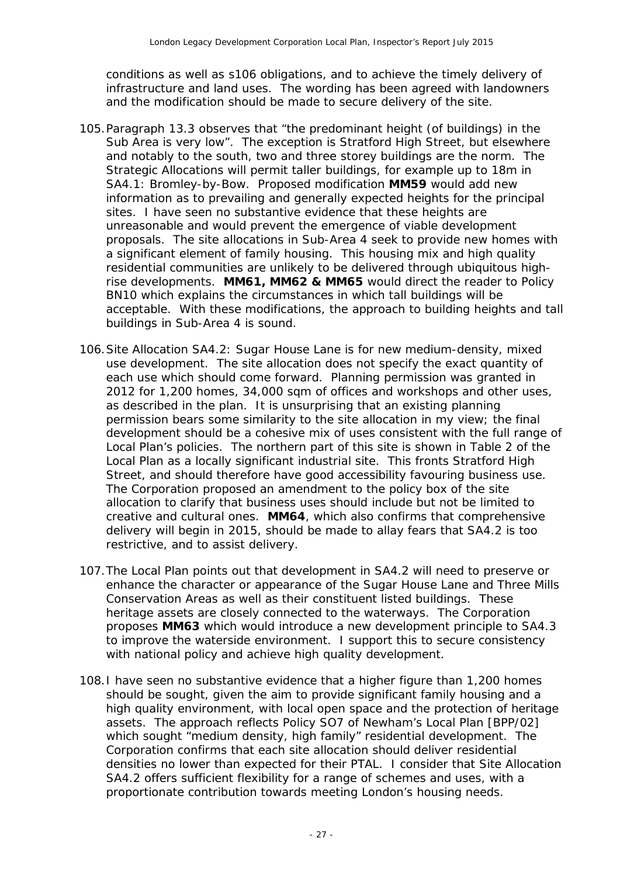conditions as well as s106 obligations, and to achieve the timely delivery of infrastructure and land uses. The wording has been agreed with landowners and the modification should be made to secure delivery of the site.

- 105.Paragraph 13.3 observes that *"the predominant height (of buildings) in the Sub Area is very low"*. The exception is Stratford High Street, but elsewhere and notably to the south, two and three storey buildings are the norm. The Strategic Allocations will permit taller buildings, for example up to 18m in SA4.1: Bromley-by-Bow. Proposed modification **MM59** would add new information as to prevailing and generally expected heights for the principal sites. I have seen no substantive evidence that these heights are unreasonable and would prevent the emergence of viable development proposals. The site allocations in Sub-Area 4 seek to provide new homes with a significant element of family housing. This housing mix and high quality residential communities are unlikely to be delivered through ubiquitous highrise developments. **MM61, MM62 & MM65** would direct the reader to Policy BN10 which explains the circumstances in which tall buildings will be acceptable. With these modifications, the approach to building heights and tall buildings in Sub-Area 4 is sound.
- 106.Site Allocation SA4.2: Sugar House Lane is for new medium-density, mixed use development. The site allocation does not specify the exact quantity of each use which should come forward. Planning permission was granted in 2012 for 1,200 homes, 34,000 sqm of offices and workshops and other uses, as described in the plan. It is unsurprising that an existing planning permission bears some similarity to the site allocation in my view; the final development should be a cohesive mix of uses consistent with the full range of Local Plan's policies. The northern part of this site is shown in Table 2 of the Local Plan as a locally significant industrial site. This fronts Stratford High Street, and should therefore have good accessibility favouring business use. The Corporation proposed an amendment to the policy box of the site allocation to clarify that business uses should include but not be limited to creative and cultural ones. **MM64**, which also confirms that comprehensive delivery will begin in 2015, should be made to allay fears that SA4.2 is too restrictive, and to assist delivery.
- 107.The Local Plan points out that development in SA4.2 will need to preserve or enhance the character or appearance of the Sugar House Lane and Three Mills Conservation Areas as well as their constituent listed buildings. These heritage assets are closely connected to the waterways. The Corporation proposes **MM63** which would introduce a new development principle to SA4.3 to improve the waterside environment. I support this to secure consistency with national policy and achieve high quality development.
- 108.I have seen no substantive evidence that a higher figure than 1,200 homes should be sought, given the aim to provide significant family housing and a high quality environment, with local open space and the protection of heritage assets. The approach reflects Policy SO7 of Newham's Local Plan [BPP/02] which sought *"medium density, high family"* residential development. The Corporation confirms that each site allocation should deliver residential densities no lower than expected for their PTAL. I consider that Site Allocation SA4.2 offers sufficient flexibility for a range of schemes and uses, with a proportionate contribution towards meeting London's housing needs.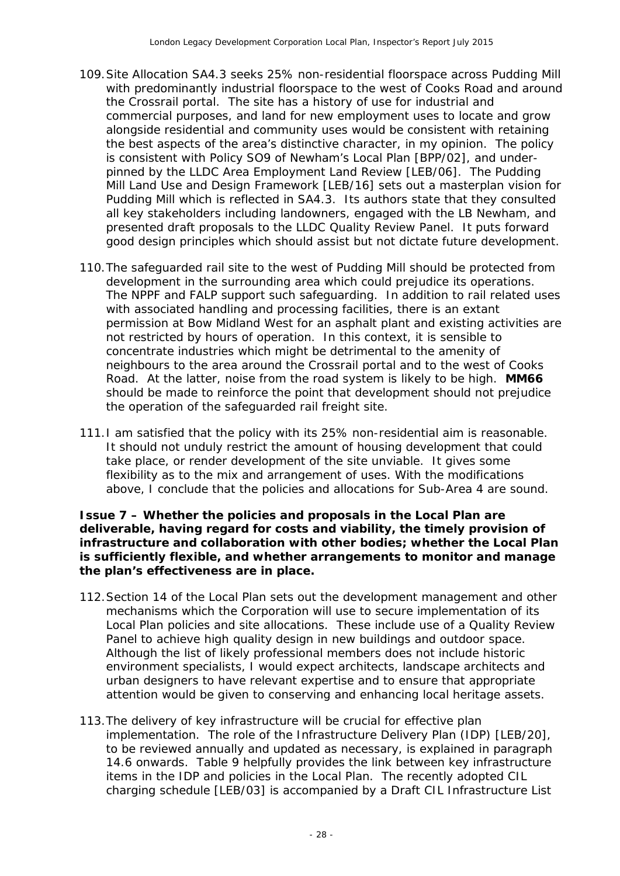- 109.Site Allocation SA4.3 seeks 25% non-residential floorspace across Pudding Mill with predominantly industrial floorspace to the west of Cooks Road and around the Crossrail portal. The site has a history of use for industrial and commercial purposes, and land for new employment uses to locate and grow alongside residential and community uses would be consistent with retaining the best aspects of the area's distinctive character, in my opinion. The policy is consistent with Policy SO9 of Newham's Local Plan [BPP/02], and underpinned by the LLDC Area Employment Land Review [LEB/06]. The Pudding Mill Land Use and Design Framework [LEB/16] sets out a masterplan vision for Pudding Mill which is reflected in SA4.3. Its authors state that they consulted all key stakeholders including landowners, engaged with the LB Newham, and presented draft proposals to the LLDC Quality Review Panel. It puts forward good design principles which should assist but not dictate future development.
- 110.The safeguarded rail site to the west of Pudding Mill should be protected from development in the surrounding area which could prejudice its operations. The NPPF and FALP support such safeguarding. In addition to rail related uses with associated handling and processing facilities, there is an extant permission at Bow Midland West for an asphalt plant and existing activities are not restricted by hours of operation. In this context, it is sensible to concentrate industries which might be detrimental to the amenity of neighbours to the area around the Crossrail portal and to the west of Cooks Road. At the latter, noise from the road system is likely to be high. **MM66**  should be made to reinforce the point that development should not prejudice the operation of the safeguarded rail freight site.
- 111.I am satisfied that the policy with its 25% non-residential aim is reasonable. It should not unduly restrict the amount of housing development that could take place, or render development of the site unviable. It gives some flexibility as to the mix and arrangement of uses. With the modifications above, I conclude that the policies and allocations for Sub-Area 4 are sound.

**Issue 7 – Whether the policies and proposals in the Local Plan are deliverable, having regard for costs and viability, the timely provision of infrastructure and collaboration with other bodies; whether the Local Plan is sufficiently flexible, and whether arrangements to monitor and manage the plan's effectiveness are in place.**

- 112.Section 14 of the Local Plan sets out the development management and other mechanisms which the Corporation will use to secure implementation of its Local Plan policies and site allocations. These include use of a Quality Review Panel to achieve high quality design in new buildings and outdoor space. Although the list of likely professional members does not include historic environment specialists, I would expect architects, landscape architects and urban designers to have relevant expertise and to ensure that appropriate attention would be given to conserving and enhancing local heritage assets.
- 113.The delivery of key infrastructure will be crucial for effective plan implementation. The role of the Infrastructure Delivery Plan (IDP) [LEB/20], to be reviewed annually and updated as necessary, is explained in paragraph 14.6 onwards. Table 9 helpfully provides the link between key infrastructure items in the IDP and policies in the Local Plan. The recently adopted CIL charging schedule [LEB/03] is accompanied by a Draft CIL Infrastructure List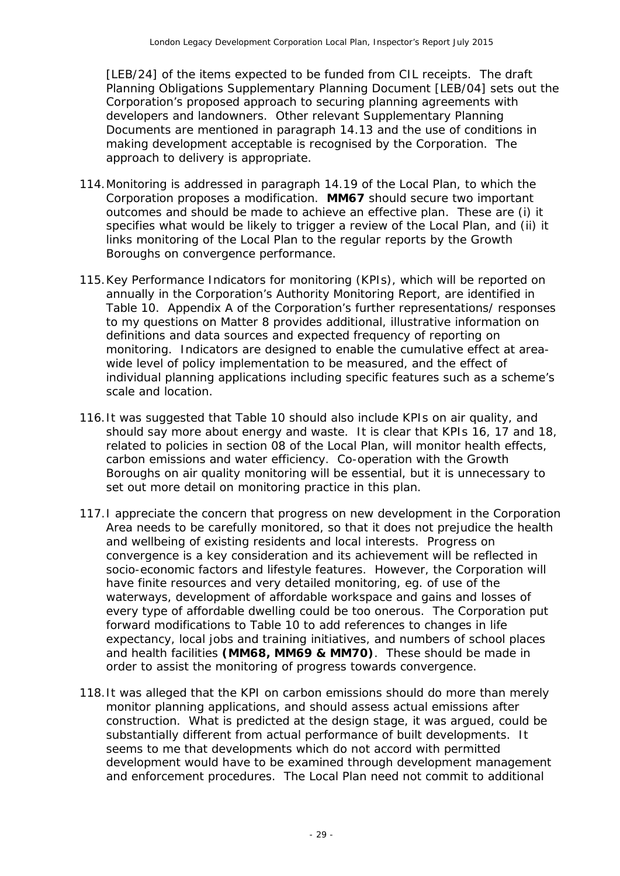[LEB/24] of the items expected to be funded from CIL receipts. The draft Planning Obligations Supplementary Planning Document [LEB/04] sets out the Corporation's proposed approach to securing planning agreements with developers and landowners. Other relevant Supplementary Planning Documents are mentioned in paragraph 14.13 and the use of conditions in making development acceptable is recognised by the Corporation. The approach to delivery is appropriate.

- 114.Monitoring is addressed in paragraph 14.19 of the Local Plan, to which the Corporation proposes a modification. **MM67** should secure two important outcomes and should be made to achieve an effective plan. These are (i) it specifies what would be likely to trigger a review of the Local Plan, and (ii) it links monitoring of the Local Plan to the regular reports by the Growth Boroughs on convergence performance.
- 115.Key Performance Indicators for monitoring (KPIs), which will be reported on annually in the Corporation's Authority Monitoring Report, are identified in Table 10. Appendix A of the Corporation's further representations/ responses to my questions on Matter 8 provides additional, illustrative information on definitions and data sources and expected frequency of reporting on monitoring. Indicators are designed to enable the cumulative effect at areawide level of policy implementation to be measured, and the effect of individual planning applications including specific features such as a scheme's scale and location.
- 116.It was suggested that Table 10 should also include KPIs on air quality, and should say more about energy and waste. It is clear that KPIs 16, 17 and 18, related to policies in section 08 of the Local Plan, will monitor health effects, carbon emissions and water efficiency. Co-operation with the Growth Boroughs on air quality monitoring will be essential, but it is unnecessary to set out more detail on monitoring practice in this plan.
- 117.I appreciate the concern that progress on new development in the Corporation Area needs to be carefully monitored, so that it does not prejudice the health and wellbeing of existing residents and local interests. Progress on convergence is a key consideration and its achievement will be reflected in socio-economic factors and lifestyle features. However, the Corporation will have finite resources and very detailed monitoring, eg. of use of the waterways, development of affordable workspace and gains and losses of every type of affordable dwelling could be too onerous. The Corporation put forward modifications to Table 10 to add references to changes in life expectancy, local jobs and training initiatives, and numbers of school places and health facilities **(MM68, MM69 & MM70)**. These should be made in order to assist the monitoring of progress towards convergence.
- 118.It was alleged that the KPI on carbon emissions should do more than merely monitor planning applications, and should assess actual emissions after construction. What is predicted at the design stage, it was argued, could be substantially different from actual performance of built developments. It seems to me that developments which do not accord with permitted development would have to be examined through development management and enforcement procedures. The Local Plan need not commit to additional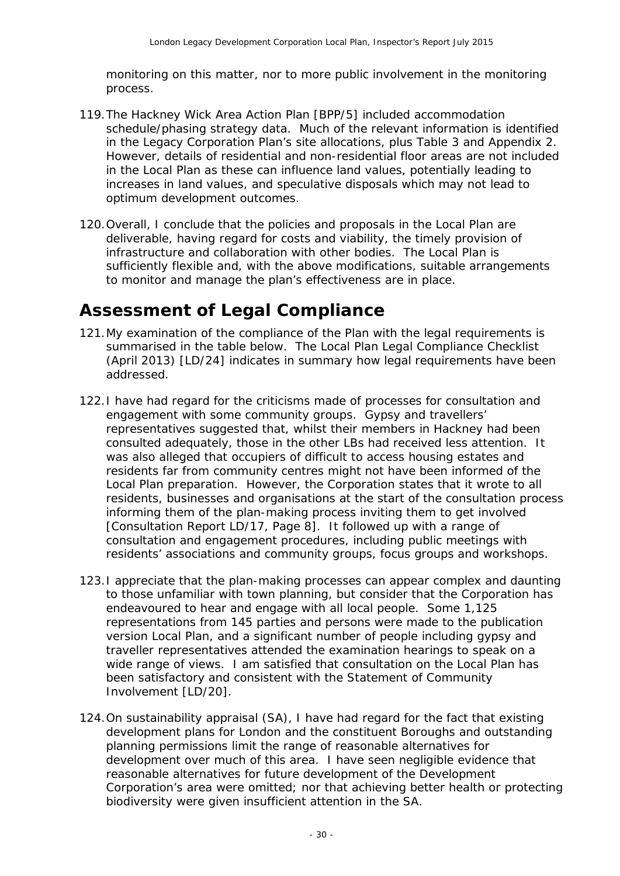monitoring on this matter, nor to more public involvement in the monitoring process.

- 119.The Hackney Wick Area Action Plan [BPP/5] included accommodation schedule/phasing strategy data. Much of the relevant information is identified in the Legacy Corporation Plan's site allocations, plus Table 3 and Appendix 2. However, details of residential and non-residential floor areas are not included in the Local Plan as these can influence land values, potentially leading to increases in land values, and speculative disposals which may not lead to optimum development outcomes.
- 120.Overall, I conclude that the policies and proposals in the Local Plan are deliverable, having regard for costs and viability, the timely provision of infrastructure and collaboration with other bodies. The Local Plan is sufficiently flexible and, with the above modifications, suitable arrangements to monitor and manage the plan's effectiveness are in place.

### **Assessment of Legal Compliance**

- 121.My examination of the compliance of the Plan with the legal requirements is summarised in the table below. The Local Plan Legal Compliance Checklist (April 2013) [LD/24] indicates in summary how legal requirements have been addressed.
- 122.I have had regard for the criticisms made of processes for consultation and engagement with some community groups. Gypsy and travellers' representatives suggested that, whilst their members in Hackney had been consulted adequately, those in the other LBs had received less attention. It was also alleged that occupiers of difficult to access housing estates and residents far from community centres might not have been informed of the Local Plan preparation. However, the Corporation states that it wrote to all residents, businesses and organisations at the start of the consultation process informing them of the plan-making process inviting them to get involved [Consultation Report LD/17, Page 8]. It followed up with a range of consultation and engagement procedures, including public meetings with residents' associations and community groups, focus groups and workshops.
- 123.I appreciate that the plan-making processes can appear complex and daunting to those unfamiliar with town planning, but consider that the Corporation has endeavoured to hear and engage with all local people. Some 1,125 representations from 145 parties and persons were made to the publication version Local Plan, and a significant number of people including gypsy and traveller representatives attended the examination hearings to speak on a wide range of views. I am satisfied that consultation on the Local Plan has been satisfactory and consistent with the Statement of Community Involvement [LD/20].
- 124.On sustainability appraisal (SA), I have had regard for the fact that existing development plans for London and the constituent Boroughs and outstanding planning permissions limit the range of reasonable alternatives for development over much of this area. I have seen negligible evidence that reasonable alternatives for future development of the Development Corporation's area were omitted; nor that achieving better health or protecting biodiversity were given insufficient attention in the SA.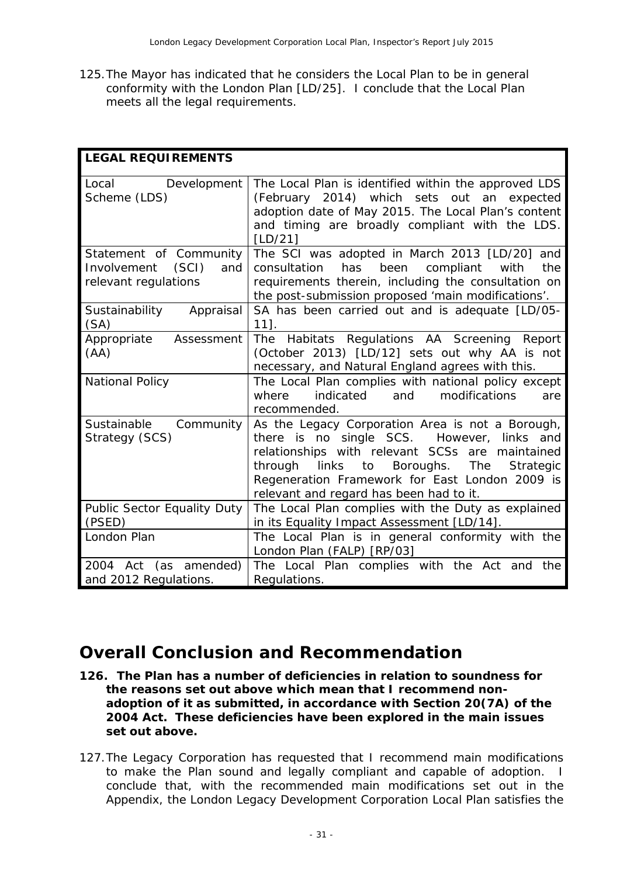125.The Mayor has indicated that he considers the Local Plan to be in general conformity with the London Plan [LD/25]. I conclude that the Local Plan meets all the legal requirements.

| <b>LEGAL REQUIREMENTS</b>                                                     |                                                                                                                                                                                                                                                                                                              |
|-------------------------------------------------------------------------------|--------------------------------------------------------------------------------------------------------------------------------------------------------------------------------------------------------------------------------------------------------------------------------------------------------------|
| Local<br>Development<br>Scheme (LDS)                                          | The Local Plan is identified within the approved LDS<br>(February 2014) which sets out an expected<br>adoption date of May 2015. The Local Plan's content<br>and timing are broadly compliant with the LDS.<br>[LD/21]                                                                                       |
| Statement of Community<br>(SCI)<br>Involvement<br>and<br>relevant regulations | The SCI was adopted in March 2013 [LD/20] and<br>been<br>compliant<br>consultation<br>has<br>with<br>the<br>requirements therein, including the consultation on<br>the post-submission proposed 'main modifications'.                                                                                        |
| Appraisal<br>Sustainability<br>(SA)                                           | SA has been carried out and is adequate [LD/05-<br>$11$ ].                                                                                                                                                                                                                                                   |
| Appropriate<br>Assessment<br>(AA)                                             | The Habitats Regulations AA Screening Report<br>(October 2013) [LD/12] sets out why AA is not<br>necessary, and Natural England agrees with this.                                                                                                                                                            |
| <b>National Policy</b>                                                        | The Local Plan complies with national policy except<br>indicated<br>and<br>modifications<br>where<br>are<br>recommended.                                                                                                                                                                                     |
| Sustainable<br>Community<br>Strategy (SCS)                                    | As the Legacy Corporation Area is not a Borough,<br>there is no single SCS.<br>However, links and<br>relationships with relevant SCSs are maintained<br>through<br>links<br>Boroughs.<br>The<br>Strategic<br>to<br>Regeneration Framework for East London 2009 is<br>relevant and regard has been had to it. |
| Public Sector Equality Duty<br>(PSED)                                         | The Local Plan complies with the Duty as explained<br>in its Equality Impact Assessment [LD/14].                                                                                                                                                                                                             |
| London Plan                                                                   | The Local Plan is in general conformity with the<br>London Plan (FALP) [RP/03]                                                                                                                                                                                                                               |
| 2004 Act (as amended)<br>and 2012 Regulations.                                | The Local Plan complies with the Act and the<br>Regulations.                                                                                                                                                                                                                                                 |

### **Overall Conclusion and Recommendation**

- **126. The Plan has a number of deficiencies in relation to soundness for the reasons set out above which mean that I recommend nonadoption of it as submitted, in accordance with Section 20(7A) of the 2004 Act. These deficiencies have been explored in the main issues set out above.**
- 127.The Legacy Corporation has requested that I recommend main modifications to make the Plan sound and legally compliant and capable of adoption. I conclude that, with the recommended main modifications set out in the Appendix, the London Legacy Development Corporation Local Plan satisfies the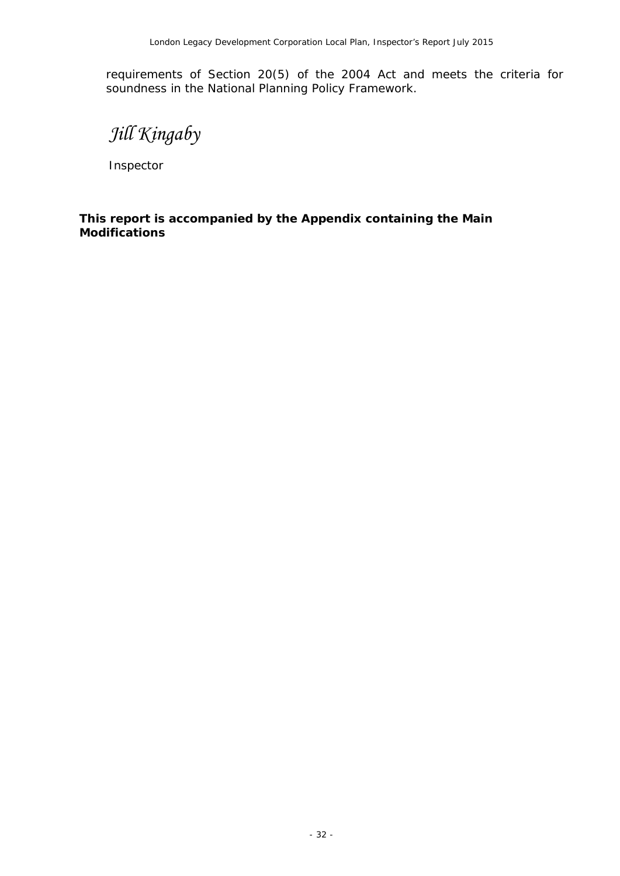requirements of Section 20(5) of the 2004 Act and meets the criteria for soundness in the National Planning Policy Framework.

*Jill Kingaby*

Inspector

**This report is accompanied by the Appendix containing the Main Modifications**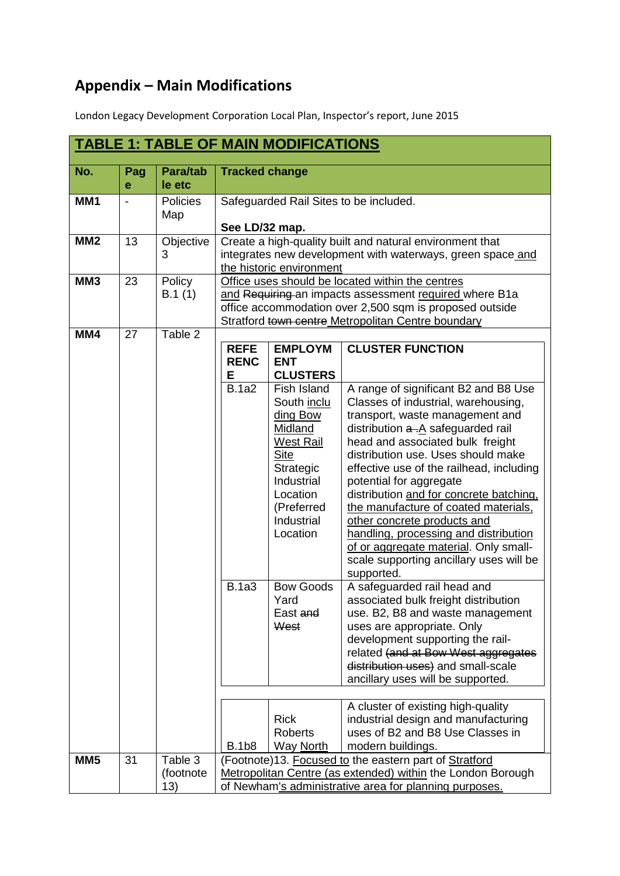## **Appendix – Main Modifications**

London Legacy Development Corporation Local Plan, Inspector's report, June 2015

|                 |          |                             |                                                                                 | <b>TABLE 1: TABLE OF MAIN MODIFICATIONS</b>                                                                                                                                                                                                                                                                   |                                                                                                                                                                                                                                                                                                                                                                                                                                                                                                                                                                                                                                                                                                                                                                                                                                                                                                                                                                                                                                       |
|-----------------|----------|-----------------------------|---------------------------------------------------------------------------------|---------------------------------------------------------------------------------------------------------------------------------------------------------------------------------------------------------------------------------------------------------------------------------------------------------------|---------------------------------------------------------------------------------------------------------------------------------------------------------------------------------------------------------------------------------------------------------------------------------------------------------------------------------------------------------------------------------------------------------------------------------------------------------------------------------------------------------------------------------------------------------------------------------------------------------------------------------------------------------------------------------------------------------------------------------------------------------------------------------------------------------------------------------------------------------------------------------------------------------------------------------------------------------------------------------------------------------------------------------------|
| No.             | Pag<br>е | <b>Para/tab</b><br>le etc   | <b>Tracked change</b>                                                           |                                                                                                                                                                                                                                                                                                               |                                                                                                                                                                                                                                                                                                                                                                                                                                                                                                                                                                                                                                                                                                                                                                                                                                                                                                                                                                                                                                       |
| MM <sub>1</sub> |          | Policies<br>Map             | See LD/32 map.                                                                  |                                                                                                                                                                                                                                                                                                               | Safeguarded Rail Sites to be included.                                                                                                                                                                                                                                                                                                                                                                                                                                                                                                                                                                                                                                                                                                                                                                                                                                                                                                                                                                                                |
| MM <sub>2</sub> | 13       | Objective<br>3              |                                                                                 | the historic environment                                                                                                                                                                                                                                                                                      | Create a high-quality built and natural environment that<br>integrates new development with waterways, green space and                                                                                                                                                                                                                                                                                                                                                                                                                                                                                                                                                                                                                                                                                                                                                                                                                                                                                                                |
| MM <sub>3</sub> | 23       | Policy<br>B.1(1)            |                                                                                 |                                                                                                                                                                                                                                                                                                               | Office uses should be located within the centres<br>and Requiring an impacts assessment required where B1a<br>office accommodation over 2,500 sqm is proposed outside<br>Stratford town centre Metropolitan Centre boundary                                                                                                                                                                                                                                                                                                                                                                                                                                                                                                                                                                                                                                                                                                                                                                                                           |
| MM4             | 27       | Table 2                     | <b>REFE</b><br><b>RENC</b><br>Е<br><b>B.1a2</b><br><b>B.1a3</b><br><b>B.1b8</b> | <b>EMPLOYM</b><br><b>ENT</b><br><b>CLUSTERS</b><br>Fish Island<br>South inclu<br>ding Bow<br>Midland<br><b>West Rail</b><br><b>Site</b><br>Strategic<br>Industrial<br>Location<br>(Preferred<br>Industrial<br>Location<br><b>Bow Goods</b><br>Yard<br>East and<br>West<br><b>Rick</b><br>Roberts<br>Way North | <b>CLUSTER FUNCTION</b><br>A range of significant B2 and B8 Use<br>Classes of industrial, warehousing,<br>transport, waste management and<br>distribution $a - A$ safeguarded rail<br>head and associated bulk freight<br>distribution use. Uses should make<br>effective use of the railhead, including<br>potential for aggregate<br>distribution and for concrete batching.<br>the manufacture of coated materials,<br>other concrete products and<br>handling, processing and distribution<br>of or aggregate material. Only small-<br>scale supporting ancillary uses will be<br>supported.<br>A safeguarded rail head and<br>associated bulk freight distribution<br>use. B2, B8 and waste management<br>uses are appropriate. Only<br>development supporting the rail-<br>related (and at Bow West aggregates<br>distribution uses) and small-scale<br>ancillary uses will be supported.<br>A cluster of existing high-quality<br>industrial design and manufacturing<br>uses of B2 and B8 Use Classes in<br>modern buildings. |
| MM <sub>5</sub> | 31       | Table 3<br>(footnote<br>13) |                                                                                 |                                                                                                                                                                                                                                                                                                               | (Footnote)13. Focused to the eastern part of Stratford<br>Metropolitan Centre (as extended) within the London Borough<br>of Newham's administrative area for planning purposes.                                                                                                                                                                                                                                                                                                                                                                                                                                                                                                                                                                                                                                                                                                                                                                                                                                                       |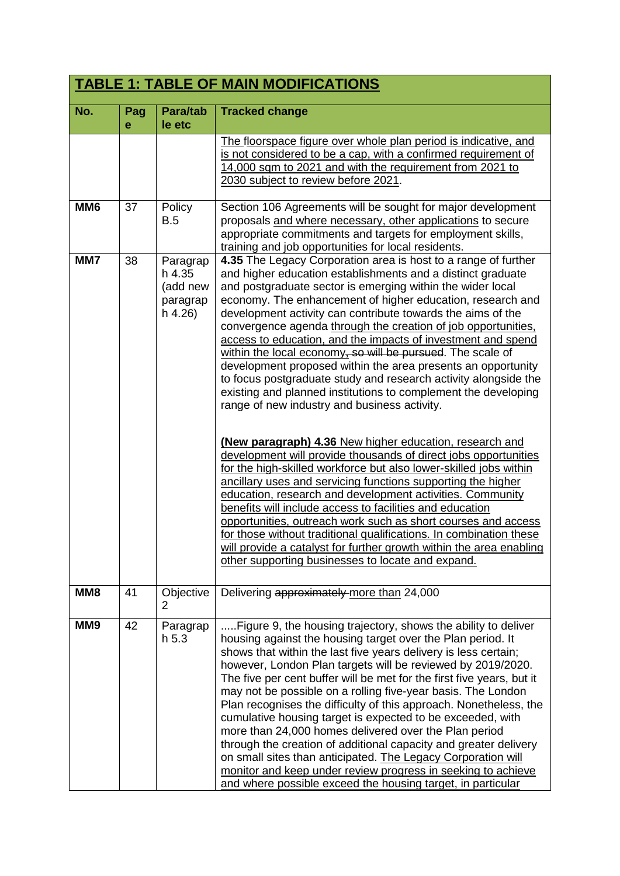|                 |          |                                                       | <b>TABLE 1: TABLE OF MAIN MODIFICATIONS</b>                                                                                                                                                                                                                                                                                                                                                                                                                                                                                                                                                                                                                                                                                                                                                                                                                                                                                                                                                                                                                                                                                                                                                                                                                                                                                                                                                                                                 |
|-----------------|----------|-------------------------------------------------------|---------------------------------------------------------------------------------------------------------------------------------------------------------------------------------------------------------------------------------------------------------------------------------------------------------------------------------------------------------------------------------------------------------------------------------------------------------------------------------------------------------------------------------------------------------------------------------------------------------------------------------------------------------------------------------------------------------------------------------------------------------------------------------------------------------------------------------------------------------------------------------------------------------------------------------------------------------------------------------------------------------------------------------------------------------------------------------------------------------------------------------------------------------------------------------------------------------------------------------------------------------------------------------------------------------------------------------------------------------------------------------------------------------------------------------------------|
| No.             | Pag<br>e | Para/tab<br>le etc                                    | <b>Tracked change</b>                                                                                                                                                                                                                                                                                                                                                                                                                                                                                                                                                                                                                                                                                                                                                                                                                                                                                                                                                                                                                                                                                                                                                                                                                                                                                                                                                                                                                       |
|                 |          |                                                       | The floorspace figure over whole plan period is indicative, and<br>is not considered to be a cap, with a confirmed requirement of<br>14,000 sqm to 2021 and with the requirement from 2021 to<br>2030 subject to review before 2021.                                                                                                                                                                                                                                                                                                                                                                                                                                                                                                                                                                                                                                                                                                                                                                                                                                                                                                                                                                                                                                                                                                                                                                                                        |
| MM <sub>6</sub> | 37       | Policy<br>B.5                                         | Section 106 Agreements will be sought for major development<br>proposals and where necessary, other applications to secure<br>appropriate commitments and targets for employment skills,<br>training and job opportunities for local residents.                                                                                                                                                                                                                                                                                                                                                                                                                                                                                                                                                                                                                                                                                                                                                                                                                                                                                                                                                                                                                                                                                                                                                                                             |
| MM7             | 38       | Paragrap<br>h 4.35<br>(add new<br>paragrap<br>h 4.26) | 4.35 The Legacy Corporation area is host to a range of further<br>and higher education establishments and a distinct graduate<br>and postgraduate sector is emerging within the wider local<br>economy. The enhancement of higher education, research and<br>development activity can contribute towards the aims of the<br>convergence agenda through the creation of job opportunities.<br>access to education, and the impacts of investment and spend<br>within the local economy, so will be pursued. The scale of<br>development proposed within the area presents an opportunity<br>to focus postgraduate study and research activity alongside the<br>existing and planned institutions to complement the developing<br>range of new industry and business activity.<br>(New paragraph) 4.36 New higher education, research and<br>development will provide thousands of direct jobs opportunities<br>for the high-skilled workforce but also lower-skilled jobs within<br>ancillary uses and servicing functions supporting the higher<br>education, research and development activities. Community<br>benefits will include access to facilities and education<br>opportunities, outreach work such as short courses and access<br>for those without traditional qualifications. In combination these<br>will provide a catalyst for further growth within the area enabling<br>other supporting businesses to locate and expand. |
| MM <sub>8</sub> | 41       | Objective<br>2                                        | Delivering approximately more than 24,000                                                                                                                                                                                                                                                                                                                                                                                                                                                                                                                                                                                                                                                                                                                                                                                                                                                                                                                                                                                                                                                                                                                                                                                                                                                                                                                                                                                                   |
| MM9             | 42       | Paragrap<br>h <sub>5.3</sub>                          | Figure 9, the housing trajectory, shows the ability to deliver<br>housing against the housing target over the Plan period. It<br>shows that within the last five years delivery is less certain;<br>however, London Plan targets will be reviewed by 2019/2020.<br>The five per cent buffer will be met for the first five years, but it<br>may not be possible on a rolling five-year basis. The London<br>Plan recognises the difficulty of this approach. Nonetheless, the<br>cumulative housing target is expected to be exceeded, with<br>more than 24,000 homes delivered over the Plan period<br>through the creation of additional capacity and greater delivery<br>on small sites than anticipated. The Legacy Corporation will<br>monitor and keep under review progress in seeking to achieve<br>and where possible exceed the housing target, in particular                                                                                                                                                                                                                                                                                                                                                                                                                                                                                                                                                                     |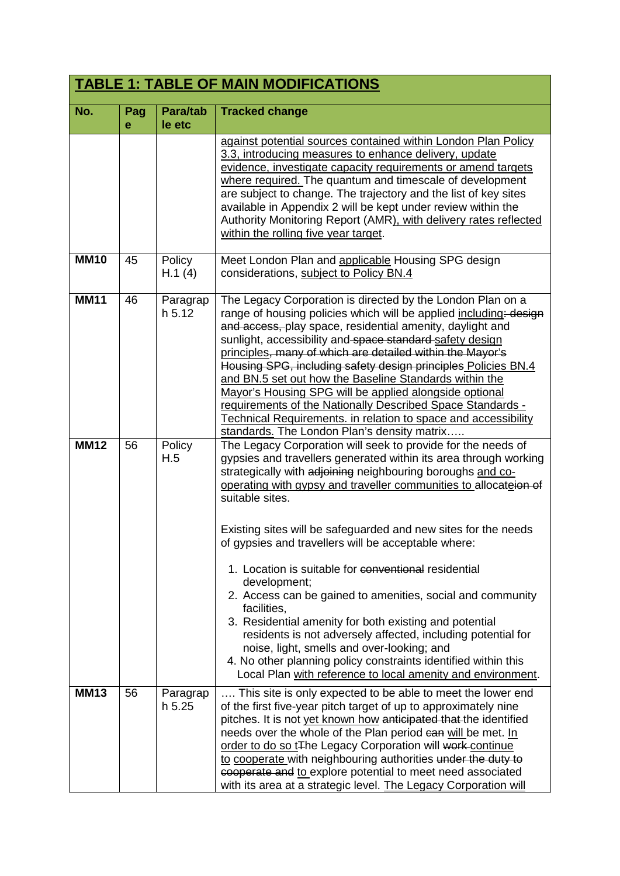|             |          |                           | <b>TABLE 1: TABLE OF MAIN MODIFICATIONS</b>                                                                                                                                                                                                                                                                                                                                                                                                                                                                                                                                                                                                                                                                                                                                                                                                                                  |
|-------------|----------|---------------------------|------------------------------------------------------------------------------------------------------------------------------------------------------------------------------------------------------------------------------------------------------------------------------------------------------------------------------------------------------------------------------------------------------------------------------------------------------------------------------------------------------------------------------------------------------------------------------------------------------------------------------------------------------------------------------------------------------------------------------------------------------------------------------------------------------------------------------------------------------------------------------|
| No.         | Pag<br>е | <b>Para/tab</b><br>le etc | <b>Tracked change</b>                                                                                                                                                                                                                                                                                                                                                                                                                                                                                                                                                                                                                                                                                                                                                                                                                                                        |
|             |          |                           | against potential sources contained within London Plan Policy<br>3.3, introducing measures to enhance delivery, update<br>evidence, investigate capacity requirements or amend targets<br>where required. The quantum and timescale of development<br>are subject to change. The trajectory and the list of key sites<br>available in Appendix 2 will be kept under review within the<br>Authority Monitoring Report (AMR), with delivery rates reflected<br>within the rolling five year target.                                                                                                                                                                                                                                                                                                                                                                            |
| <b>MM10</b> | 45       | Policy<br>H.1(4)          | Meet London Plan and applicable Housing SPG design<br>considerations, subject to Policy BN.4                                                                                                                                                                                                                                                                                                                                                                                                                                                                                                                                                                                                                                                                                                                                                                                 |
| <b>MM11</b> | 46       | Paragrap<br>h.5.12        | The Legacy Corporation is directed by the London Plan on a<br>range of housing policies which will be applied including: design<br>and access, play space, residential amenity, daylight and<br>sunlight, accessibility and space standard safety design<br>principles, many of which are detailed within the Mayor's<br>Housing SPG, including safety design principles Policies BN.4<br>and BN.5 set out how the Baseline Standards within the<br>Mayor's Housing SPG will be applied alongside optional<br>requirements of the Nationally Described Space Standards -<br>Technical Requirements. in relation to space and accessibility<br>standards. The London Plan's density matrix                                                                                                                                                                                    |
| <b>MM12</b> | 56       | Policy<br>H.5             | The Legacy Corporation will seek to provide for the needs of<br>gypsies and travellers generated within its area through working<br>strategically with adjoining neighbouring boroughs and co-<br>operating with gypsy and traveller communities to allocateion of<br>suitable sites.<br>Existing sites will be safeguarded and new sites for the needs<br>of gypsies and travellers will be acceptable where:<br>1. Location is suitable for conventional residential<br>development;<br>2. Access can be gained to amenities, social and community<br>facilities,<br>3. Residential amenity for both existing and potential<br>residents is not adversely affected, including potential for<br>noise, light, smells and over-looking; and<br>4. No other planning policy constraints identified within this<br>Local Plan with reference to local amenity and environment. |
| <b>MM13</b> | 56       | Paragrap<br>h 5.25        | This site is only expected to be able to meet the lower end<br>of the first five-year pitch target of up to approximately nine<br>pitches. It is not yet known how anticipated that the identified<br>needs over the whole of the Plan period can will be met. In<br>order to do so t <sub>The Legacy</sub> Corporation will work-continue<br>to cooperate with neighbouring authorities under the duty to<br>cooperate and to explore potential to meet need associated<br>with its area at a strategic level. The Legacy Corporation will                                                                                                                                                                                                                                                                                                                                  |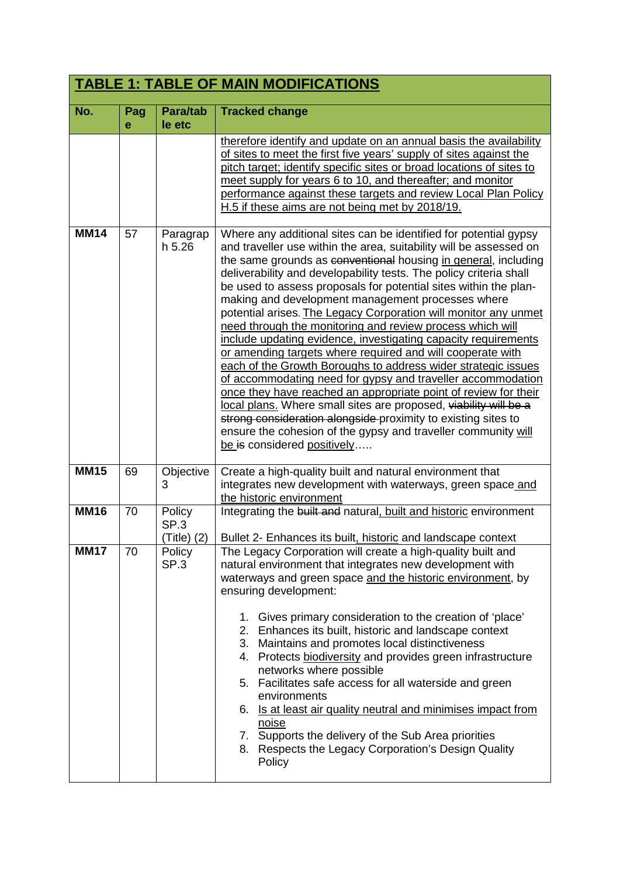|             | <b>TABLE 1: TABLE OF MAIN MODIFICATIONS</b> |                               |                                                                                                                                                                                                                                                                                                                                                                                                                                                                                                                                                                                                                                                                                                                                                                                                                                                                                                                                                                                                                                                                                                                 |  |
|-------------|---------------------------------------------|-------------------------------|-----------------------------------------------------------------------------------------------------------------------------------------------------------------------------------------------------------------------------------------------------------------------------------------------------------------------------------------------------------------------------------------------------------------------------------------------------------------------------------------------------------------------------------------------------------------------------------------------------------------------------------------------------------------------------------------------------------------------------------------------------------------------------------------------------------------------------------------------------------------------------------------------------------------------------------------------------------------------------------------------------------------------------------------------------------------------------------------------------------------|--|
| No.         | Pag<br>е                                    | Para/tab<br>le etc            | <b>Tracked change</b>                                                                                                                                                                                                                                                                                                                                                                                                                                                                                                                                                                                                                                                                                                                                                                                                                                                                                                                                                                                                                                                                                           |  |
|             |                                             |                               | therefore identify and update on an annual basis the availability<br>of sites to meet the first five years' supply of sites against the<br>pitch target; identify specific sites or broad locations of sites to<br>meet supply for years 6 to 10, and thereafter; and monitor<br>performance against these targets and review Local Plan Policy<br>H.5 if these aims are not being met by 2018/19.                                                                                                                                                                                                                                                                                                                                                                                                                                                                                                                                                                                                                                                                                                              |  |
| <b>MM14</b> | 57                                          | Paragrap<br>h 5.26            | Where any additional sites can be identified for potential gypsy<br>and traveller use within the area, suitability will be assessed on<br>the same grounds as conventional housing in general, including<br>deliverability and developability tests. The policy criteria shall<br>be used to assess proposals for potential sites within the plan-<br>making and development management processes where<br>potential arises. The Legacy Corporation will monitor any unmet<br>need through the monitoring and review process which will<br>include updating evidence, investigating capacity requirements<br>or amending targets where required and will cooperate with<br>each of the Growth Boroughs to address wider strategic issues<br>of accommodating need for gypsy and traveller accommodation<br>once they have reached an appropriate point of review for their<br>local plans. Where small sites are proposed, viability will be a<br>strong consideration alongside proximity to existing sites to<br>ensure the cohesion of the gypsy and traveller community will<br>be is considered positively |  |
| <b>MM15</b> | 69                                          | Objective<br>3                | Create a high-quality built and natural environment that<br>integrates new development with waterways, green space and<br>the historic environment                                                                                                                                                                                                                                                                                                                                                                                                                                                                                                                                                                                                                                                                                                                                                                                                                                                                                                                                                              |  |
| <b>MM16</b> | 70                                          | Policy<br>SP.3<br>(Title) (2) | Integrating the built and natural, built and historic environment<br>Bullet 2- Enhances its built, historic and landscape context                                                                                                                                                                                                                                                                                                                                                                                                                                                                                                                                                                                                                                                                                                                                                                                                                                                                                                                                                                               |  |
| <b>MM17</b> | 70                                          | Policy<br>SP <sub>3</sub>     | The Legacy Corporation will create a high-quality built and<br>natural environment that integrates new development with<br>waterways and green space and the historic environment, by<br>ensuring development:<br>1. Gives primary consideration to the creation of 'place'<br>2. Enhances its built, historic and landscape context<br>3. Maintains and promotes local distinctiveness<br>4. Protects biodiversity and provides green infrastructure<br>networks where possible<br>5. Facilitates safe access for all waterside and green<br>environments<br>6. Is at least air quality neutral and minimises impact from<br>noise<br>Supports the delivery of the Sub Area priorities<br>7.<br>Respects the Legacy Corporation's Design Quality<br>8.<br>Policy                                                                                                                                                                                                                                                                                                                                               |  |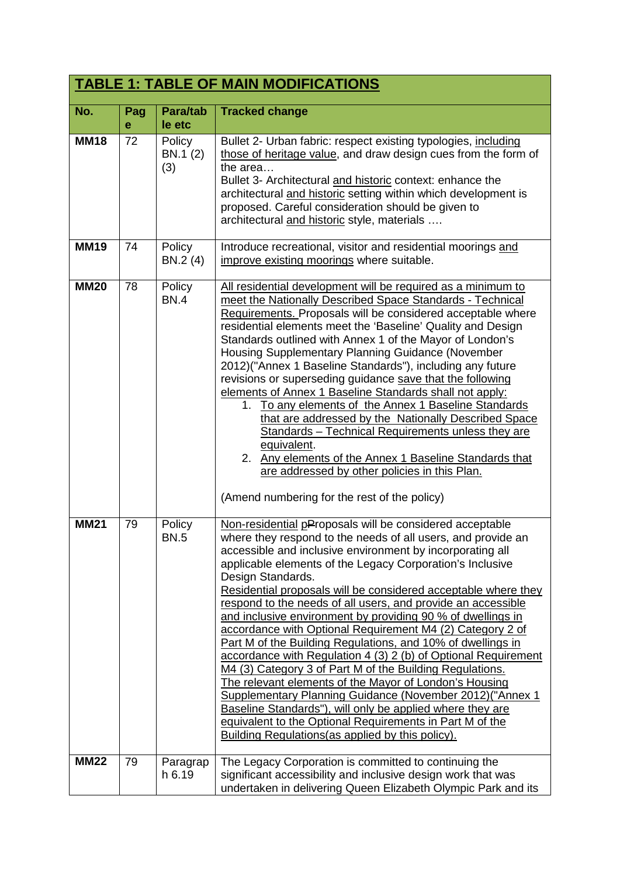|             |          |                           | <b>TABLE 1: TABLE OF MAIN MODIFICATIONS</b>                                                                                                                                                                                                                                                                                                                                                                                                                                                                                                                                                                                                                                                                                                                                                                                                                                                                                                                                                                                                    |
|-------------|----------|---------------------------|------------------------------------------------------------------------------------------------------------------------------------------------------------------------------------------------------------------------------------------------------------------------------------------------------------------------------------------------------------------------------------------------------------------------------------------------------------------------------------------------------------------------------------------------------------------------------------------------------------------------------------------------------------------------------------------------------------------------------------------------------------------------------------------------------------------------------------------------------------------------------------------------------------------------------------------------------------------------------------------------------------------------------------------------|
| No.         | Pag<br>e | Para/tab<br>le etc        | <b>Tracked change</b>                                                                                                                                                                                                                                                                                                                                                                                                                                                                                                                                                                                                                                                                                                                                                                                                                                                                                                                                                                                                                          |
| <b>MM18</b> | 72       | Policy<br>BN.1 (2)<br>(3) | Bullet 2- Urban fabric: respect existing typologies, including<br>those of heritage value, and draw design cues from the form of<br>the area<br>Bullet 3- Architectural and historic context: enhance the<br>architectural and historic setting within which development is<br>proposed. Careful consideration should be given to<br>architectural and historic style, materials                                                                                                                                                                                                                                                                                                                                                                                                                                                                                                                                                                                                                                                               |
| <b>MM19</b> | 74       | Policy<br>BN.2 (4)        | Introduce recreational, visitor and residential moorings and<br>improve existing moorings where suitable.                                                                                                                                                                                                                                                                                                                                                                                                                                                                                                                                                                                                                                                                                                                                                                                                                                                                                                                                      |
| <b>MM20</b> | 78       | Policy<br><b>BN.4</b>     | All residential development will be required as a minimum to<br>meet the Nationally Described Space Standards - Technical<br>Requirements. Proposals will be considered acceptable where<br>residential elements meet the 'Baseline' Quality and Design<br>Standards outlined with Annex 1 of the Mayor of London's<br>Housing Supplementary Planning Guidance (November<br>2012)("Annex 1 Baseline Standards"), including any future<br>revisions or superseding guidance save that the following<br>elements of Annex 1 Baseline Standards shall not apply:<br>1. To any elements of the Annex 1 Baseline Standards<br>that are addressed by the Nationally Described Space<br>Standards - Technical Requirements unless they are<br>equivalent.<br>2. Any elements of the Annex 1 Baseline Standards that<br>are addressed by other policies in this Plan.<br>(Amend numbering for the rest of the policy)                                                                                                                                  |
| <b>MM21</b> | 79       | Policy<br><b>BN.5</b>     | Non-residential pProposals will be considered acceptable<br>where they respond to the needs of all users, and provide an<br>accessible and inclusive environment by incorporating all<br>applicable elements of the Legacy Corporation's Inclusive<br>Design Standards.<br>Residential proposals will be considered acceptable where they<br>respond to the needs of all users, and provide an accessible<br>and inclusive environment by providing 90 % of dwellings in<br>accordance with Optional Requirement M4 (2) Category 2 of<br>Part M of the Building Regulations, and 10% of dwellings in<br>accordance with Regulation 4 (3) 2 (b) of Optional Requirement<br>M4 (3) Category 3 of Part M of the Building Regulations.<br>The relevant elements of the Mayor of London's Housing<br>Supplementary Planning Guidance (November 2012) ("Annex 1<br>Baseline Standards"), will only be applied where they are<br>equivalent to the Optional Requirements in Part M of the<br><b>Building Regulations (as applied by this policy).</b> |
| <b>MM22</b> | 79       | Paragrap<br>h 6.19        | The Legacy Corporation is committed to continuing the<br>significant accessibility and inclusive design work that was<br>undertaken in delivering Queen Elizabeth Olympic Park and its                                                                                                                                                                                                                                                                                                                                                                                                                                                                                                                                                                                                                                                                                                                                                                                                                                                         |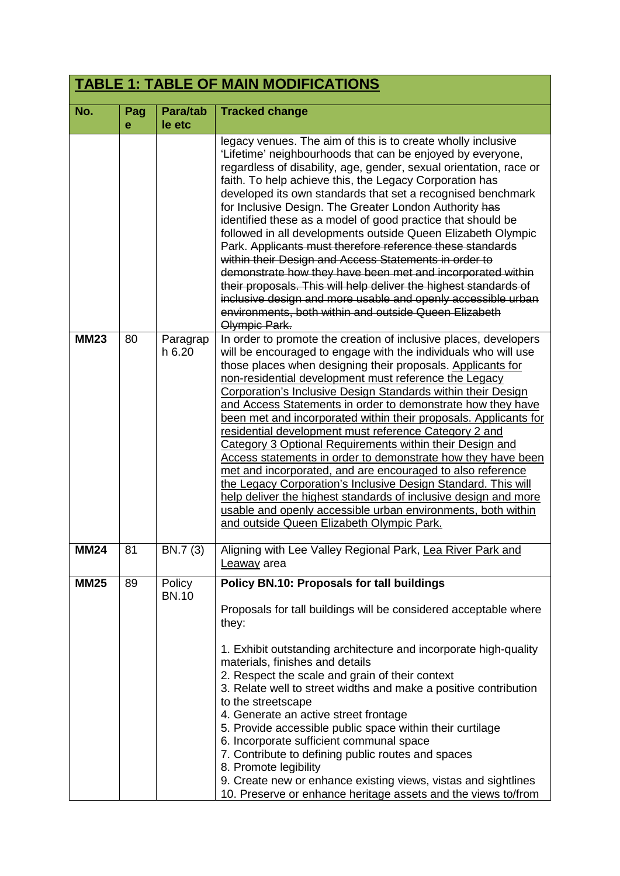| <b>TABLE 1: TABLE OF MAIN MODIFICATIONS</b> |         |                             |                                                                                                                                                                                                                                                                                                                                                                                                                                                                                                                                                                                                                                                                                                                                                                                                                                                                                                                                                                                                                                                                                                                                                                                                                                                                                                                                                                                                                                                                                                                                                                                                                                           |  |
|---------------------------------------------|---------|-----------------------------|-------------------------------------------------------------------------------------------------------------------------------------------------------------------------------------------------------------------------------------------------------------------------------------------------------------------------------------------------------------------------------------------------------------------------------------------------------------------------------------------------------------------------------------------------------------------------------------------------------------------------------------------------------------------------------------------------------------------------------------------------------------------------------------------------------------------------------------------------------------------------------------------------------------------------------------------------------------------------------------------------------------------------------------------------------------------------------------------------------------------------------------------------------------------------------------------------------------------------------------------------------------------------------------------------------------------------------------------------------------------------------------------------------------------------------------------------------------------------------------------------------------------------------------------------------------------------------------------------------------------------------------------|--|
| No.                                         | Pag     | Para/tab                    | <b>Tracked change</b>                                                                                                                                                                                                                                                                                                                                                                                                                                                                                                                                                                                                                                                                                                                                                                                                                                                                                                                                                                                                                                                                                                                                                                                                                                                                                                                                                                                                                                                                                                                                                                                                                     |  |
| <b>MM23</b>                                 | e<br>80 | le etc<br>Paragrap<br>h6.20 | legacy venues. The aim of this is to create wholly inclusive<br>'Lifetime' neighbourhoods that can be enjoyed by everyone,<br>regardless of disability, age, gender, sexual orientation, race or<br>faith. To help achieve this, the Legacy Corporation has<br>developed its own standards that set a recognised benchmark<br>for Inclusive Design. The Greater London Authority has<br>identified these as a model of good practice that should be<br>followed in all developments outside Queen Elizabeth Olympic<br>Park. Applicants must therefore reference these standards<br>within their Design and Access Statements in order to<br>demonstrate how they have been met and incorporated within<br>their proposals. This will help deliver the highest standards of<br>inclusive design and more usable and openly accessible urban<br>environments, both within and outside Queen Elizabeth<br>Olympic Park.<br>In order to promote the creation of inclusive places, developers<br>will be encouraged to engage with the individuals who will use<br>those places when designing their proposals. Applicants for<br>non-residential development must reference the Legacy<br>Corporation's Inclusive Design Standards within their Design<br>and Access Statements in order to demonstrate how they have<br>been met and incorporated within their proposals. Applicants for<br>residential development must reference Category 2 and<br>Category 3 Optional Requirements within their Design and<br>Access statements in order to demonstrate how they have been<br>met and incorporated, and are encouraged to also reference |  |
| <b>MM24</b>                                 | 81      | BN.7 (3)                    | the Legacy Corporation's Inclusive Design Standard. This will<br>help deliver the highest standards of inclusive design and more<br>usable and openly accessible urban environments, both within<br>and outside Queen Elizabeth Olympic Park.<br>Aligning with Lee Valley Regional Park, Lea River Park and                                                                                                                                                                                                                                                                                                                                                                                                                                                                                                                                                                                                                                                                                                                                                                                                                                                                                                                                                                                                                                                                                                                                                                                                                                                                                                                               |  |
|                                             |         |                             | Leaway area                                                                                                                                                                                                                                                                                                                                                                                                                                                                                                                                                                                                                                                                                                                                                                                                                                                                                                                                                                                                                                                                                                                                                                                                                                                                                                                                                                                                                                                                                                                                                                                                                               |  |
| <b>MM25</b>                                 | 89      | Policy<br><b>BN.10</b>      | <b>Policy BN.10: Proposals for tall buildings</b><br>Proposals for tall buildings will be considered acceptable where<br>they:<br>1. Exhibit outstanding architecture and incorporate high-quality<br>materials, finishes and details<br>2. Respect the scale and grain of their context<br>3. Relate well to street widths and make a positive contribution<br>to the streetscape<br>4. Generate an active street frontage<br>5. Provide accessible public space within their curtilage<br>6. Incorporate sufficient communal space<br>7. Contribute to defining public routes and spaces<br>8. Promote legibility<br>9. Create new or enhance existing views, vistas and sightlines<br>10. Preserve or enhance heritage assets and the views to/from                                                                                                                                                                                                                                                                                                                                                                                                                                                                                                                                                                                                                                                                                                                                                                                                                                                                                    |  |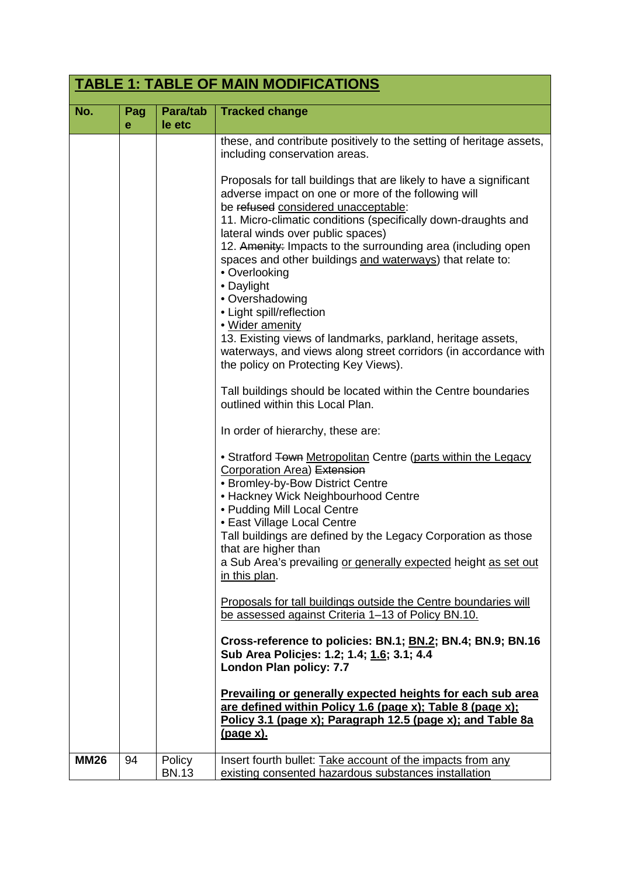|             | <b>TABLE 1: TABLE OF MAIN MODIFICATIONS</b> |                        |                                                                                                                                                                                                                                                                                                                                                                                                                           |  |
|-------------|---------------------------------------------|------------------------|---------------------------------------------------------------------------------------------------------------------------------------------------------------------------------------------------------------------------------------------------------------------------------------------------------------------------------------------------------------------------------------------------------------------------|--|
| No.         | Pag<br>е                                    | Para/tab<br>le etc     | <b>Tracked change</b>                                                                                                                                                                                                                                                                                                                                                                                                     |  |
|             |                                             |                        | these, and contribute positively to the setting of heritage assets,<br>including conservation areas.<br>Proposals for tall buildings that are likely to have a significant                                                                                                                                                                                                                                                |  |
|             |                                             |                        | adverse impact on one or more of the following will<br>be refused considered unacceptable:<br>11. Micro-climatic conditions (specifically down-draughts and<br>lateral winds over public spaces)                                                                                                                                                                                                                          |  |
|             |                                             |                        | 12. Amenity: Impacts to the surrounding area (including open<br>spaces and other buildings and waterways) that relate to:<br>• Overlooking<br>• Daylight<br>• Overshadowing<br>• Light spill/reflection                                                                                                                                                                                                                   |  |
|             |                                             |                        | · Wider amenity<br>13. Existing views of landmarks, parkland, heritage assets,<br>waterways, and views along street corridors (in accordance with<br>the policy on Protecting Key Views).                                                                                                                                                                                                                                 |  |
|             |                                             |                        | Tall buildings should be located within the Centre boundaries<br>outlined within this Local Plan.                                                                                                                                                                                                                                                                                                                         |  |
|             |                                             |                        | In order of hierarchy, these are:                                                                                                                                                                                                                                                                                                                                                                                         |  |
|             |                                             |                        | • Stratford Town Metropolitan Centre (parts within the Legacy<br><b>Corporation Area) Extension</b><br>• Bromley-by-Bow District Centre<br>• Hackney Wick Neighbourhood Centre<br>• Pudding Mill Local Centre<br>• East Village Local Centre<br>Tall buildings are defined by the Legacy Corporation as those<br>that are higher than<br>a Sub Area's prevailing or generally expected height as set out<br>in this plan. |  |
|             |                                             |                        | Proposals for tall buildings outside the Centre boundaries will<br>be assessed against Criteria 1-13 of Policy BN.10.                                                                                                                                                                                                                                                                                                     |  |
|             |                                             |                        | Cross-reference to policies: BN.1; BN.2; BN.4; BN.9; BN.16<br>Sub Area Policies: 1.2; 1.4; 1.6; 3.1; 4.4<br>London Plan policy: 7.7                                                                                                                                                                                                                                                                                       |  |
|             |                                             |                        | <b>Prevailing or generally expected heights for each sub area</b><br>are defined within Policy 1.6 (page x); Table 8 (page x);<br>Policy 3.1 (page x); Paragraph 12.5 (page x); and Table 8a<br><u>(page x).</u>                                                                                                                                                                                                          |  |
| <b>MM26</b> | 94                                          | Policy<br><b>BN.13</b> | Insert fourth bullet: Take account of the impacts from any<br>existing consented hazardous substances installation                                                                                                                                                                                                                                                                                                        |  |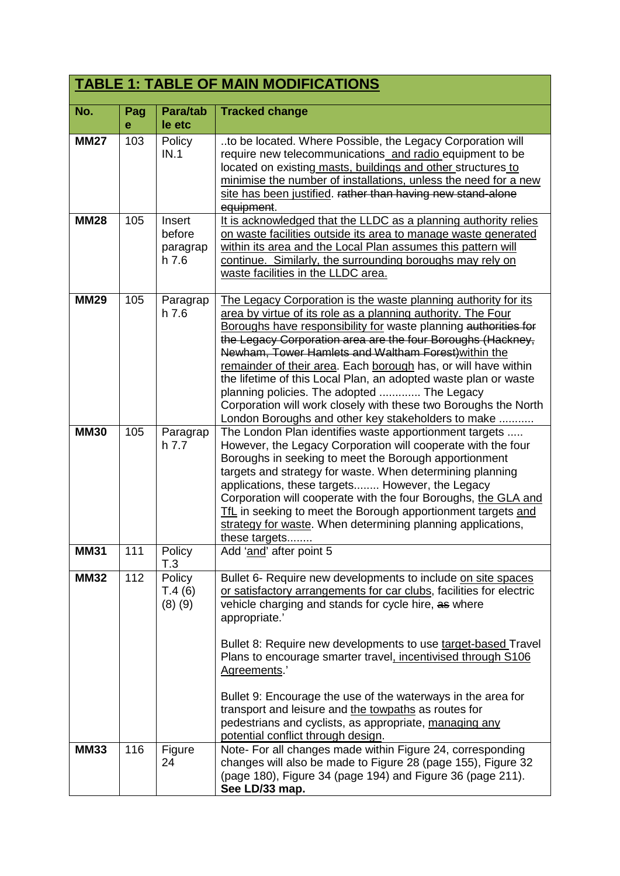|             |          |                                       | <b>TABLE 1: TABLE OF MAIN MODIFICATIONS</b>                                                                                                                                                                                                                                                                                                                                                                                                                                                                                                                                                                                          |
|-------------|----------|---------------------------------------|--------------------------------------------------------------------------------------------------------------------------------------------------------------------------------------------------------------------------------------------------------------------------------------------------------------------------------------------------------------------------------------------------------------------------------------------------------------------------------------------------------------------------------------------------------------------------------------------------------------------------------------|
| No.         | Pag<br>e | Para/tab<br>le etc                    | <b>Tracked change</b>                                                                                                                                                                                                                                                                                                                                                                                                                                                                                                                                                                                                                |
| <b>MM27</b> | 103      | Policy<br>IN.1                        | to be located. Where Possible, the Legacy Corporation will<br>require new telecommunications_and radio_equipment to be<br>located on existing masts, buildings and other structures to<br>minimise the number of installations, unless the need for a new<br>site has been justified. rather than having new stand-alone<br>equipment.                                                                                                                                                                                                                                                                                               |
| <b>MM28</b> | 105      | Insert<br>before<br>paragrap<br>h 7.6 | It is acknowledged that the LLDC as a planning authority relies<br>on waste facilities outside its area to manage waste generated<br>within its area and the Local Plan assumes this pattern will<br>continue. Similarly, the surrounding boroughs may rely on<br>waste facilities in the LLDC area.                                                                                                                                                                                                                                                                                                                                 |
| <b>MM29</b> | 105      | Paragrap<br>$h$ 7.6                   | The Legacy Corporation is the waste planning authority for its<br>area by virtue of its role as a planning authority. The Four<br>Boroughs have responsibility for waste planning authorities for<br>the Legacy Corporation area are the four Boroughs (Hackney,<br>Newham, Tower Hamlets and Waltham Forest) within the<br>remainder of their area. Each borough has, or will have within<br>the lifetime of this Local Plan, an adopted waste plan or waste<br>planning policies. The adopted  The Legacy<br>Corporation will work closely with these two Boroughs the North<br>London Boroughs and other key stakeholders to make |
| <b>MM30</b> | 105      | Paragrap<br>h.7.7                     | The London Plan identifies waste apportionment targets<br>However, the Legacy Corporation will cooperate with the four<br>Boroughs in seeking to meet the Borough apportionment<br>targets and strategy for waste. When determining planning<br>applications, these targets However, the Legacy<br>Corporation will cooperate with the four Boroughs, the GLA and<br>TfL in seeking to meet the Borough apportionment targets and<br>strategy for waste. When determining planning applications,<br>these targets                                                                                                                    |
| <b>MM31</b> | 111      | Policy<br>T.3                         | Add 'and' after point 5                                                                                                                                                                                                                                                                                                                                                                                                                                                                                                                                                                                                              |
| <b>MM32</b> | 112      | Policy<br>T.4(6)<br>(8)(9)            | Bullet 6- Require new developments to include on site spaces<br>or satisfactory arrangements for car clubs, facilities for electric<br>vehicle charging and stands for cycle hire, as where<br>appropriate.'<br>Bullet 8: Require new developments to use target-based Travel<br>Plans to encourage smarter travel, incentivised through S106<br>Agreements.'<br>Bullet 9: Encourage the use of the waterways in the area for<br>transport and leisure and the towpaths as routes for<br>pedestrians and cyclists, as appropriate, managing any<br>potential conflict through design.                                                |
| <b>MM33</b> | 116      | Figure<br>24                          | Note- For all changes made within Figure 24, corresponding<br>changes will also be made to Figure 28 (page 155), Figure 32<br>(page 180), Figure 34 (page 194) and Figure 36 (page 211).<br>See LD/33 map.                                                                                                                                                                                                                                                                                                                                                                                                                           |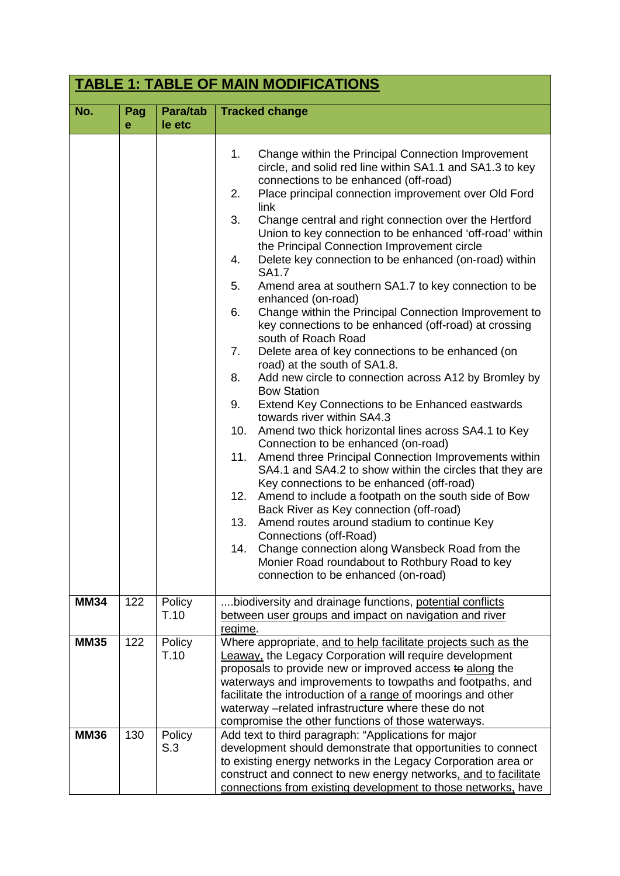|             | <b>TABLE 1: TABLE OF MAIN MODIFICATIONS</b> |                    |                                                                                                                                                                                                                                                                                                                                                                                                                                                                                                                                                                                                                                                                                                                                                                                                                                                                                                                                                                                                                                                                                                                                                                                                                                                                                                                                                                                                                                                                                                                                                                                                                           |  |
|-------------|---------------------------------------------|--------------------|---------------------------------------------------------------------------------------------------------------------------------------------------------------------------------------------------------------------------------------------------------------------------------------------------------------------------------------------------------------------------------------------------------------------------------------------------------------------------------------------------------------------------------------------------------------------------------------------------------------------------------------------------------------------------------------------------------------------------------------------------------------------------------------------------------------------------------------------------------------------------------------------------------------------------------------------------------------------------------------------------------------------------------------------------------------------------------------------------------------------------------------------------------------------------------------------------------------------------------------------------------------------------------------------------------------------------------------------------------------------------------------------------------------------------------------------------------------------------------------------------------------------------------------------------------------------------------------------------------------------------|--|
| No.         | Pag<br>e                                    | Para/tab<br>le etc | <b>Tracked change</b>                                                                                                                                                                                                                                                                                                                                                                                                                                                                                                                                                                                                                                                                                                                                                                                                                                                                                                                                                                                                                                                                                                                                                                                                                                                                                                                                                                                                                                                                                                                                                                                                     |  |
|             |                                             |                    | 1.<br>Change within the Principal Connection Improvement<br>circle, and solid red line within SA1.1 and SA1.3 to key<br>connections to be enhanced (off-road)<br>Place principal connection improvement over Old Ford<br>2.<br>link<br>3.<br>Change central and right connection over the Hertford<br>Union to key connection to be enhanced 'off-road' within<br>the Principal Connection Improvement circle<br>Delete key connection to be enhanced (on-road) within<br>4.<br>SA1.7<br>5.<br>Amend area at southern SA1.7 to key connection to be<br>enhanced (on-road)<br>Change within the Principal Connection Improvement to<br>6.<br>key connections to be enhanced (off-road) at crossing<br>south of Roach Road<br>7.<br>Delete area of key connections to be enhanced (on<br>road) at the south of SA1.8.<br>Add new circle to connection across A12 by Bromley by<br>8.<br><b>Bow Station</b><br>Extend Key Connections to be Enhanced eastwards<br>9.<br>towards river within SA4.3<br>Amend two thick horizontal lines across SA4.1 to Key<br>10.<br>Connection to be enhanced (on-road)<br>Amend three Principal Connection Improvements within<br>11.<br>SA4.1 and SA4.2 to show within the circles that they are<br>Key connections to be enhanced (off-road)<br>Amend to include a footpath on the south side of Bow<br>12.<br>Back River as Key connection (off-road)<br>13.<br>Amend routes around stadium to continue Key<br>Connections (off-Road)<br>Change connection along Wansbeck Road from the<br>14.<br>Monier Road roundabout to Rothbury Road to key<br>connection to be enhanced (on-road) |  |
| <b>MM34</b> | 122                                         | Policy<br>T.10     | biodiversity and drainage functions, potential conflicts<br>between user groups and impact on navigation and river<br>regime.                                                                                                                                                                                                                                                                                                                                                                                                                                                                                                                                                                                                                                                                                                                                                                                                                                                                                                                                                                                                                                                                                                                                                                                                                                                                                                                                                                                                                                                                                             |  |
| <b>MM35</b> | 122                                         | Policy<br>T.10     | Where appropriate, and to help facilitate projects such as the<br><b>Leaway</b> , the Legacy Corporation will require development<br>proposals to provide new or improved access to along the<br>waterways and improvements to towpaths and footpaths, and<br>facilitate the introduction of a range of moorings and other<br>waterway -related infrastructure where these do not<br>compromise the other functions of those waterways.                                                                                                                                                                                                                                                                                                                                                                                                                                                                                                                                                                                                                                                                                                                                                                                                                                                                                                                                                                                                                                                                                                                                                                                   |  |
| <b>MM36</b> | 130                                         | Policy<br>S.3      | Add text to third paragraph: "Applications for major<br>development should demonstrate that opportunities to connect<br>to existing energy networks in the Legacy Corporation area or<br>construct and connect to new energy networks, and to facilitate<br>connections from existing development to those networks, have                                                                                                                                                                                                                                                                                                                                                                                                                                                                                                                                                                                                                                                                                                                                                                                                                                                                                                                                                                                                                                                                                                                                                                                                                                                                                                 |  |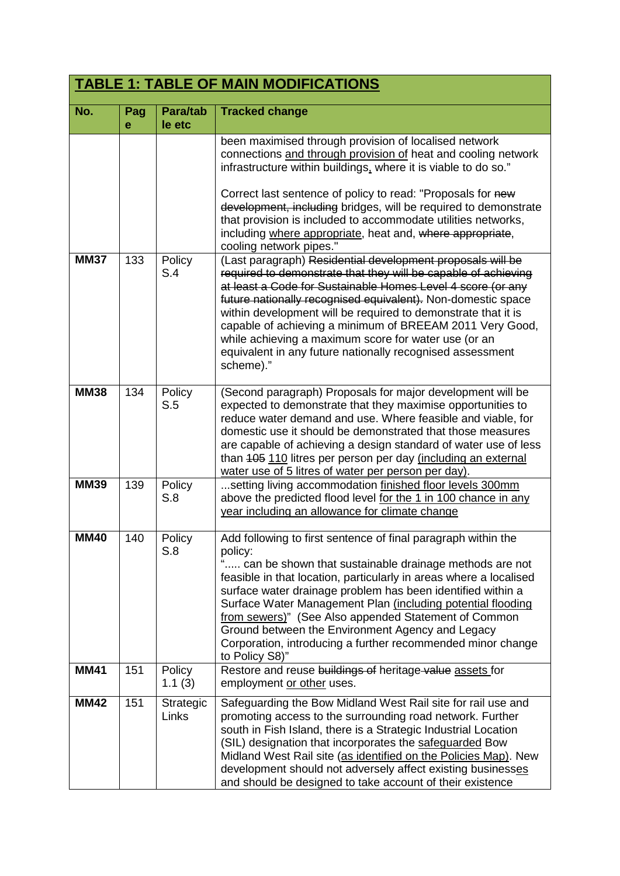|             |          |                    | <b>TABLE 1: TABLE OF MAIN MODIFICATIONS</b>                                                                                                                                                                                                                                                                                                                                                                                                                                                                                           |
|-------------|----------|--------------------|---------------------------------------------------------------------------------------------------------------------------------------------------------------------------------------------------------------------------------------------------------------------------------------------------------------------------------------------------------------------------------------------------------------------------------------------------------------------------------------------------------------------------------------|
| No.         | Pag<br>е | Para/tab<br>le etc | <b>Tracked change</b>                                                                                                                                                                                                                                                                                                                                                                                                                                                                                                                 |
|             |          |                    | been maximised through provision of localised network<br>connections and through provision of heat and cooling network<br>infrastructure within buildings, where it is viable to do so."<br>Correct last sentence of policy to read: "Proposals for new<br>development, including bridges, will be required to demonstrate<br>that provision is included to accommodate utilities networks,<br>including where appropriate, heat and, where appropriate,<br>cooling network pipes."                                                   |
| <b>MM37</b> | 133      | Policy<br>S.4      | (Last paragraph) Residential development proposals will be<br>required to demonstrate that they will be capable of achieving<br>at least a Code for Sustainable Homes Level 4 score (or any<br>future nationally recognised equivalent). Non-domestic space<br>within development will be required to demonstrate that it is<br>capable of achieving a minimum of BREEAM 2011 Very Good,<br>while achieving a maximum score for water use (or an<br>equivalent in any future nationally recognised assessment<br>scheme)."            |
| <b>MM38</b> | 134      | Policy<br>S.5      | (Second paragraph) Proposals for major development will be<br>expected to demonstrate that they maximise opportunities to<br>reduce water demand and use. Where feasible and viable, for<br>domestic use it should be demonstrated that those measures<br>are capable of achieving a design standard of water use of less<br>than 405 110 litres per person per day (including an external<br>water use of 5 litres of water per person per day).                                                                                     |
| <b>MM39</b> | 139      | Policy<br>S.8      | setting living accommodation finished floor levels 300mm<br>above the predicted flood level for the 1 in 100 chance in any<br>year including an allowance for climate change                                                                                                                                                                                                                                                                                                                                                          |
| MM40        | 140      | Policy<br>S.8      | Add following to first sentence of final paragraph within the<br>policy:<br>" can be shown that sustainable drainage methods are not<br>feasible in that location, particularly in areas where a localised<br>surface water drainage problem has been identified within a<br>Surface Water Management Plan (including potential flooding<br>from sewers)" (See Also appended Statement of Common<br>Ground between the Environment Agency and Legacy<br>Corporation, introducing a further recommended minor change<br>to Policy S8)" |
| <b>MM41</b> | 151      | Policy<br>1.1(3)   | Restore and reuse buildings of heritage value assets for<br>employment or other uses.                                                                                                                                                                                                                                                                                                                                                                                                                                                 |
| <b>MM42</b> | 151      | Strategic<br>Links | Safeguarding the Bow Midland West Rail site for rail use and<br>promoting access to the surrounding road network. Further<br>south in Fish Island, there is a Strategic Industrial Location<br>(SIL) designation that incorporates the safeguarded Bow<br>Midland West Rail site (as identified on the Policies Map). New<br>development should not adversely affect existing businesses<br>and should be designed to take account of their existence                                                                                 |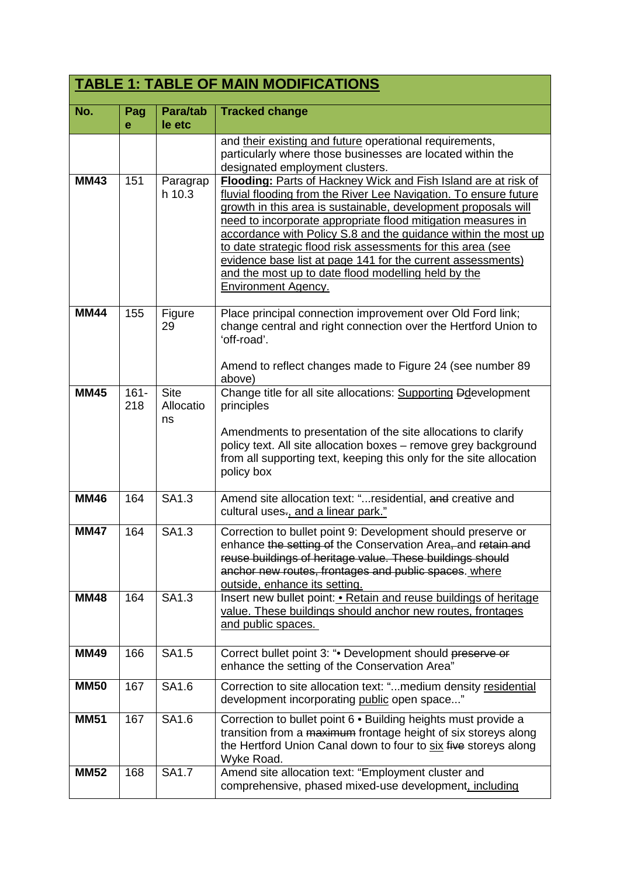| <b>TABLE 1: TABLE OF MAIN MODIFICATIONS</b> |                |                                |                                                                                                                                                                                                                                                                                                                                                                                                                                                                                                                                                           |
|---------------------------------------------|----------------|--------------------------------|-----------------------------------------------------------------------------------------------------------------------------------------------------------------------------------------------------------------------------------------------------------------------------------------------------------------------------------------------------------------------------------------------------------------------------------------------------------------------------------------------------------------------------------------------------------|
| No.                                         | Pag<br>e       | Para/tab<br>le etc             | <b>Tracked change</b>                                                                                                                                                                                                                                                                                                                                                                                                                                                                                                                                     |
|                                             |                |                                | and their existing and future operational requirements,<br>particularly where those businesses are located within the<br>designated employment clusters.                                                                                                                                                                                                                                                                                                                                                                                                  |
| <b>MM43</b>                                 | 151            | Paragrap<br>h 10.3             | Flooding: Parts of Hackney Wick and Fish Island are at risk of<br>fluvial flooding from the River Lee Navigation. To ensure future<br>growth in this area is sustainable, development proposals will<br>need to incorporate appropriate flood mitigation measures in<br>accordance with Policy S.8 and the guidance within the most up<br>to date strategic flood risk assessments for this area (see<br>evidence base list at page 141 for the current assessments)<br>and the most up to date flood modelling held by the<br><b>Environment Agency.</b> |
| <b>MM44</b>                                 | 155            | Figure<br>29                   | Place principal connection improvement over Old Ford link;<br>change central and right connection over the Hertford Union to<br>'off-road'.<br>Amend to reflect changes made to Figure 24 (see number 89)<br>above)                                                                                                                                                                                                                                                                                                                                       |
| <b>MM45</b>                                 | $161 -$<br>218 | <b>Site</b><br>Allocatio<br>ns | Change title for all site allocations: Supporting Ddevelopment<br>principles<br>Amendments to presentation of the site allocations to clarify<br>policy text. All site allocation boxes - remove grey background<br>from all supporting text, keeping this only for the site allocation<br>policy box                                                                                                                                                                                                                                                     |
| <b>MM46</b>                                 | 164            | SA1.3                          | Amend site allocation text: "residential, and creative and<br>cultural uses., and a linear park."                                                                                                                                                                                                                                                                                                                                                                                                                                                         |
| <b>MM47</b>                                 | 164            | SA1.3                          | Correction to bullet point 9: Development should preserve or<br>enhance the setting of the Conservation Area, and retain and<br>reuse buildings of heritage value. These buildings should<br>anchor new routes, frontages and public spaces. where<br>outside, enhance its setting.                                                                                                                                                                                                                                                                       |
| <b>MM48</b>                                 | 164            | SA1.3                          | Insert new bullet point: . Retain and reuse buildings of heritage<br>value. These buildings should anchor new routes, frontages<br>and public spaces.                                                                                                                                                                                                                                                                                                                                                                                                     |
| <b>MM49</b>                                 | 166            | SA1.5                          | Correct bullet point 3: ". Development should preserve or<br>enhance the setting of the Conservation Area"                                                                                                                                                                                                                                                                                                                                                                                                                                                |
| <b>MM50</b>                                 | 167            | <b>SA1.6</b>                   | Correction to site allocation text: "medium density residential<br>development incorporating public open space"                                                                                                                                                                                                                                                                                                                                                                                                                                           |
| <b>MM51</b>                                 | 167            | SA1.6                          | Correction to bullet point 6 . Building heights must provide a<br>transition from a maximum frontage height of six storeys along<br>the Hertford Union Canal down to four to six five storeys along<br>Wyke Road.                                                                                                                                                                                                                                                                                                                                         |
| <b>MM52</b>                                 | 168            | <b>SA1.7</b>                   | Amend site allocation text: "Employment cluster and<br>comprehensive, phased mixed-use development, including                                                                                                                                                                                                                                                                                                                                                                                                                                             |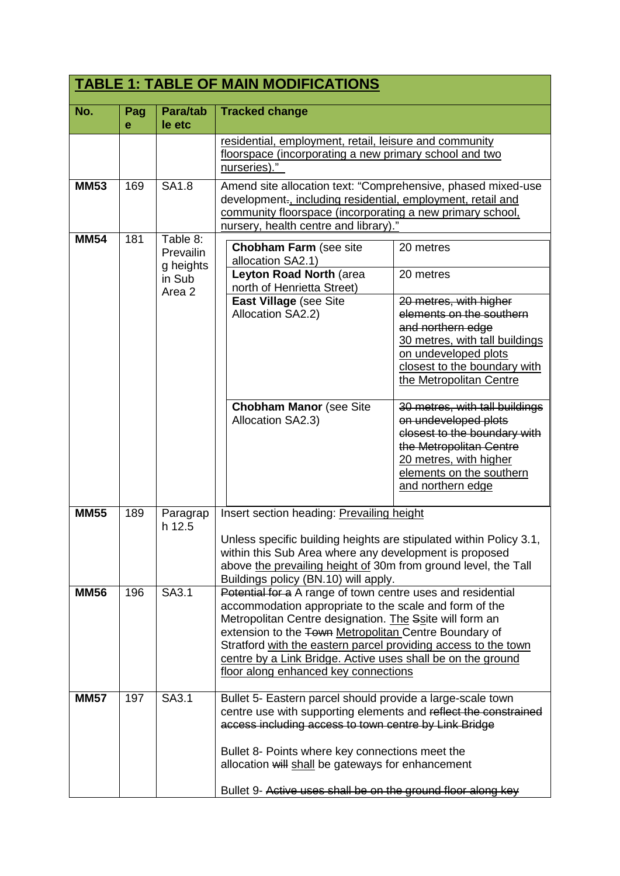| <b>TABLE 1: TABLE OF MAIN MODIFICATIONS</b> |          |                                                                   |                                                                                                                                                                                                                                                                                                                                                                                                                    |                                                                                                                                                                                                                                                                                                                                                                                              |
|---------------------------------------------|----------|-------------------------------------------------------------------|--------------------------------------------------------------------------------------------------------------------------------------------------------------------------------------------------------------------------------------------------------------------------------------------------------------------------------------------------------------------------------------------------------------------|----------------------------------------------------------------------------------------------------------------------------------------------------------------------------------------------------------------------------------------------------------------------------------------------------------------------------------------------------------------------------------------------|
| No.                                         | Pag<br>e | Para/tab<br>le etc                                                | <b>Tracked change</b>                                                                                                                                                                                                                                                                                                                                                                                              |                                                                                                                                                                                                                                                                                                                                                                                              |
|                                             |          |                                                                   | residential, employment, retail, leisure and community<br>floorspace (incorporating a new primary school and two<br>nurseries)."                                                                                                                                                                                                                                                                                   |                                                                                                                                                                                                                                                                                                                                                                                              |
| <b>MM53</b>                                 | 169      | <b>SA1.8</b>                                                      | Amend site allocation text: "Comprehensive, phased mixed-use<br>development-, including residential, employment, retail and<br>community floorspace (incorporating a new primary school,<br>nursery, health centre and library)."                                                                                                                                                                                  |                                                                                                                                                                                                                                                                                                                                                                                              |
| <b>MM54</b>                                 | 181      | Table 8:<br>Prevailin<br>g heights<br>in Sub<br>Area <sub>2</sub> | <b>Chobham Farm (see site</b><br>20 metres<br>allocation SA2.1)<br>Leyton Road North (area<br>20 metres<br>north of Henrietta Street)<br>East Village (see Site<br>Allocation SA2.2)<br><b>Chobham Manor (see Site</b><br>Allocation SA2.3)                                                                                                                                                                        | 20 metres, with higher<br>elements on the southern<br>and northern edge<br>30 metres, with tall buildings<br>on undeveloped plots<br>closest to the boundary with<br>the Metropolitan Centre<br>30 metres, with tall buildings<br>on undeveloped plots<br>closest to the boundary with<br>the Metropolitan Centre<br>20 metres, with higher<br>elements on the southern<br>and northern edge |
| <b>MM55</b>                                 | 189      | Paragrap<br>h 12.5                                                | Insert section heading: Prevailing height<br>Unless specific building heights are stipulated within Policy 3.1,<br>within this Sub Area where any development is proposed<br>above the prevailing height of 30m from ground level, the Tall<br>Buildings policy (BN.10) will apply.                                                                                                                                |                                                                                                                                                                                                                                                                                                                                                                                              |
| <b>MM56</b>                                 | 196      | SA3.1                                                             | Potential for a A range of town centre uses and residential<br>accommodation appropriate to the scale and form of the<br>Metropolitan Centre designation. The Ssite will form an<br>extension to the Town Metropolitan Centre Boundary of<br>Stratford with the eastern parcel providing access to the town<br>centre by a Link Bridge. Active uses shall be on the ground<br>floor along enhanced key connections |                                                                                                                                                                                                                                                                                                                                                                                              |
| <b>MM57</b>                                 | 197      | SA3.1                                                             | Bullet 5- Eastern parcel should provide a large-scale town<br>centre use with supporting elements and reflect the constrained<br>access including access to town centre by Link Bridge<br>Bullet 8- Points where key connections meet the<br>allocation will shall be gateways for enhancement<br>Bullet 9- Active uses shall be on the ground floor along key                                                     |                                                                                                                                                                                                                                                                                                                                                                                              |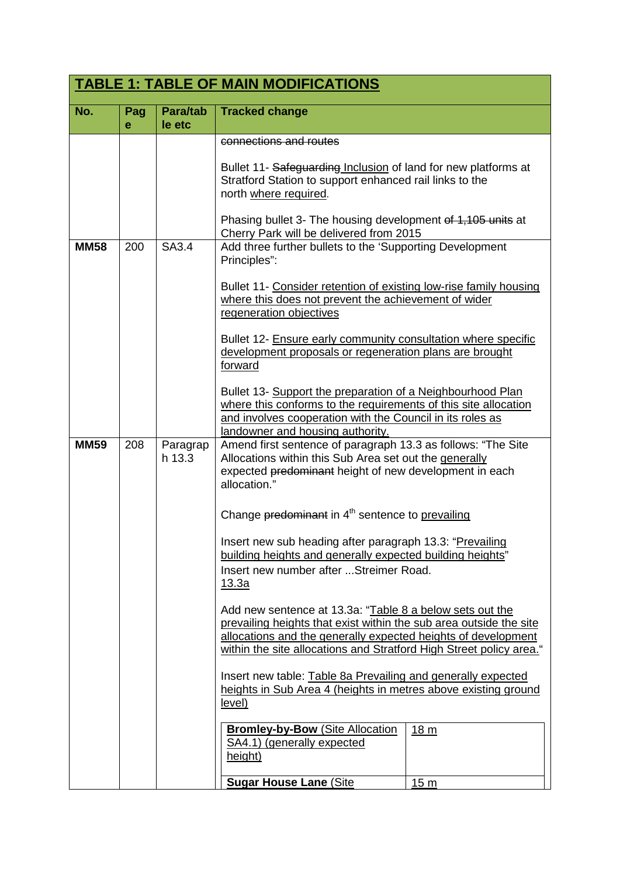| <b>TABLE 1: TABLE OF MAIN MODIFICATIONS</b> |          |                    |                                                                                                                                                                                                                                                                        |                 |
|---------------------------------------------|----------|--------------------|------------------------------------------------------------------------------------------------------------------------------------------------------------------------------------------------------------------------------------------------------------------------|-----------------|
| No.                                         | Pag<br>е | Para/tab<br>le etc | <b>Tracked change</b>                                                                                                                                                                                                                                                  |                 |
|                                             |          |                    | connections and routes<br>Bullet 11- Safeguarding Inclusion of land for new platforms at<br>Stratford Station to support enhanced rail links to the<br>north where required.                                                                                           |                 |
|                                             |          |                    | Phasing bullet 3- The housing development of 1,105 units at<br>Cherry Park will be delivered from 2015                                                                                                                                                                 |                 |
| <b>MM58</b>                                 | 200      | SA3.4              | Add three further bullets to the 'Supporting Development<br>Principles":                                                                                                                                                                                               |                 |
|                                             |          |                    | Bullet 11- Consider retention of existing low-rise family housing<br>where this does not prevent the achievement of wider<br>regeneration objectives                                                                                                                   |                 |
|                                             |          |                    | Bullet 12- Ensure early community consultation where specific<br>development proposals or regeneration plans are brought<br>forward                                                                                                                                    |                 |
|                                             |          |                    | Bullet 13- Support the preparation of a Neighbourhood Plan<br>where this conforms to the requirements of this site allocation<br>and involves cooperation with the Council in its roles as<br>landowner and housing authority.                                         |                 |
| <b>MM59</b>                                 | 208      | Paragrap<br>h 13.3 | Amend first sentence of paragraph 13.3 as follows: "The Site<br>Allocations within this Sub Area set out the generally<br>expected predominant height of new development in each<br>allocation."                                                                       |                 |
|                                             |          |                    | Change predominant in 4 <sup>th</sup> sentence to prevailing                                                                                                                                                                                                           |                 |
|                                             |          |                    | Insert new sub heading after paragraph 13.3: "Prevailing<br>building heights and generally expected building heights"<br>Insert new number after  Streimer Road.<br>13.3a                                                                                              |                 |
|                                             |          |                    | Add new sentence at 13.3a: "Table 8 a below sets out the<br>prevailing heights that exist within the sub area outside the site<br>allocations and the generally expected heights of development<br>within the site allocations and Stratford High Street policy area." |                 |
|                                             |          |                    | Insert new table: Table 8a Prevailing and generally expected<br>heights in Sub Area 4 (heights in metres above existing ground<br>level)                                                                                                                               |                 |
|                                             |          |                    | <b>Bromley-by-Bow (Site Allocation</b><br>SA4.1) (generally expected<br>height)                                                                                                                                                                                        | 18 <sub>m</sub> |
|                                             |          |                    | <b>Sugar House Lane (Site)</b>                                                                                                                                                                                                                                         | 15 <sub>m</sub> |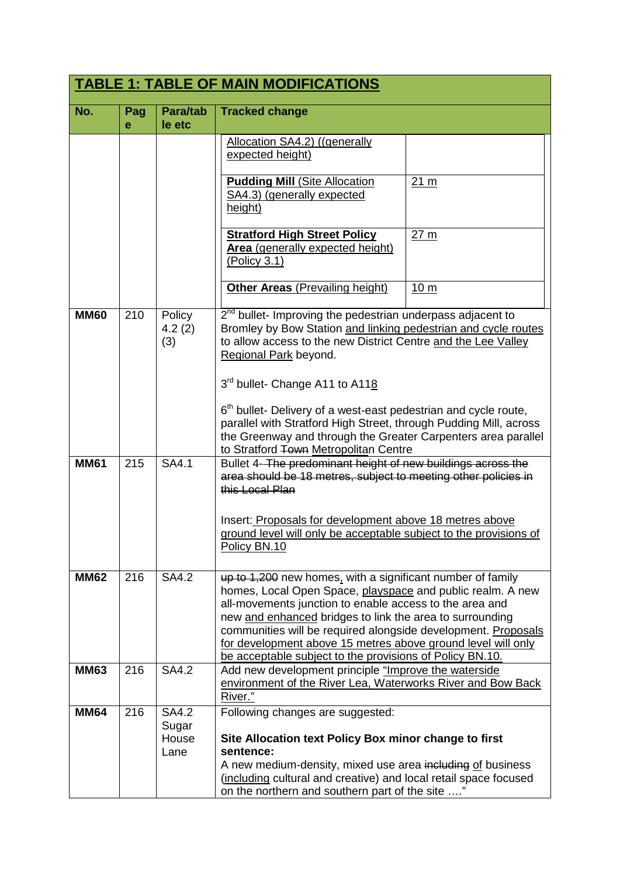| <b>TABLE 1: TABLE OF MAIN MODIFICATIONS</b> |          |                                 |                                                                                                                                                                                                                                                                                                                                                                                                                                                                                                                                    |                 |
|---------------------------------------------|----------|---------------------------------|------------------------------------------------------------------------------------------------------------------------------------------------------------------------------------------------------------------------------------------------------------------------------------------------------------------------------------------------------------------------------------------------------------------------------------------------------------------------------------------------------------------------------------|-----------------|
| No.                                         | Pag<br>е | Para/tab<br>le etc              | <b>Tracked change</b>                                                                                                                                                                                                                                                                                                                                                                                                                                                                                                              |                 |
|                                             |          |                                 | Allocation SA4.2) ((generally<br>expected height)                                                                                                                                                                                                                                                                                                                                                                                                                                                                                  |                 |
|                                             |          |                                 | <b>Pudding Mill (Site Allocation</b><br>SA4.3) (generally expected<br>height)                                                                                                                                                                                                                                                                                                                                                                                                                                                      | 21 <sub>m</sub> |
|                                             |          |                                 | <b>Stratford High Street Policy</b><br>Area (generally expected height)<br>(Policy 3.1)                                                                                                                                                                                                                                                                                                                                                                                                                                            | 27 <sub>m</sub> |
|                                             |          |                                 | <b>Other Areas (Prevailing height)</b>                                                                                                                                                                                                                                                                                                                                                                                                                                                                                             | 10 <sub>m</sub> |
| <b>MM60</b>                                 | 210      | Policy<br>4.2(2)<br>(3)         | 2 <sup>nd</sup> bullet- Improving the pedestrian underpass adjacent to<br>Bromley by Bow Station and linking pedestrian and cycle routes<br>to allow access to the new District Centre and the Lee Valley<br>Regional Park beyond.<br>3rd bullet- Change A11 to A118<br>6 <sup>th</sup> bullet- Delivery of a west-east pedestrian and cycle route,<br>parallel with Stratford High Street, through Pudding Mill, across<br>the Greenway and through the Greater Carpenters area parallel<br>to Stratford Town Metropolitan Centre |                 |
| <b>MM61</b>                                 | 215      | SA4.1                           | Bullet 4-The predominant height of new buildings across the<br>area should be 18 metres, subject to meeting other policies in<br>this Local Plan                                                                                                                                                                                                                                                                                                                                                                                   |                 |
|                                             |          |                                 | Insert: Proposals for development above 18 metres above<br>ground level will only be acceptable subject to the provisions of<br>Policy BN.10                                                                                                                                                                                                                                                                                                                                                                                       |                 |
| <b>MM62</b>                                 | 216      | <b>SA4.2</b>                    | up to 1,200 new homes, with a significant number of family<br>homes, Local Open Space, playspace and public realm. A new<br>all-movements junction to enable access to the area and<br>new and enhanced bridges to link the area to surrounding<br>communities will be required alongside development. Proposals<br>for development above 15 metres above ground level will only<br>be acceptable subject to the provisions of Policy BN.10.                                                                                       |                 |
| <b>MM63</b>                                 | 216      | <b>SA4.2</b>                    | Add new development principle "Improve the waterside<br>environment of the River Lea, Waterworks River and Bow Back<br>River."                                                                                                                                                                                                                                                                                                                                                                                                     |                 |
| <b>MM64</b>                                 | 216      | SA4.2<br>Sugar<br>House<br>Lane | Following changes are suggested:<br>Site Allocation text Policy Box minor change to first<br>sentence:<br>A new medium-density, mixed use area including of business<br>(including cultural and creative) and local retail space focused<br>on the northern and southern part of the site "                                                                                                                                                                                                                                        |                 |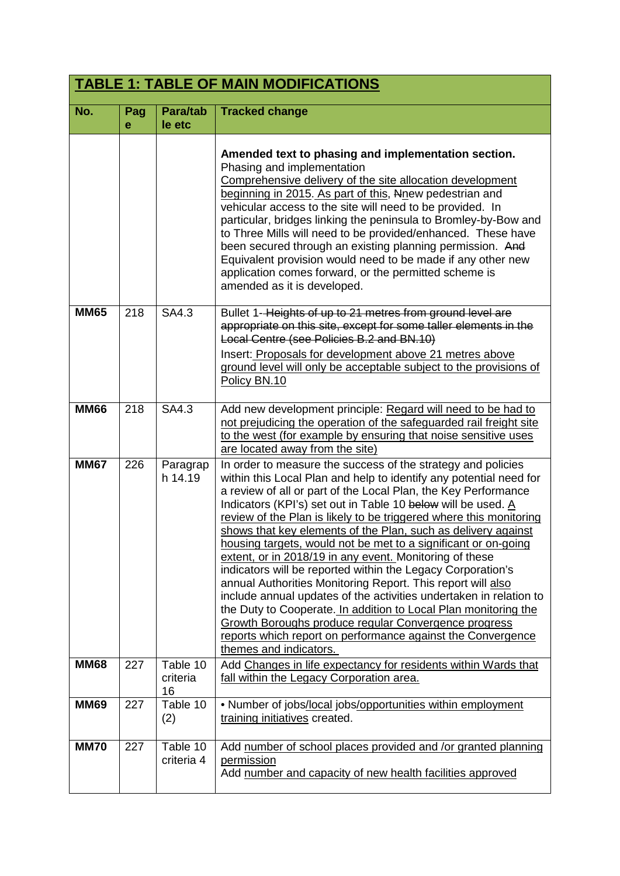| <b>TABLE 1: TABLE OF MAIN MODIFICATIONS</b> |          |                            |                                                                                                                                                                                                                                                                                                                                                                                                                                                                                                                                                                                                                                                                                                                                                                                                                                                                                                                                                                  |
|---------------------------------------------|----------|----------------------------|------------------------------------------------------------------------------------------------------------------------------------------------------------------------------------------------------------------------------------------------------------------------------------------------------------------------------------------------------------------------------------------------------------------------------------------------------------------------------------------------------------------------------------------------------------------------------------------------------------------------------------------------------------------------------------------------------------------------------------------------------------------------------------------------------------------------------------------------------------------------------------------------------------------------------------------------------------------|
| No.                                         | Pag<br>e | Para/tab<br>le etc         | <b>Tracked change</b>                                                                                                                                                                                                                                                                                                                                                                                                                                                                                                                                                                                                                                                                                                                                                                                                                                                                                                                                            |
|                                             |          |                            | Amended text to phasing and implementation section.<br>Phasing and implementation<br>Comprehensive delivery of the site allocation development<br>beginning in 2015. As part of this, Nnew pedestrian and<br>vehicular access to the site will need to be provided. In<br>particular, bridges linking the peninsula to Bromley-by-Bow and<br>to Three Mills will need to be provided/enhanced. These have<br>been secured through an existing planning permission. And<br>Equivalent provision would need to be made if any other new<br>application comes forward, or the permitted scheme is<br>amended as it is developed.                                                                                                                                                                                                                                                                                                                                    |
| <b>MM65</b>                                 | 218      | SA4.3                      | Bullet 1-Heights of up to 21 metres from ground level are<br>appropriate on this site, except for some taller elements in the<br>Local Centre (see Policies B.2 and BN.10)<br>Insert: Proposals for development above 21 metres above<br>ground level will only be acceptable subject to the provisions of<br>Policy BN.10                                                                                                                                                                                                                                                                                                                                                                                                                                                                                                                                                                                                                                       |
| <b>MM66</b>                                 | 218      | SA4.3                      | Add new development principle: Regard will need to be had to<br>not prejudicing the operation of the safeguarded rail freight site<br>to the west (for example by ensuring that noise sensitive uses<br>are located away from the site)                                                                                                                                                                                                                                                                                                                                                                                                                                                                                                                                                                                                                                                                                                                          |
| <b>MM67</b>                                 | 226      | Paragrap<br>h 14.19        | In order to measure the success of the strategy and policies<br>within this Local Plan and help to identify any potential need for<br>a review of all or part of the Local Plan, the Key Performance<br>Indicators (KPI's) set out in Table 10 below will be used. A<br>review of the Plan is likely to be triggered where this monitoring<br>shows that key elements of the Plan, such as delivery against<br>housing targets, would not be met to a significant or on-going<br>extent, or in 2018/19 in any event. Monitoring of these<br>indicators will be reported within the Legacy Corporation's<br>annual Authorities Monitoring Report. This report will also<br>include annual updates of the activities undertaken in relation to<br>the Duty to Cooperate. In addition to Local Plan monitoring the<br>Growth Boroughs produce regular Convergence progress<br>reports which report on performance against the Convergence<br>themes and indicators. |
| <b>MM68</b>                                 | 227      | Table 10<br>criteria<br>16 | Add Changes in life expectancy for residents within Wards that<br>fall within the Legacy Corporation area.                                                                                                                                                                                                                                                                                                                                                                                                                                                                                                                                                                                                                                                                                                                                                                                                                                                       |
| <b>MM69</b>                                 | 227      | Table 10<br>(2)            | • Number of jobs/local jobs/opportunities within employment<br>training initiatives created.                                                                                                                                                                                                                                                                                                                                                                                                                                                                                                                                                                                                                                                                                                                                                                                                                                                                     |
| <b>MM70</b>                                 | 227      | Table 10<br>criteria 4     | Add number of school places provided and /or granted planning<br>permission<br>Add number and capacity of new health facilities approved                                                                                                                                                                                                                                                                                                                                                                                                                                                                                                                                                                                                                                                                                                                                                                                                                         |